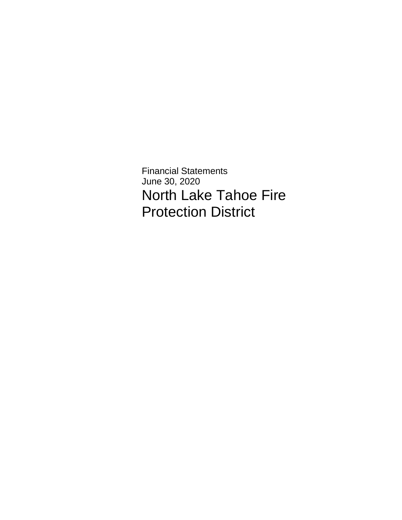Financial Statements June 30, 2020 North Lake Tahoe Fire Protection District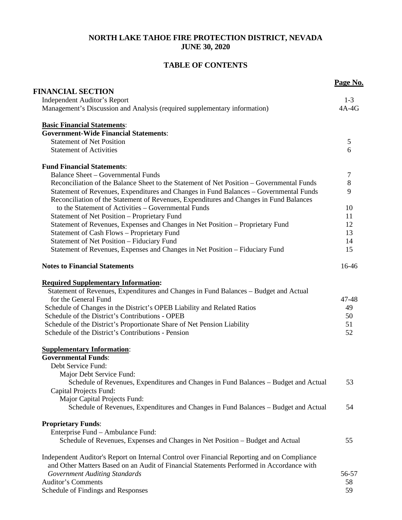#### **NORTH LAKE TAHOE FIRE PROTECTION DISTRICT, NEVADA JUNE 30, 2020**

# **TABLE OF CONTENTS**

|                                                                                                                  | Page No.           |
|------------------------------------------------------------------------------------------------------------------|--------------------|
| <b>FINANCIAL SECTION</b>                                                                                         |                    |
| <b>Independent Auditor's Report</b><br>Management's Discussion and Analysis (required supplementary information) | $1 - 3$<br>$4A-4G$ |
|                                                                                                                  |                    |
| <b>Basic Financial Statements:</b>                                                                               |                    |
| <b>Government-Wide Financial Statements:</b>                                                                     |                    |
| <b>Statement of Net Position</b>                                                                                 | 5                  |
| <b>Statement of Activities</b>                                                                                   | 6                  |
| <b>Fund Financial Statements:</b>                                                                                |                    |
| <b>Balance Sheet – Governmental Funds</b>                                                                        | 7                  |
| Reconciliation of the Balance Sheet to the Statement of Net Position – Governmental Funds                        | 8                  |
| Statement of Revenues, Expenditures and Changes in Fund Balances - Governmental Funds                            | 9                  |
| Reconciliation of the Statement of Revenues, Expenditures and Changes in Fund Balances                           |                    |
| to the Statement of Activities - Governmental Funds                                                              | 10                 |
| Statement of Net Position - Proprietary Fund                                                                     | 11                 |
| Statement of Revenues, Expenses and Changes in Net Position - Proprietary Fund                                   | 12                 |
| Statement of Cash Flows - Proprietary Fund                                                                       | 13                 |
| Statement of Net Position - Fiduciary Fund                                                                       | 14                 |
| Statement of Revenues, Expenses and Changes in Net Position - Fiduciary Fund                                     | 15                 |
| <b>Notes to Financial Statements</b>                                                                             | 16-46              |
| <b>Required Supplementary Information:</b>                                                                       |                    |
| Statement of Revenues, Expenditures and Changes in Fund Balances - Budget and Actual                             |                    |
| for the General Fund                                                                                             | 47-48              |
| Schedule of Changes in the District's OPEB Liability and Related Ratios                                          | 49                 |
| Schedule of the District's Contributions - OPEB                                                                  | 50                 |
| Schedule of the District's Proportionate Share of Net Pension Liability                                          | 51                 |
| Schedule of the District's Contributions - Pension                                                               | 52                 |
| <b>Supplementary Information:</b>                                                                                |                    |
| <b>Governmental Funds:</b>                                                                                       |                    |
| Debt Service Fund:                                                                                               |                    |
| Major Debt Service Fund:                                                                                         |                    |
| Schedule of Revenues, Expenditures and Changes in Fund Balances – Budget and Actual                              | 53                 |
| Capital Projects Fund:                                                                                           |                    |
| Major Capital Projects Fund:                                                                                     |                    |
| Schedule of Revenues, Expenditures and Changes in Fund Balances – Budget and Actual                              | 54                 |
| <b>Proprietary Funds:</b>                                                                                        |                    |
| Enterprise Fund - Ambulance Fund:                                                                                |                    |
| Schedule of Revenues, Expenses and Changes in Net Position – Budget and Actual                                   | 55                 |
| Independent Auditor's Report on Internal Control over Financial Reporting and on Compliance                      |                    |
| and Other Matters Based on an Audit of Financial Statements Performed in Accordance with                         |                    |
| <b>Government Auditing Standards</b>                                                                             | 56-57              |
| <b>Auditor's Comments</b>                                                                                        | 58                 |
| Schedule of Findings and Responses                                                                               | 59                 |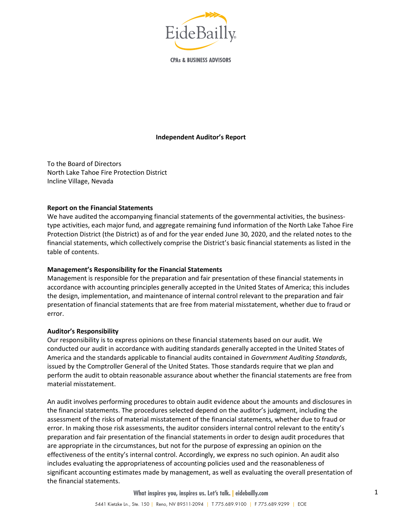

**CPAs & BUSINESS ADVISORS** 

#### **Independent Auditor's Report**

To the Board of Directors North Lake Tahoe Fire Protection District Incline Village, Nevada

#### **Report on the Financial Statements**

We have audited the accompanying financial statements of the governmental activities, the businesstype activities, each major fund, and aggregate remaining fund information of the North Lake Tahoe Fire Protection District (the District) as of and for the year ended June 30, 2020, and the related notes to the financial statements, which collectively comprise the District's basic financial statements as listed in the table of contents.

#### **Management's Responsibility for the Financial Statements**

Management is responsible for the preparation and fair presentation of these financial statements in accordance with accounting principles generally accepted in the United States of America; this includes the design, implementation, and maintenance of internal control relevant to the preparation and fair presentation of financial statements that are free from material misstatement, whether due to fraud or error.

#### **Auditor's Responsibility**

Our responsibility is to express opinions on these financial statements based on our audit. We conducted our audit in accordance with auditing standards generally accepted in the United States of America and the standards applicable to financial audits contained in *Government Auditing Standards*, issued by the Comptroller General of the United States. Those standards require that we plan and perform the audit to obtain reasonable assurance about whether the financial statements are free from material misstatement.

An audit involves performing procedures to obtain audit evidence about the amounts and disclosures in the financial statements. The procedures selected depend on the auditor's judgment, including the assessment of the risks of material misstatement of the financial statements, whether due to fraud or error. In making those risk assessments, the auditor considers internal control relevant to the entity's preparation and fair presentation of the financial statements in order to design audit procedures that are appropriate in the circumstances, but not for the purpose of expressing an opinion on the effectiveness of the entity's internal control. Accordingly, we express no such opinion. An audit also includes evaluating the appropriateness of accounting policies used and the reasonableness of significant accounting estimates made by management, as well as evaluating the overall presentation of the financial statements.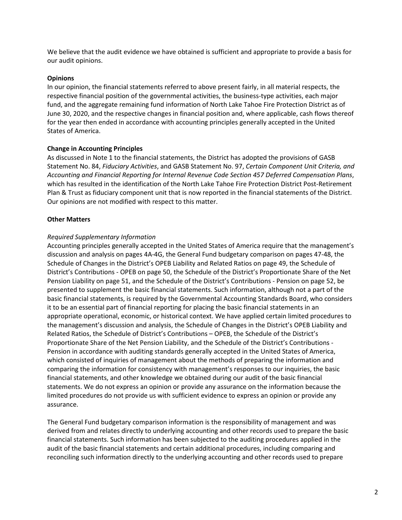We believe that the audit evidence we have obtained is sufficient and appropriate to provide a basis for our audit opinions.

#### **Opinions**

In our opinion, the financial statements referred to above present fairly, in all material respects, the respective financial position of the governmental activities, the business-type activities, each major fund, and the aggregate remaining fund information of North Lake Tahoe Fire Protection District as of June 30, 2020, and the respective changes in financial position and, where applicable, cash flows thereof for the year then ended in accordance with accounting principles generally accepted in the United States of America.

#### **Change in Accounting Principles**

As discussed in Note 1 to the financial statements, the District has adopted the provisions of GASB Statement No. 84, *Fiduciary Activities*, and GASB Statement No. 97, *Certain Component Unit Criteria, and Accounting and Financial Reporting for Internal Revenue Code Section 457 Deferred Compensation Plans*, which has resulted in the identification of the North Lake Tahoe Fire Protection District Post-Retirement Plan & Trust as fiduciary component unit that is now reported in the financial statements of the District. Our opinions are not modified with respect to this matter.

#### **Other Matters**

#### *Required Supplementary Information*

Accounting principles generally accepted in the United States of America require that the management's discussion and analysis on pages 4A-4G, the General Fund budgetary comparison on pages 47-48, the Schedule of Changes in the District's OPEB Liability and Related Ratios on page 49, the Schedule of District's Contributions - OPEB on page 50, the Schedule of the District's Proportionate Share of the Net Pension Liability on page 51, and the Schedule of the District's Contributions - Pension on page 52, be presented to supplement the basic financial statements. Such information, although not a part of the basic financial statements, is required by the Governmental Accounting Standards Board, who considers it to be an essential part of financial reporting for placing the basic financial statements in an appropriate operational, economic, or historical context. We have applied certain limited procedures to the management's discussion and analysis, the Schedule of Changes in the District's OPEB Liability and Related Ratios, the Schedule of District's Contributions – OPEB, the Schedule of the District's Proportionate Share of the Net Pension Liability, and the Schedule of the District's Contributions - Pension in accordance with auditing standards generally accepted in the United States of America, which consisted of inquiries of management about the methods of preparing the information and comparing the information for consistency with management's responses to our inquiries, the basic financial statements, and other knowledge we obtained during our audit of the basic financial statements. We do not express an opinion or provide any assurance on the information because the limited procedures do not provide us with sufficient evidence to express an opinion or provide any assurance.

The General Fund budgetary comparison information is the responsibility of management and was derived from and relates directly to underlying accounting and other records used to prepare the basic financial statements. Such information has been subjected to the auditing procedures applied in the audit of the basic financial statements and certain additional procedures, including comparing and reconciling such information directly to the underlying accounting and other records used to prepare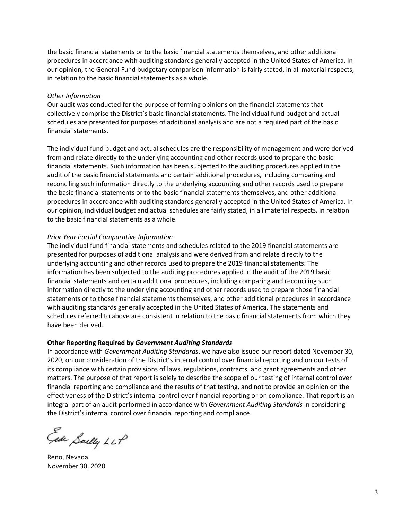the basic financial statements or to the basic financial statements themselves, and other additional procedures in accordance with auditing standards generally accepted in the United States of America. In our opinion, the General Fund budgetary comparison information is fairly stated, in all material respects, in relation to the basic financial statements as a whole.

#### *Other Information*

Our audit was conducted for the purpose of forming opinions on the financial statements that collectively comprise the District's basic financial statements. The individual fund budget and actual schedules are presented for purposes of additional analysis and are not a required part of the basic financial statements.

The individual fund budget and actual schedules are the responsibility of management and were derived from and relate directly to the underlying accounting and other records used to prepare the basic financial statements. Such information has been subjected to the auditing procedures applied in the audit of the basic financial statements and certain additional procedures, including comparing and reconciling such information directly to the underlying accounting and other records used to prepare the basic financial statements or to the basic financial statements themselves, and other additional procedures in accordance with auditing standards generally accepted in the United States of America. In our opinion, individual budget and actual schedules are fairly stated, in all material respects, in relation to the basic financial statements as a whole.

#### *Prior Year Partial Comparative Information*

The individual fund financial statements and schedules related to the 2019 financial statements are presented for purposes of additional analysis and were derived from and relate directly to the underlying accounting and other records used to prepare the 2019 financial statements. The information has been subjected to the auditing procedures applied in the audit of the 2019 basic financial statements and certain additional procedures, including comparing and reconciling such information directly to the underlying accounting and other records used to prepare those financial statements or to those financial statements themselves, and other additional procedures in accordance with auditing standards generally accepted in the United States of America. The statements and schedules referred to above are consistent in relation to the basic financial statements from which they have been derived.

#### **Other Reporting Required by** *Government Auditing Standards*

In accordance with *Government Auditing Standards*, we have also issued our report dated November 30, 2020, on our consideration of the District's internal control over financial reporting and on our tests of its compliance with certain provisions of laws, regulations, contracts, and grant agreements and other matters. The purpose of that report is solely to describe the scope of our testing of internal control over financial reporting and compliance and the results of that testing, and not to provide an opinion on the effectiveness of the District's internal control over financial reporting or on compliance. That report is an integral part of an audit performed in accordance with *Government Auditing Standards* in considering the District's internal control over financial reporting and compliance.

Gede Sailly LLP

Reno, Nevada November 30, 2020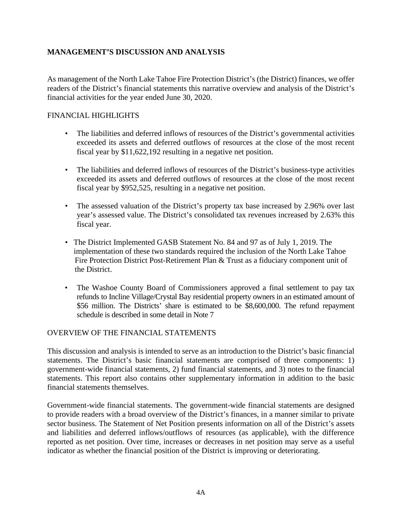## **MANAGEMENT'S DISCUSSION AND ANALYSIS**

As management of the North Lake Tahoe Fire Protection District's (the District) finances, we offer readers of the District's financial statements this narrative overview and analysis of the District's financial activities for the year ended June 30, 2020.

## FINANCIAL HIGHLIGHTS

- The liabilities and deferred inflows of resources of the District's governmental activities exceeded its assets and deferred outflows of resources at the close of the most recent fiscal year by \$11,622,192 resulting in a negative net position.
- The liabilities and deferred inflows of resources of the District's business-type activities exceeded its assets and deferred outflows of resources at the close of the most recent fiscal year by \$952,525, resulting in a negative net position.
- The assessed valuation of the District's property tax base increased by 2.96% over last year's assessed value. The District's consolidated tax revenues increased by 2.63% this fiscal year.
- The District Implemented GASB Statement No. 84 and 97 as of July 1, 2019. The implementation of these two standards required the inclusion of the North Lake Tahoe Fire Protection District Post-Retirement Plan & Trust as a fiduciary component unit of the District.
- The Washoe County Board of Commissioners approved a final settlement to pay tax refunds to Incline Village/Crystal Bay residential property owners in an estimated amount of \$56 million. The Districts' share is estimated to be \$8,600,000. The refund repayment schedule is described in some detail in Note 7

## OVERVIEW OF THE FINANCIAL STATEMENTS

This discussion and analysis is intended to serve as an introduction to the District's basic financial statements. The District's basic financial statements are comprised of three components: 1) government-wide financial statements, 2) fund financial statements, and 3) notes to the financial statements. This report also contains other supplementary information in addition to the basic financial statements themselves.

Government-wide financial statements. The government-wide financial statements are designed to provide readers with a broad overview of the District's finances, in a manner similar to private sector business. The Statement of Net Position presents information on all of the District's assets and liabilities and deferred inflows/outflows of resources (as applicable), with the difference reported as net position. Over time, increases or decreases in net position may serve as a useful indicator as whether the financial position of the District is improving or deteriorating.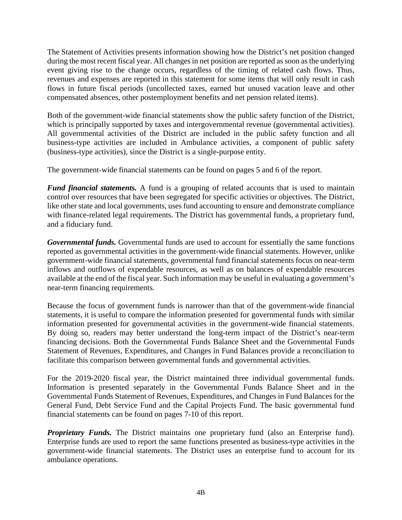The Statement of Activities presents information showing how the District's net position changed during the most recent fiscal year. All changes in net position are reported as soon as the underlying event giving rise to the change occurs, regardless of the timing of related cash flows. Thus, revenues and expenses are reported in this statement for some items that will only result in cash flows in future fiscal periods (uncollected taxes, earned but unused vacation leave and other compensated absences, other postemployment benefits and net pension related items).

Both of the government-wide financial statements show the public safety function of the District, which is principally supported by taxes and intergovernmental revenue (governmental activities). All governmental activities of the District are included in the public safety function and all business-type activities are included in Ambulance activities, a component of public safety (business-type activities), since the District is a single-purpose entity.

The government-wide financial statements can be found on pages 5 and 6 of the report.

*Fund financial statements.* A fund is a grouping of related accounts that is used to maintain control over resources that have been segregated for specific activities or objectives. The District, like other state and local governments, uses fund accounting to ensure and demonstrate compliance with finance-related legal requirements. The District has governmental funds, a proprietary fund, and a fiduciary fund.

*Governmental funds.* Governmental funds are used to account for essentially the same functions reported as governmental activities in the government-wide financial statements. However, unlike government-wide financial statements, governmental fund financial statements focus on near-term inflows and outflows of expendable resources, as well as on balances of expendable resources available at the end of the fiscal year. Such information may be useful in evaluating a government's near-term financing requirements.

Because the focus of government funds is narrower than that of the government-wide financial statements, it is useful to compare the information presented for governmental funds with similar information presented for governmental activities in the government-wide financial statements. By doing so, readers may better understand the long-term impact of the District's near-term financing decisions. Both the Governmental Funds Balance Sheet and the Governmental Funds Statement of Revenues, Expenditures, and Changes in Fund Balances provide a reconciliation to facilitate this comparison between governmental funds and governmental activities.

For the 2019-2020 fiscal year, the District maintained three individual governmental funds. Information is presented separately in the Governmental Funds Balance Sheet and in the Governmental Funds Statement of Revenues, Expenditures, and Changes in Fund Balances for the General Fund, Debt Service Fund and the Capital Projects Fund. The basic governmental fund financial statements can be found on pages 7-10 of this report.

*Proprietary Funds.* The District maintains one proprietary fund (also an Enterprise fund). Enterprise funds are used to report the same functions presented as business-type activities in the government-wide financial statements. The District uses an enterprise fund to account for its ambulance operations.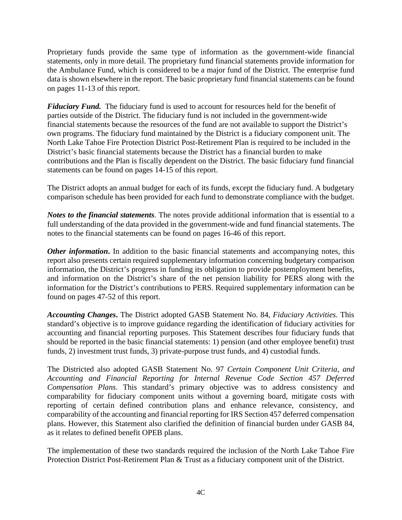Proprietary funds provide the same type of information as the government-wide financial statements, only in more detail. The proprietary fund financial statements provide information for the Ambulance Fund, which is considered to be a major fund of the District. The enterprise fund data is shown elsewhere in the report. The basic proprietary fund financial statements can be found on pages 11-13 of this report.

*Fiduciary Fund.* The fiduciary fund is used to account for resources held for the benefit of parties outside of the District. The fiduciary fund is not included in the government-wide financial statements because the resources of the fund are not available to support the District's own programs. The fiduciary fund maintained by the District is a fiduciary component unit. The North Lake Tahoe Fire Protection District Post-Retirement Plan is required to be included in the District's basic financial statements because the District has a financial burden to make contributions and the Plan is fiscally dependent on the District. The basic fiduciary fund financial statements can be found on pages 14-15 of this report.

The District adopts an annual budget for each of its funds, except the fiduciary fund. A budgetary comparison schedule has been provided for each fund to demonstrate compliance with the budget.

*Notes to the financial statements*. The notes provide additional information that is essential to a full understanding of the data provided in the government-wide and fund financial statements. The notes to the financial statements can be found on pages 16-46 of this report.

**Other information.** In addition to the basic financial statements and accompanying notes, this report also presents certain required supplementary information concerning budgetary comparison information, the District's progress in funding its obligation to provide postemployment benefits, and information on the District's share of the net pension liability for PERS along with the information for the District's contributions to PERS. Required supplementary information can be found on pages 47-52 of this report.

*Accounting Changes***.** The District adopted GASB Statement No. 84, *Fiduciary Activities*. This standard's objective is to improve guidance regarding the identification of fiduciary activities for accounting and financial reporting purposes. This Statement describes four fiduciary funds that should be reported in the basic financial statements: 1) pension (and other employee benefit) trust funds, 2) investment trust funds, 3) private-purpose trust funds, and 4) custodial funds.

The Districted also adopted GASB Statement No. 97 *Certain Component Unit Criteria, and Accounting and Financial Reporting for Internal Revenue Code Section 457 Deferred Compensation Plans*. This standard's primary objective was to address consistency and comparability for fiduciary component units without a governing board, mitigate costs with reporting of certain defined contribution plans and enhance relevance, consistency, and comparability of the accounting and financial reporting for IRS Section 457 deferred compensation plans. However, this Statement also clarified the definition of financial burden under GASB 84, as it relates to defined benefit OPEB plans.

The implementation of these two standards required the inclusion of the North Lake Tahoe Fire Protection District Post-Retirement Plan & Trust as a fiduciary component unit of the District.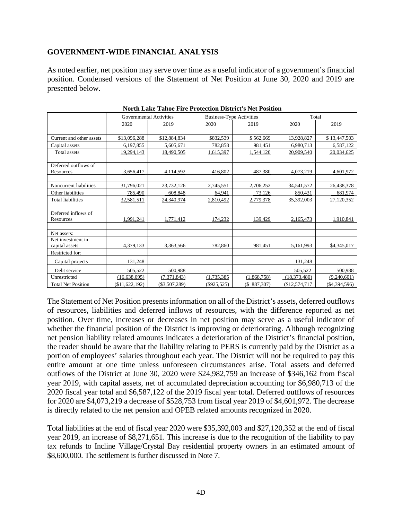## **GOVERNMENT-WIDE FINANCIAL ANALYSIS**

As noted earlier, net position may serve over time as a useful indicator of a government's financial position. Condensed versions of the Statement of Net Position at June 30, 2020 and 2019 are presented below.

|                           |                         |                 |                                 |               | Total          |                 |  |
|---------------------------|-------------------------|-----------------|---------------------------------|---------------|----------------|-----------------|--|
|                           | Governmental Activities |                 | <b>Business-Type Activities</b> |               |                |                 |  |
|                           | 2020                    | 2019            | 2020                            | 2019          | 2020           | 2019            |  |
|                           |                         |                 |                                 |               |                |                 |  |
| Current and other assets  | \$13,096,288            | \$12,884,834    | \$832,539                       | \$562,669     | 13,928,827     | \$13,447,503    |  |
| Capital assets            | 6,197,855               | 5,605,671       | 782,858                         | 981,451       | 6,980,713      | 6,587,122       |  |
| Total assets              | 19,294,143              | 18,490,505      | 1,615,397                       | 1,544,120     | 20,909,540     | 20,034,625      |  |
|                           |                         |                 |                                 |               |                |                 |  |
| Deferred outflows of      |                         |                 |                                 |               |                |                 |  |
| Resources                 | 3,656,417               | 4,114,592       | 416,802                         | 487,380       | 4,073,219      | 4,601,972       |  |
|                           |                         |                 |                                 |               |                |                 |  |
| Noncurrent liabilities    | 31,796,021              | 23,732,126      | 2,745,551                       | 2,706,252     | 34,541,572     | 26,438,378      |  |
| Other liabilities         | 785,490                 | 608.848         | 64.941                          | 73,126        | 850,431        | 681,974         |  |
| <b>Total liabilities</b>  | 32,581,511              | 24,340,974      | 2,810,492                       | 2,779,378     | 35,392,003     | 27,120,352      |  |
|                           |                         |                 |                                 |               |                |                 |  |
| Deferred inflows of       |                         |                 |                                 |               |                |                 |  |
| Resources                 | 1.991.241               | 1,771,412       | 174,232                         | 139,429       | 2,165,473      | 1,910,841       |  |
|                           |                         |                 |                                 |               |                |                 |  |
| Net assets:               |                         |                 |                                 |               |                |                 |  |
| Net investment in         |                         |                 |                                 |               |                |                 |  |
| capital assets            | 4,379,133               | 3,363,566       | 782.860                         | 981,451       | 5,161,993      | \$4,345,017     |  |
| Restricted for:           |                         |                 |                                 |               |                |                 |  |
| Capital projects          | 131,248                 |                 |                                 |               | 131,248        |                 |  |
| Debt service              | 505,522                 | 500,988         |                                 |               | 505,522        | 500,988         |  |
| Unrestricted              | (16, 638, 095)          | (7,371,843)     | (1,735,385)                     | (1,868,758)   | (18, 373, 480) | (9,240,601)     |  |
| <b>Total Net Position</b> | (\$11,622,192)          | $(\$3,507,289)$ | $(\$925,525)$                   | $(\$887,307)$ | (\$12,574,717  | $(\$4,394,596)$ |  |

**North Lake Tahoe Fire Protection District's Net Position**

The Statement of Net Position presents information on all of the District's assets, deferred outflows of resources, liabilities and deferred inflows of resources, with the difference reported as net position. Over time, increases or decreases in net position may serve as a useful indicator of whether the financial position of the District is improving or deteriorating. Although recognizing net pension liability related amounts indicates a deterioration of the District's financial position, the reader should be aware that the liability relating to PERS is currently paid by the District as a portion of employees' salaries throughout each year. The District will not be required to pay this entire amount at one time unless unforeseen circumstances arise. Total assets and deferred outflows of the District at June 30, 2020 were \$24,982,759 an increase of \$346,162 from fiscal year 2019, with capital assets, net of accumulated depreciation accounting for \$6,980,713 of the 2020 fiscal year total and \$6,587,122 of the 2019 fiscal year total. Deferred outflows of resources for 2020 are \$4,073,219 a decrease of \$528,753 from fiscal year 2019 of \$4,601,972. The decrease is directly related to the net pension and OPEB related amounts recognized in 2020.

Total liabilities at the end of fiscal year 2020 were \$35,392,003 and \$27,120,352 at the end of fiscal year 2019, an increase of \$8,271,651. This increase is due to the recognition of the liability to pay tax refunds to Incline Village/Crystal Bay residential property owners in an estimated amount of \$8,600,000. The settlement is further discussed in Note 7.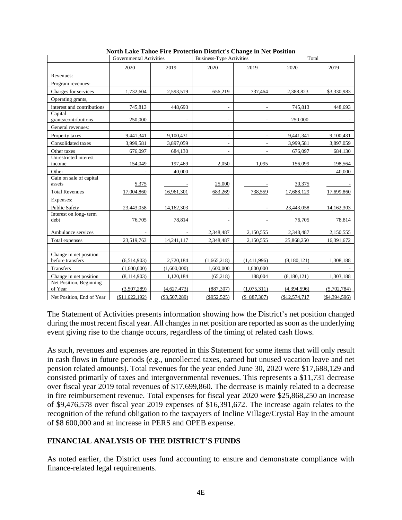|                                            | <b>Governmental Activities</b> |                 | <b>Business-Type Activities</b> |                          | Total        |                |
|--------------------------------------------|--------------------------------|-----------------|---------------------------------|--------------------------|--------------|----------------|
|                                            | 2020                           | 2019            | 2020                            | 2019                     | 2020         | 2019           |
| Revenues:                                  |                                |                 |                                 |                          |              |                |
| Program revenues:                          |                                |                 |                                 |                          |              |                |
| Charges for services                       | 1,732,604                      | 2,593,519       | 656,219                         | 737,464                  | 2,388,823    | \$3,330,983    |
| Operating grants,                          |                                |                 |                                 |                          |              |                |
| interest and contributions                 | 745,813                        | 448.693         | ٠                               |                          | 745,813      | 448.693        |
| Capital<br>grants/contributions            | 250,000                        |                 | ٠                               |                          | 250,000      |                |
| General revenues:                          |                                |                 |                                 |                          |              |                |
| Property taxes                             | 9,441,341                      | 9,100,431       | $\overline{\phantom{a}}$        | ٠                        | 9,441,341    | 9,100,431      |
| Consolidated taxes                         | 3,999,581                      | 3,897,059       | $\overline{\phantom{a}}$        | $\overline{\phantom{a}}$ | 3,999,581    | 3,897,059      |
| Other taxes                                | 676,097                        | 684,130         | $\blacksquare$                  | $\overline{\phantom{a}}$ | 676,097      | 684,130        |
| Unrestricted interest<br>income            | 154,049                        | 197,469         | 2,050                           | 1,095                    | 156,099      | 198,564        |
| Other                                      |                                | 40,000          | ÷.                              | $\overline{a}$           |              | 40,000         |
| Gain on sale of capital<br>assets          | 5,375                          |                 | 25,000                          |                          | 30,375       |                |
| <b>Total Revenues</b>                      | 17,004,860                     | 16,961,301      | 683.269                         | 738,559                  | 17.688.129   | 17.699.860     |
| Expenses:                                  |                                |                 |                                 |                          |              |                |
| Public Safety                              | 23,443,058                     | 14, 162, 303    | ÷.                              | ٠                        | 23,443,058   | 14,162,303     |
| Interest on long-term<br>debt              | 76,705                         | 78,814          |                                 |                          | 76,705       | 78,814         |
| Ambulance services                         |                                |                 | 2,348,487                       | 2,150,555                | 2,348,487    | 2,150,555      |
| Total expenses                             | 23,519,763                     | 14,241,117      | 2,348,487                       | 2,150,555                | 25,868,250   | 16,391,672     |
|                                            |                                |                 |                                 |                          |              |                |
| Change in net position<br>before transfers | (6,514,903)                    | 2,720,184       | (1,665,218)                     | (1,411,996)              | (8,180,121)  | 1,308,188      |
| <b>Transfers</b>                           | (1,600,000)                    | (1,600,000)     | 1,600,000                       | 1,600,000                |              |                |
| Change in net position                     | (8, 114, 903)                  | 1,120,184       | (65,218)                        | 188,004                  | (8,180,121)  | 1,303,188      |
| Net Position, Beginning<br>of Year         | (3,507,289)                    | (4,627,473)     | (887, 307)                      | (1,075,311)              | (4,394,596)  | (5,702,784)    |
| Net Position, End of Year                  | (\$11,622,192)                 | $(\$3,507,289)$ | $(\$952,525)$                   | (S 887, 307)             | \$12,574,717 | ( \$4,394,596) |

**North Lake Tahoe Fire Protection District's Change in Net Position**

The Statement of Activities presents information showing how the District's net position changed during the most recent fiscal year. All changes in net position are reported as soon as the underlying event giving rise to the change occurs, regardless of the timing of related cash flows.

As such, revenues and expenses are reported in this Statement for some items that will only result in cash flows in future periods (e.g., uncollected taxes, earned but unused vacation leave and net pension related amounts). Total revenues for the year ended June 30, 2020 were \$17,688,129 and consisted primarily of taxes and intergovernmental revenues. This represents a \$11,731 decrease over fiscal year 2019 total revenues of \$17,699,860. The decrease is mainly related to a decrease in fire reimbursement revenue. Total expenses for fiscal year 2020 were \$25,868,250 an increase of \$9,476,578 over fiscal year 2019 expenses of \$16,391,672. The increase again relates to the recognition of the refund obligation to the taxpayers of Incline Village/Crystal Bay in the amount of \$8 600,000 and an increase in PERS and OPEB expense.

# **FINANCIAL ANALYSIS OF THE DISTRICT'S FUNDS**

As noted earlier, the District uses fund accounting to ensure and demonstrate compliance with finance-related legal requirements.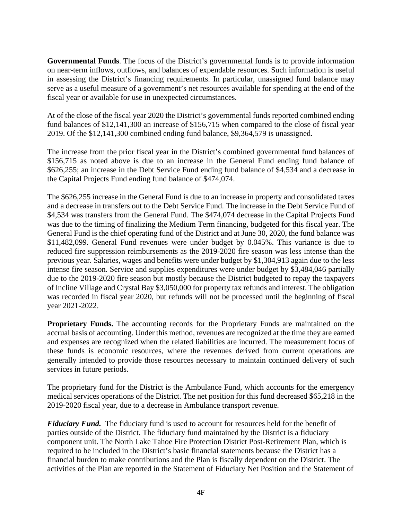**Governmental Funds**. The focus of the District's governmental funds is to provide information on near-term inflows, outflows, and balances of expendable resources. Such information is useful in assessing the District's financing requirements. In particular, unassigned fund balance may serve as a useful measure of a government's net resources available for spending at the end of the fiscal year or available for use in unexpected circumstances.

At of the close of the fiscal year 2020 the District's governmental funds reported combined ending fund balances of \$12,141,300 an increase of \$156,715 when compared to the close of fiscal year 2019. Of the \$12,141,300 combined ending fund balance, \$9,364,579 is unassigned.

The increase from the prior fiscal year in the District's combined governmental fund balances of \$156,715 as noted above is due to an increase in the General Fund ending fund balance of \$626,255; an increase in the Debt Service Fund ending fund balance of \$4,534 and a decrease in the Capital Projects Fund ending fund balance of \$474,074.

The \$626,255 increase in the General Fund is due to an increase in property and consolidated taxes and a decrease in transfers out to the Debt Service Fund. The increase in the Debt Service Fund of \$4,534 was transfers from the General Fund. The \$474,074 decrease in the Capital Projects Fund was due to the timing of finalizing the Medium Term financing, budgeted for this fiscal year. The General Fund is the chief operating fund of the District and at June 30, 2020, the fund balance was \$11,482,099. General Fund revenues were under budget by 0.045%. This variance is due to reduced fire suppression reimbursements as the 2019-2020 fire season was less intense than the previous year. Salaries, wages and benefits were under budget by \$1,304,913 again due to the less intense fire season. Service and supplies expenditures were under budget by \$3,484,046 partially due to the 2019-2020 fire season but mostly because the District budgeted to repay the taxpayers of Incline Village and Crystal Bay \$3,050,000 for property tax refunds and interest. The obligation was recorded in fiscal year 2020, but refunds will not be processed until the beginning of fiscal year 2021-2022.

**Proprietary Funds.** The accounting records for the Proprietary Funds are maintained on the accrual basis of accounting. Under this method, revenues are recognized at the time they are earned and expenses are recognized when the related liabilities are incurred. The measurement focus of these funds is economic resources, where the revenues derived from current operations are generally intended to provide those resources necessary to maintain continued delivery of such services in future periods.

The proprietary fund for the District is the Ambulance Fund, which accounts for the emergency medical services operations of the District. The net position for this fund decreased \$65,218 in the 2019-2020 fiscal year, due to a decrease in Ambulance transport revenue.

*Fiduciary Fund.* The fiduciary fund is used to account for resources held for the benefit of parties outside of the District. The fiduciary fund maintained by the District is a fiduciary component unit. The North Lake Tahoe Fire Protection District Post-Retirement Plan, which is required to be included in the District's basic financial statements because the District has a financial burden to make contributions and the Plan is fiscally dependent on the District. The activities of the Plan are reported in the Statement of Fiduciary Net Position and the Statement of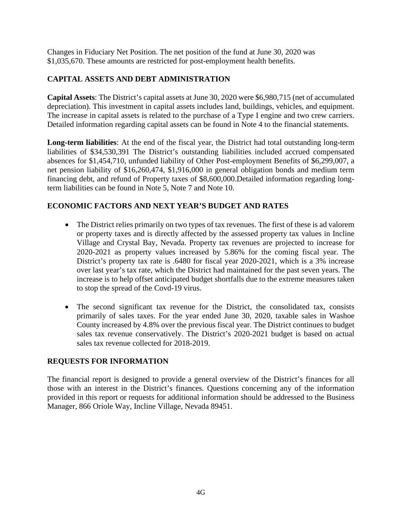Changes in Fiduciary Net Position. The net position of the fund at June 30, 2020 was \$1,035,670. These amounts are restricted for post-employment health benefits.

## **CAPITAL ASSETS AND DEBT ADMINISTRATION**

**Capital Assets**: The District's capital assets at June 30, 2020 were \$6,980,715 (net of accumulated depreciation). This investment in capital assets includes land, buildings, vehicles, and equipment. The increase in capital assets is related to the purchase of a Type I engine and two crew carriers. Detailed information regarding capital assets can be found in Note 4 to the financial statements.

**Long-term liabilities**: At the end of the fiscal year, the District had total outstanding long-term liabilities of \$34,530,391 The District's outstanding liabilities included accrued compensated absences for \$1,454,710, unfunded liability of Other Post-employment Benefits of \$6,299,007, a net pension liability of \$16,260,474, \$1,916,000 in general obligation bonds and medium term financing debt, and refund of Property taxes of \$8,600,000.Detailed information regarding longterm liabilities can be found in Note 5, Note 7 and Note 10.

## **ECONOMIC FACTORS AND NEXT YEAR'S BUDGET AND RATES**

- The District relies primarily on two types of tax revenues. The first of these is ad valorem or property taxes and is directly affected by the assessed property tax values in Incline Village and Crystal Bay, Nevada. Property tax revenues are projected to increase for 2020-2021 as property values increased by 5.86% for the coming fiscal year. The District's property tax rate is .6480 for fiscal year 2020-2021, which is a 3% increase over last year's tax rate, which the District had maintained for the past seven years. The increase is to help offset anticipated budget shortfalls due to the extreme measures taken to stop the spread of the Covd-19 virus.
- The second significant tax revenue for the District, the consolidated tax, consists primarily of sales taxes. For the year ended June 30, 2020, taxable sales in Washoe County increased by 4.8% over the previous fiscal year. The District continues to budget sales tax revenue conservatively. The District's 2020-2021 budget is based on actual sales tax revenue collected for 2018-2019.

## **REQUESTS FOR INFORMATION**

The financial report is designed to provide a general overview of the District's finances for all those with an interest in the District's finances. Questions concerning any of the information provided in this report or requests for additional information should be addressed to the Business Manager, 866 Oriole Way, Incline Village, Nevada 89451.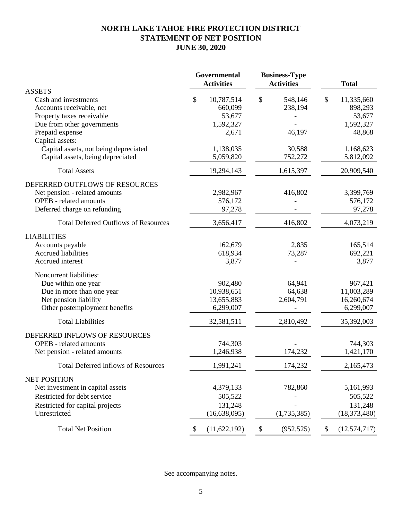## **NORTH LAKE TAHOE FIRE PROTECTION DISTRICT STATEMENT OF NET POSITION JUNE 30, 2020**

|                                             | Governmental<br><b>Activities</b> | <b>Business-Type</b><br><b>Activities</b> | <b>Total</b>         |
|---------------------------------------------|-----------------------------------|-------------------------------------------|----------------------|
| <b>ASSETS</b><br>Cash and investments       | \$<br>10,787,514                  | \$<br>548,146                             | \$<br>11,335,660     |
| Accounts receivable, net                    | 660,099                           | 238,194                                   | 898,293              |
| Property taxes receivable                   | 53,677                            |                                           | 53,677               |
| Due from other governments                  | 1,592,327                         |                                           | 1,592,327            |
| Prepaid expense                             | 2,671                             | 46,197                                    | 48,868               |
| Capital assets:                             |                                   |                                           |                      |
| Capital assets, not being depreciated       | 1,138,035                         | 30,588                                    | 1,168,623            |
| Capital assets, being depreciated           | 5,059,820                         | 752,272                                   | 5,812,092            |
| <b>Total Assets</b>                         | 19,294,143                        | 1,615,397                                 | 20,909,540           |
| DEFERRED OUTFLOWS OF RESOURCES              |                                   |                                           |                      |
| Net pension - related amounts               | 2,982,967                         | 416,802                                   | 3,399,769            |
| <b>OPEB</b> - related amounts               | 576,172                           |                                           | 576,172              |
| Deferred charge on refunding                | 97,278                            |                                           | 97,278               |
| <b>Total Deferred Outflows of Resources</b> | 3,656,417                         | 416,802                                   | 4,073,219            |
| <b>LIABILITIES</b>                          |                                   |                                           |                      |
| Accounts payable                            | 162,679                           | 2,835                                     | 165,514              |
| Accrued liabilities                         | 618,934                           | 73,287                                    | 692,221              |
| Accrued interest                            | 3,877                             |                                           | 3,877                |
| Noncurrent liabilities:                     |                                   |                                           |                      |
| Due within one year                         | 902,480                           | 64,941                                    | 967,421              |
| Due in more than one year                   | 10,938,651                        | 64,638                                    | 11,003,289           |
| Net pension liability                       | 13,655,883                        | 2,604,791                                 | 16,260,674           |
| Other postemployment benefits               | 6,299,007                         |                                           | 6,299,007            |
| <b>Total Liabilities</b>                    | 32,581,511                        | 2,810,492                                 | 35,392,003           |
| DEFERRED INFLOWS OF RESOURCES               |                                   |                                           |                      |
| <b>OPEB</b> - related amounts               | 744,303                           |                                           | 744,303              |
| Net pension - related amounts               | 1,246,938                         | 174,232                                   | 1,421,170            |
| <b>Total Deferred Inflows of Resources</b>  | 1,991,241                         | 174,232                                   | 2,165,473            |
| <b>NET POSITION</b>                         |                                   |                                           |                      |
| Net investment in capital assets            | 4,379,133                         | 782,860                                   | 5,161,993            |
| Restricted for debt service                 | 505,522                           |                                           | 505,522              |
| Restricted for capital projects             | 131,248                           |                                           | 131,248              |
| Unrestricted                                | (16, 638, 095)                    | (1,735,385)                               | (18, 373, 480)       |
| <b>Total Net Position</b>                   | \$<br>(11,622,192)                | $\$$<br>(952, 525)                        | \$<br>(12, 574, 717) |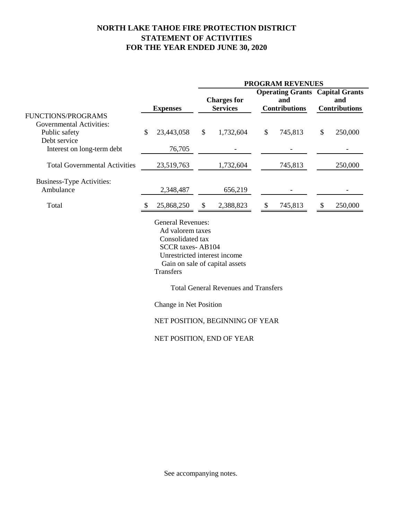# **NORTH LAKE TAHOE FIRE PROTECTION DISTRICT STATEMENT OF ACTIVITIES FOR THE YEAR ENDED JUNE 30, 2020**

|                                                              |                 |                                                                                                                                                                            |               |                                       | <b>PROGRAM REVENUES</b>     |                                                                       |         |  |
|--------------------------------------------------------------|-----------------|----------------------------------------------------------------------------------------------------------------------------------------------------------------------------|---------------|---------------------------------------|-----------------------------|-----------------------------------------------------------------------|---------|--|
|                                                              | <b>Expenses</b> |                                                                                                                                                                            |               | <b>Charges for</b><br><b>Services</b> | and<br><b>Contributions</b> | <b>Operating Grants Capital Grants</b><br>and<br><b>Contributions</b> |         |  |
| <b>FUNCTIONS/PROGRAMS</b><br><b>Governmental Activities:</b> |                 |                                                                                                                                                                            |               |                                       |                             |                                                                       |         |  |
| Public safety<br>Debt service                                | \$              | 23,443,058                                                                                                                                                                 | \$            | 1,732,604                             | \$<br>745,813               | \$                                                                    | 250,000 |  |
| Interest on long-term debt                                   |                 | 76,705                                                                                                                                                                     |               |                                       |                             |                                                                       |         |  |
| <b>Total Governmental Activities</b>                         |                 | 23,519,763                                                                                                                                                                 |               | 1,732,604                             | 745,813                     |                                                                       | 250,000 |  |
| <b>Business-Type Activities:</b><br>Ambulance                |                 | 2,348,487                                                                                                                                                                  |               | 656,219                               |                             |                                                                       |         |  |
| Total                                                        |                 | 25,868,250                                                                                                                                                                 | $\mathcal{S}$ | 2,388,823                             | \$<br>745,813               | \$                                                                    | 250,000 |  |
|                                                              |                 | <b>General Revenues:</b><br>Ad valorem taxes<br>Consolidated tax<br><b>SCCR</b> taxes-AB104<br>Unrestricted interest income<br>Gain on sale of capital assets<br>Transfers |               |                                       |                             |                                                                       |         |  |

Total General Revenues and Transfers

Change in Net Position

NET POSITION, BEGINNING OF YEAR

NET POSITION, END OF YEAR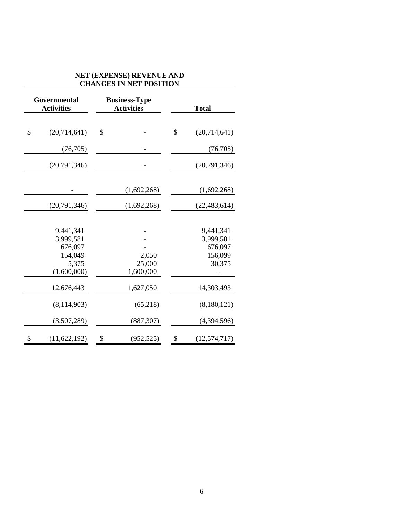#### **NET (EXPENSE) REVENUE AND CHANGES IN NET POSITION**

| <b>Business-Type</b><br>Governmental<br><b>Activities</b><br><b>Activities</b> |    |                              |    | <b>Total</b>                                           |
|--------------------------------------------------------------------------------|----|------------------------------|----|--------------------------------------------------------|
| \$<br>(20,714,641)                                                             | \$ |                              | \$ | (20,714,641)                                           |
| (76, 705)                                                                      |    |                              |    | (76, 705)                                              |
| (20,791,346)                                                                   |    |                              |    | (20, 791, 346)                                         |
|                                                                                |    | (1,692,268)                  |    | (1,692,268)                                            |
| (20,791,346)                                                                   |    | (1,692,268)                  |    | (22, 483, 614)                                         |
| 9,441,341<br>3,999,581<br>676,097<br>154,049<br>5,375<br>(1,600,000)           |    | 2,050<br>25,000<br>1,600,000 |    | 9,441,341<br>3,999,581<br>676,097<br>156,099<br>30,375 |
| 12,676,443                                                                     |    | 1,627,050                    |    | 14,303,493                                             |
| (8,114,903)                                                                    |    | (65,218)                     |    | (8,180,121)                                            |
| (3,507,289)                                                                    |    | (887, 307)                   |    | (4,394,596)                                            |
| \$<br>(11,622,192)                                                             | \$ | (952, 525)                   | \$ | (12, 574, 717)                                         |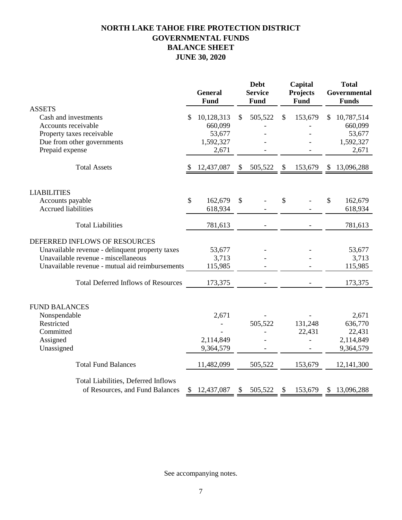# **NORTH LAKE TAHOE FIRE PROTECTION DISTRICT GOVERNMENTAL FUNDS BALANCE SHEET JUNE 30, 2020**

|                                                                                           |                                                                                                                                                                                                                          |     | <b>General</b><br>Fund                                |               | <b>Debt</b><br><b>Service</b><br>Fund | Capital<br>Projects<br>Fund |              | <b>Total</b><br>Governmental<br><b>Funds</b>          |
|-------------------------------------------------------------------------------------------|--------------------------------------------------------------------------------------------------------------------------------------------------------------------------------------------------------------------------|-----|-------------------------------------------------------|---------------|---------------------------------------|-----------------------------|--------------|-------------------------------------------------------|
| <b>ASSETS</b><br>Cash and investments<br>Accounts receivable<br>Prepaid expense           | Property taxes receivable<br>Due from other governments                                                                                                                                                                  | \$  | 10,128,313<br>660,099<br>53,677<br>1,592,327<br>2,671 | \$            | 505,522                               | \$<br>153,679               | \$           | 10,787,514<br>660,099<br>53,677<br>1,592,327<br>2,671 |
|                                                                                           | <b>Total Assets</b>                                                                                                                                                                                                      | \$. | 12,437,087                                            | \$            | 505,522                               | \$<br>153,679               | \$           | 13,096,288                                            |
| <b>LIABILITIES</b><br>Accounts payable<br><b>Accrued liabilities</b>                      |                                                                                                                                                                                                                          | \$  | 162,679<br>618,934                                    | $\mathcal{S}$ | $\overline{a}$                        | \$                          | \$           | 162,679<br>618,934                                    |
|                                                                                           | <b>Total Liabilities</b>                                                                                                                                                                                                 |     | 781,613                                               |               |                                       |                             |              | 781,613                                               |
|                                                                                           | DEFERRED INFLOWS OF RESOURCES<br>Unavailable revenue - delinquent property taxes<br>Unavailable revenue - miscellaneous<br>Unavailable revenue - mutual aid reimbursements<br><b>Total Deferred Inflows of Resources</b> |     | 53,677<br>3,713<br>115,985<br>173,375                 |               |                                       |                             |              | 53,677<br>3,713<br>115,985<br>173,375                 |
| <b>FUND BALANCES</b><br>Nonspendable<br>Restricted<br>Committed<br>Assigned<br>Unassigned |                                                                                                                                                                                                                          |     | 2,671<br>2,114,849<br>9,364,579                       |               | 505,522                               | 131,248<br>22,431           |              | 2,671<br>636,770<br>22,431<br>2,114,849<br>9,364,579  |
|                                                                                           | <b>Total Fund Balances</b>                                                                                                                                                                                               |     | 11,482,099                                            |               | 505,522                               | 153,679                     |              | 12,141,300                                            |
|                                                                                           | Total Liabilities, Deferred Inflows<br>of Resources, and Fund Balances                                                                                                                                                   | \$  | 12,437,087                                            | \$            | 505,522                               | \$<br>153,679               | $\mathbb{S}$ | 13,096,288                                            |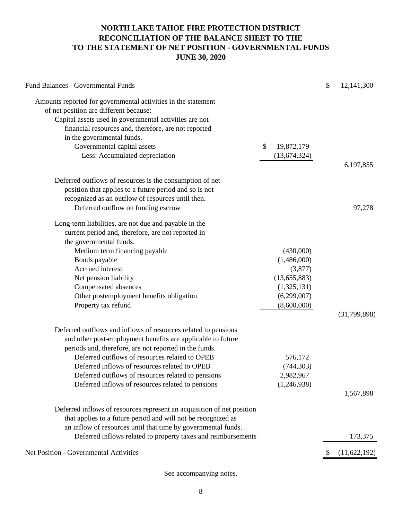# **NORTH LAKE TAHOE FIRE PROTECTION DISTRICT RECONCILIATION OF THE BALANCE SHEET TO THE TO THE STATEMENT OF NET POSITION - GOVERNMENTAL FUNDS JUNE 30, 2020**

| <b>Fund Balances - Governmental Funds</b>                              |                  | \$<br>12, 141, 300 |
|------------------------------------------------------------------------|------------------|--------------------|
| Amounts reported for governmental activities in the statement          |                  |                    |
| of net position are different because:                                 |                  |                    |
| Capital assets used in governmental activities are not                 |                  |                    |
| financial resources and, therefore, are not reported                   |                  |                    |
| in the governmental funds.                                             |                  |                    |
| Governmental capital assets                                            | \$<br>19,872,179 |                    |
| Less: Accumulated depreciation                                         | (13,674,324)     |                    |
|                                                                        |                  | 6,197,855          |
| Deferred outflows of resources is the consumption of net               |                  |                    |
| position that applies to a future period and so is not                 |                  |                    |
| recognized as an outflow of resources until then.                      |                  |                    |
| Deferred outflow on funding escrow                                     |                  | 97,278             |
| Long-term liabilities, are not due and payable in the                  |                  |                    |
| current period and, therefore, are not reported in                     |                  |                    |
| the governmental funds.                                                |                  |                    |
| Medium term financing payable                                          | (430,000)        |                    |
| Bonds payable                                                          | (1,486,000)      |                    |
| Accrued interest                                                       | (3,877)          |                    |
| Net pension liability                                                  | (13,655,883)     |                    |
| Compensated absences                                                   | (1,325,131)      |                    |
| Other postemployment benefits obligation                               | (6,299,007)      |                    |
| Property tax refund                                                    | (8,600,000)      |                    |
|                                                                        |                  | (31,799,898)       |
| Deferred outflows and inflows of resources related to pensions         |                  |                    |
| and other post-employment benefits are applicable to future            |                  |                    |
| periods and, therefore, are not reported in the funds.                 |                  |                    |
| Deferred outflows of resources related to OPEB                         | 576,172          |                    |
| Deferred inflows of resources related to OPEB                          | (744, 303)       |                    |
| Deferred outflows of resources related to pensions                     | 2,982,967        |                    |
| Deferred inflows of resources related to pensions                      | (1,246,938)      |                    |
|                                                                        |                  | 1,567,898          |
| Deferred inflows of resources represent an acquisition of net position |                  |                    |
| that applies to a future period and will not be recognized as          |                  |                    |
| an inflow of resources until that time by governmental funds.          |                  |                    |
| Deferred inflows related to property taxes and reimbursements          |                  | 173,375            |
| Net Position - Governmental Activities                                 |                  | (11,622,192)       |
|                                                                        |                  |                    |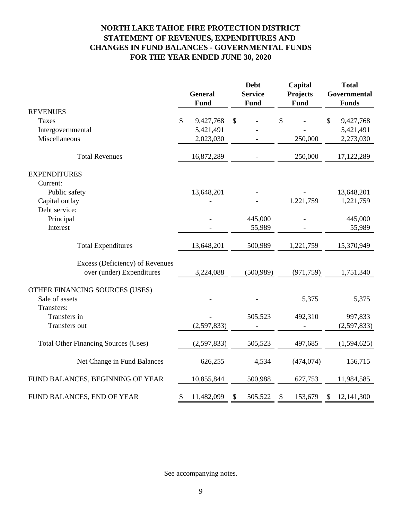# **NORTH LAKE TAHOE FIRE PROTECTION DISTRICT STATEMENT OF REVENUES, EXPENDITURES AND FOR THE YEAR ENDED JUNE 30, 2020 CHANGES IN FUND BALANCES - GOVERNMENTAL FUNDS**

|                                                              | <b>General</b><br><b>Fund</b> |               | <b>Debt</b><br><b>Service</b><br>Fund | Capital<br>Projects<br><b>Fund</b> | <b>Total</b><br>Governmental<br><b>Funds</b> |
|--------------------------------------------------------------|-------------------------------|---------------|---------------------------------------|------------------------------------|----------------------------------------------|
| <b>REVENUES</b>                                              |                               |               |                                       |                                    |                                              |
| Taxes                                                        | \$<br>9,427,768               | $\mathcal{S}$ |                                       | \$                                 | \$<br>9,427,768                              |
| Intergovernmental                                            | 5,421,491                     |               |                                       |                                    | 5,421,491                                    |
| Miscellaneous                                                | 2,023,030                     |               |                                       | 250,000                            | 2,273,030                                    |
| <b>Total Revenues</b>                                        | 16,872,289                    |               |                                       | 250,000                            | 17,122,289                                   |
| <b>EXPENDITURES</b>                                          |                               |               |                                       |                                    |                                              |
| Current:                                                     |                               |               |                                       |                                    |                                              |
| Public safety                                                | 13,648,201                    |               |                                       |                                    | 13,648,201                                   |
| Capital outlay                                               |                               |               |                                       | 1,221,759                          | 1,221,759                                    |
| Debt service:                                                |                               |               |                                       |                                    |                                              |
| Principal                                                    |                               |               | 445,000                               |                                    | 445,000                                      |
| Interest                                                     |                               |               | 55,989                                |                                    | 55,989                                       |
| <b>Total Expenditures</b>                                    | 13,648,201                    |               | 500,989                               | 1,221,759                          | 15,370,949                                   |
|                                                              |                               |               |                                       |                                    |                                              |
| Excess (Deficiency) of Revenues<br>over (under) Expenditures | 3,224,088                     |               | (500, 989)                            | (971, 759)                         | 1,751,340                                    |
|                                                              |                               |               |                                       |                                    |                                              |
| OTHER FINANCING SOURCES (USES)                               |                               |               |                                       |                                    |                                              |
| Sale of assets                                               |                               |               |                                       | 5,375                              | 5,375                                        |
| Transfers:                                                   |                               |               |                                       |                                    |                                              |
| Transfers in                                                 |                               |               | 505,523                               | 492,310                            | 997,833                                      |
| Transfers out                                                | (2,597,833)                   |               |                                       |                                    | (2,597,833)                                  |
| <b>Total Other Financing Sources (Uses)</b>                  | (2,597,833)                   |               | 505,523                               | 497,685                            | (1,594,625)                                  |
| Net Change in Fund Balances                                  | 626,255                       |               | 4,534                                 | (474, 074)                         | 156,715                                      |
| FUND BALANCES, BEGINNING OF YEAR                             | 10,855,844                    |               | 500,988                               | 627,753                            | 11,984,585                                   |
| FUND BALANCES, END OF YEAR                                   | \$<br>11,482,099              | \$            | 505,522                               | \$<br>153,679                      | \$<br>12,141,300                             |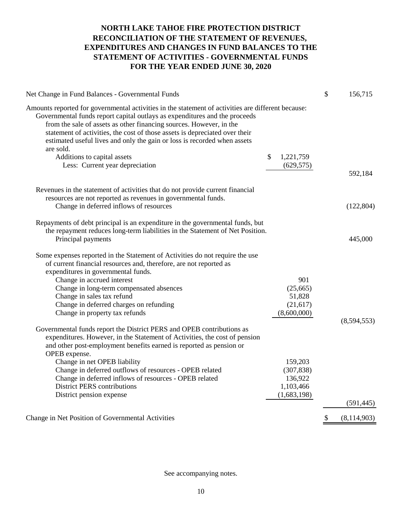# **FOR THE YEAR ENDED JUNE 30, 2020 NORTH LAKE TAHOE FIRE PROTECTION DISTRICT RECONCILIATION OF THE STATEMENT OF REVENUES, EXPENDITURES AND CHANGES IN FUND BALANCES TO THE STATEMENT OF ACTIVITIES - GOVERNMENTAL FUNDS**

| Amounts reported for governmental activities in the statement of activities are different because:<br>Governmental funds report capital outlays as expenditures and the proceeds<br>from the sale of assets as other financing sources. However, in the<br>statement of activities, the cost of those assets is depreciated over their<br>estimated useful lives and only the gain or loss is recorded when assets<br>are sold.<br>Additions to capital assets<br>\$<br>1,221,759<br>Less: Current year depreciation<br>(629, 575)<br>592,184<br>Revenues in the statement of activities that do not provide current financial<br>resources are not reported as revenues in governmental funds.<br>Change in deferred inflows of resources<br>(122, 804)<br>Repayments of debt principal is an expenditure in the governmental funds, but<br>the repayment reduces long-term liabilities in the Statement of Net Position.<br>Principal payments<br>445,000<br>Some expenses reported in the Statement of Activities do not require the use<br>of current financial resources and, therefore, are not reported as<br>expenditures in governmental funds.<br>Change in accrued interest<br>901<br>Change in long-term compensated absences<br>(25,665)<br>Change in sales tax refund<br>51,828<br>Change in deferred charges on refunding<br>(21, 617)<br>Change in property tax refunds<br>(8,600,000)<br>(8,594,553)<br>Governmental funds report the District PERS and OPEB contributions as<br>expenditures. However, in the Statement of Activities, the cost of pension<br>and other post-employment benefits earned is reported as pension or<br>OPEB expense.<br>Change in net OPEB liability<br>159,203<br>Change in deferred outflows of resources - OPEB related<br>(307, 838)<br>136,922<br>Change in deferred inflows of resources - OPEB related<br><b>District PERS contributions</b><br>1,103,466<br>District pension expense<br>(1,683,198)<br>(591, 445) | Net Change in Fund Balances - Governmental Funds  | \$ | 156,715 |
|---------------------------------------------------------------------------------------------------------------------------------------------------------------------------------------------------------------------------------------------------------------------------------------------------------------------------------------------------------------------------------------------------------------------------------------------------------------------------------------------------------------------------------------------------------------------------------------------------------------------------------------------------------------------------------------------------------------------------------------------------------------------------------------------------------------------------------------------------------------------------------------------------------------------------------------------------------------------------------------------------------------------------------------------------------------------------------------------------------------------------------------------------------------------------------------------------------------------------------------------------------------------------------------------------------------------------------------------------------------------------------------------------------------------------------------------------------------------------------------------------------------------------------------------------------------------------------------------------------------------------------------------------------------------------------------------------------------------------------------------------------------------------------------------------------------------------------------------------------------------------------------------------------------------------------------------------------------------------|---------------------------------------------------|----|---------|
|                                                                                                                                                                                                                                                                                                                                                                                                                                                                                                                                                                                                                                                                                                                                                                                                                                                                                                                                                                                                                                                                                                                                                                                                                                                                                                                                                                                                                                                                                                                                                                                                                                                                                                                                                                                                                                                                                                                                                                           |                                                   |    |         |
|                                                                                                                                                                                                                                                                                                                                                                                                                                                                                                                                                                                                                                                                                                                                                                                                                                                                                                                                                                                                                                                                                                                                                                                                                                                                                                                                                                                                                                                                                                                                                                                                                                                                                                                                                                                                                                                                                                                                                                           |                                                   |    |         |
|                                                                                                                                                                                                                                                                                                                                                                                                                                                                                                                                                                                                                                                                                                                                                                                                                                                                                                                                                                                                                                                                                                                                                                                                                                                                                                                                                                                                                                                                                                                                                                                                                                                                                                                                                                                                                                                                                                                                                                           |                                                   |    |         |
|                                                                                                                                                                                                                                                                                                                                                                                                                                                                                                                                                                                                                                                                                                                                                                                                                                                                                                                                                                                                                                                                                                                                                                                                                                                                                                                                                                                                                                                                                                                                                                                                                                                                                                                                                                                                                                                                                                                                                                           |                                                   |    |         |
|                                                                                                                                                                                                                                                                                                                                                                                                                                                                                                                                                                                                                                                                                                                                                                                                                                                                                                                                                                                                                                                                                                                                                                                                                                                                                                                                                                                                                                                                                                                                                                                                                                                                                                                                                                                                                                                                                                                                                                           |                                                   |    |         |
|                                                                                                                                                                                                                                                                                                                                                                                                                                                                                                                                                                                                                                                                                                                                                                                                                                                                                                                                                                                                                                                                                                                                                                                                                                                                                                                                                                                                                                                                                                                                                                                                                                                                                                                                                                                                                                                                                                                                                                           |                                                   |    |         |
|                                                                                                                                                                                                                                                                                                                                                                                                                                                                                                                                                                                                                                                                                                                                                                                                                                                                                                                                                                                                                                                                                                                                                                                                                                                                                                                                                                                                                                                                                                                                                                                                                                                                                                                                                                                                                                                                                                                                                                           |                                                   |    |         |
|                                                                                                                                                                                                                                                                                                                                                                                                                                                                                                                                                                                                                                                                                                                                                                                                                                                                                                                                                                                                                                                                                                                                                                                                                                                                                                                                                                                                                                                                                                                                                                                                                                                                                                                                                                                                                                                                                                                                                                           |                                                   |    |         |
|                                                                                                                                                                                                                                                                                                                                                                                                                                                                                                                                                                                                                                                                                                                                                                                                                                                                                                                                                                                                                                                                                                                                                                                                                                                                                                                                                                                                                                                                                                                                                                                                                                                                                                                                                                                                                                                                                                                                                                           |                                                   |    |         |
|                                                                                                                                                                                                                                                                                                                                                                                                                                                                                                                                                                                                                                                                                                                                                                                                                                                                                                                                                                                                                                                                                                                                                                                                                                                                                                                                                                                                                                                                                                                                                                                                                                                                                                                                                                                                                                                                                                                                                                           |                                                   |    |         |
|                                                                                                                                                                                                                                                                                                                                                                                                                                                                                                                                                                                                                                                                                                                                                                                                                                                                                                                                                                                                                                                                                                                                                                                                                                                                                                                                                                                                                                                                                                                                                                                                                                                                                                                                                                                                                                                                                                                                                                           |                                                   |    |         |
|                                                                                                                                                                                                                                                                                                                                                                                                                                                                                                                                                                                                                                                                                                                                                                                                                                                                                                                                                                                                                                                                                                                                                                                                                                                                                                                                                                                                                                                                                                                                                                                                                                                                                                                                                                                                                                                                                                                                                                           |                                                   |    |         |
|                                                                                                                                                                                                                                                                                                                                                                                                                                                                                                                                                                                                                                                                                                                                                                                                                                                                                                                                                                                                                                                                                                                                                                                                                                                                                                                                                                                                                                                                                                                                                                                                                                                                                                                                                                                                                                                                                                                                                                           |                                                   |    |         |
|                                                                                                                                                                                                                                                                                                                                                                                                                                                                                                                                                                                                                                                                                                                                                                                                                                                                                                                                                                                                                                                                                                                                                                                                                                                                                                                                                                                                                                                                                                                                                                                                                                                                                                                                                                                                                                                                                                                                                                           |                                                   |    |         |
|                                                                                                                                                                                                                                                                                                                                                                                                                                                                                                                                                                                                                                                                                                                                                                                                                                                                                                                                                                                                                                                                                                                                                                                                                                                                                                                                                                                                                                                                                                                                                                                                                                                                                                                                                                                                                                                                                                                                                                           |                                                   |    |         |
|                                                                                                                                                                                                                                                                                                                                                                                                                                                                                                                                                                                                                                                                                                                                                                                                                                                                                                                                                                                                                                                                                                                                                                                                                                                                                                                                                                                                                                                                                                                                                                                                                                                                                                                                                                                                                                                                                                                                                                           |                                                   |    |         |
|                                                                                                                                                                                                                                                                                                                                                                                                                                                                                                                                                                                                                                                                                                                                                                                                                                                                                                                                                                                                                                                                                                                                                                                                                                                                                                                                                                                                                                                                                                                                                                                                                                                                                                                                                                                                                                                                                                                                                                           |                                                   |    |         |
|                                                                                                                                                                                                                                                                                                                                                                                                                                                                                                                                                                                                                                                                                                                                                                                                                                                                                                                                                                                                                                                                                                                                                                                                                                                                                                                                                                                                                                                                                                                                                                                                                                                                                                                                                                                                                                                                                                                                                                           |                                                   |    |         |
|                                                                                                                                                                                                                                                                                                                                                                                                                                                                                                                                                                                                                                                                                                                                                                                                                                                                                                                                                                                                                                                                                                                                                                                                                                                                                                                                                                                                                                                                                                                                                                                                                                                                                                                                                                                                                                                                                                                                                                           |                                                   |    |         |
|                                                                                                                                                                                                                                                                                                                                                                                                                                                                                                                                                                                                                                                                                                                                                                                                                                                                                                                                                                                                                                                                                                                                                                                                                                                                                                                                                                                                                                                                                                                                                                                                                                                                                                                                                                                                                                                                                                                                                                           |                                                   |    |         |
|                                                                                                                                                                                                                                                                                                                                                                                                                                                                                                                                                                                                                                                                                                                                                                                                                                                                                                                                                                                                                                                                                                                                                                                                                                                                                                                                                                                                                                                                                                                                                                                                                                                                                                                                                                                                                                                                                                                                                                           |                                                   |    |         |
|                                                                                                                                                                                                                                                                                                                                                                                                                                                                                                                                                                                                                                                                                                                                                                                                                                                                                                                                                                                                                                                                                                                                                                                                                                                                                                                                                                                                                                                                                                                                                                                                                                                                                                                                                                                                                                                                                                                                                                           |                                                   |    |         |
|                                                                                                                                                                                                                                                                                                                                                                                                                                                                                                                                                                                                                                                                                                                                                                                                                                                                                                                                                                                                                                                                                                                                                                                                                                                                                                                                                                                                                                                                                                                                                                                                                                                                                                                                                                                                                                                                                                                                                                           |                                                   |    |         |
|                                                                                                                                                                                                                                                                                                                                                                                                                                                                                                                                                                                                                                                                                                                                                                                                                                                                                                                                                                                                                                                                                                                                                                                                                                                                                                                                                                                                                                                                                                                                                                                                                                                                                                                                                                                                                                                                                                                                                                           |                                                   |    |         |
|                                                                                                                                                                                                                                                                                                                                                                                                                                                                                                                                                                                                                                                                                                                                                                                                                                                                                                                                                                                                                                                                                                                                                                                                                                                                                                                                                                                                                                                                                                                                                                                                                                                                                                                                                                                                                                                                                                                                                                           |                                                   |    |         |
| \$<br>(8,114,903)                                                                                                                                                                                                                                                                                                                                                                                                                                                                                                                                                                                                                                                                                                                                                                                                                                                                                                                                                                                                                                                                                                                                                                                                                                                                                                                                                                                                                                                                                                                                                                                                                                                                                                                                                                                                                                                                                                                                                         | Change in Net Position of Governmental Activities |    |         |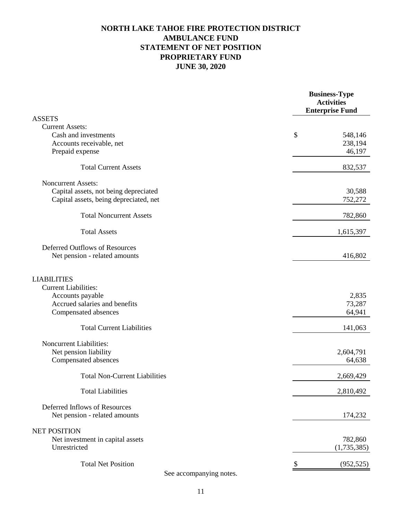# **JUNE 30, 2020 PROPRIETARY FUND STATEMENT OF NET POSITION AMBULANCE FUND NORTH LAKE TAHOE FIRE PROTECTION DISTRICT**

|                                                                                                                                | <b>Business-Type</b><br><b>Activities</b><br><b>Enterprise Fund</b> |
|--------------------------------------------------------------------------------------------------------------------------------|---------------------------------------------------------------------|
| <b>ASSETS</b>                                                                                                                  |                                                                     |
| <b>Current Assets:</b>                                                                                                         |                                                                     |
| Cash and investments                                                                                                           | \$<br>548,146                                                       |
| Accounts receivable, net                                                                                                       | 238,194                                                             |
| Prepaid expense                                                                                                                | 46,197                                                              |
| <b>Total Current Assets</b>                                                                                                    | 832,537                                                             |
| <b>Noncurrent Assets:</b>                                                                                                      |                                                                     |
| Capital assets, not being depreciated                                                                                          | 30,588                                                              |
| Capital assets, being depreciated, net                                                                                         | 752,272                                                             |
| <b>Total Noncurrent Assets</b>                                                                                                 | 782,860                                                             |
| <b>Total Assets</b>                                                                                                            | 1,615,397                                                           |
| Deferred Outflows of Resources                                                                                                 |                                                                     |
| Net pension - related amounts                                                                                                  | 416,802                                                             |
| <b>LIABILITIES</b><br><b>Current Liabilities:</b><br>Accounts payable<br>Accrued salaries and benefits<br>Compensated absences | 2,835<br>73,287<br>64,941                                           |
| <b>Total Current Liabilities</b>                                                                                               | 141,063                                                             |
| Noncurrent Liabilities:                                                                                                        |                                                                     |
| Net pension liability                                                                                                          | 2,604,791                                                           |
| Compensated absences                                                                                                           | 64,638                                                              |
| <b>Total Non-Current Liabilities</b>                                                                                           | 2,669,429                                                           |
| <b>Total Liabilities</b>                                                                                                       | 2,810,492                                                           |
| Deferred Inflows of Resources<br>Net pension - related amounts                                                                 | 174,232                                                             |
| <b>NET POSITION</b>                                                                                                            |                                                                     |
| Net investment in capital assets                                                                                               | 782,860                                                             |
| Unrestricted                                                                                                                   | (1,735,385)                                                         |
| <b>Total Net Position</b>                                                                                                      | (952, 525)<br>S                                                     |
| See accompanying notes.                                                                                                        |                                                                     |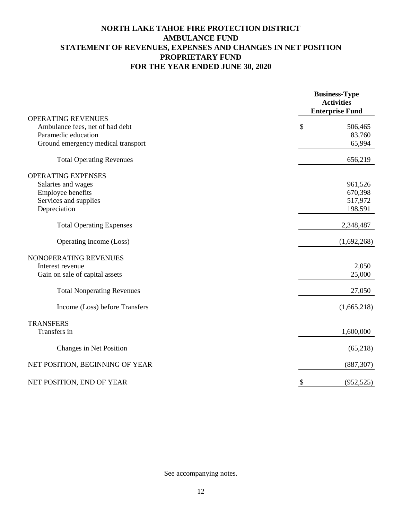# **NORTH LAKE TAHOE FIRE PROTECTION DISTRICT AMBULANCE FUND STATEMENT OF REVENUES, EXPENSES AND CHANGES IN NET POSITION PROPRIETARY FUND FOR THE YEAR ENDED JUNE 30, 2020**

|                                    | <b>Business-Type</b><br><b>Activities</b><br><b>Enterprise Fund</b> |
|------------------------------------|---------------------------------------------------------------------|
| OPERATING REVENUES                 |                                                                     |
| Ambulance fees, net of bad debt    | \$<br>506,465                                                       |
| Paramedic education                | 83,760                                                              |
| Ground emergency medical transport | 65,994                                                              |
| <b>Total Operating Revenues</b>    | 656,219                                                             |
| <b>OPERATING EXPENSES</b>          |                                                                     |
| Salaries and wages                 | 961,526                                                             |
| <b>Employee benefits</b>           | 670,398                                                             |
| Services and supplies              | 517,972                                                             |
| Depreciation                       | 198,591                                                             |
| <b>Total Operating Expenses</b>    | 2,348,487                                                           |
| Operating Income (Loss)            | (1,692,268)                                                         |
| NONOPERATING REVENUES              |                                                                     |
| Interest revenue                   | 2,050                                                               |
| Gain on sale of capital assets     | 25,000                                                              |
| <b>Total Nonperating Revenues</b>  | 27,050                                                              |
| Income (Loss) before Transfers     | (1,665,218)                                                         |
| <b>TRANSFERS</b>                   |                                                                     |
| Transfers in                       | 1,600,000                                                           |
| Changes in Net Position            | (65,218)                                                            |
| NET POSITION, BEGINNING OF YEAR    | (887, 307)                                                          |
| NET POSITION, END OF YEAR          | \$<br>(952, 525)                                                    |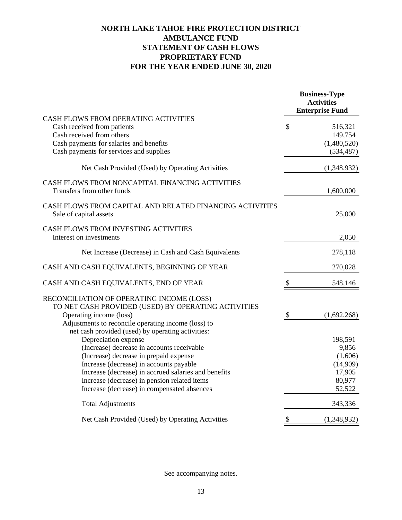## **NORTH LAKE TAHOE FIRE PROTECTION DISTRICT AMBULANCE FUND STATEMENT OF CASH FLOWS PROPRIETARY FUND FOR THE YEAR ENDED JUNE 30, 2020**

|                                                                                    |                           | <b>Business-Type</b><br><b>Activities</b><br><b>Enterprise Fund</b> |
|------------------------------------------------------------------------------------|---------------------------|---------------------------------------------------------------------|
| CASH FLOWS FROM OPERATING ACTIVITIES                                               |                           |                                                                     |
| Cash received from patients                                                        | $\mathcal{S}$             | 516,321                                                             |
| Cash received from others                                                          |                           | 149,754                                                             |
| Cash payments for salaries and benefits                                            |                           | (1,480,520)                                                         |
| Cash payments for services and supplies                                            |                           | (534, 487)                                                          |
| Net Cash Provided (Used) by Operating Activities                                   |                           | (1,348,932)                                                         |
| CASH FLOWS FROM NONCAPITAL FINANCING ACTIVITIES<br>Transfers from other funds      |                           | 1,600,000                                                           |
| CASH FLOWS FROM CAPITAL AND RELATED FINANCING ACTIVITIES<br>Sale of capital assets |                           | 25,000                                                              |
| CASH FLOWS FROM INVESTING ACTIVITIES<br>Interest on investments                    |                           | 2,050                                                               |
| Net Increase (Decrease) in Cash and Cash Equivalents                               |                           | 278,118                                                             |
| CASH AND CASH EQUIVALENTS, BEGINNING OF YEAR                                       |                           | 270,028                                                             |
| CASH AND CASH EQUIVALENTS, END OF YEAR                                             | \$                        | 548,146                                                             |
| RECONCILIATION OF OPERATING INCOME (LOSS)                                          |                           |                                                                     |
| TO NET CASH PROVIDED (USED) BY OPERATING ACTIVITIES                                |                           |                                                                     |
| Operating income (loss)                                                            | $\boldsymbol{\mathsf{S}}$ | (1,692,268)                                                         |
| Adjustments to reconcile operating income (loss) to                                |                           |                                                                     |
| net cash provided (used) by operating activities:                                  |                           |                                                                     |
| Depreciation expense                                                               |                           | 198,591                                                             |
| (Increase) decrease in accounts receivable                                         |                           | 9,856                                                               |
| (Increase) decrease in prepaid expense                                             |                           | (1,606)                                                             |
| Increase (decrease) in accounts payable                                            |                           | (14,909)                                                            |
| Increase (decrease) in accrued salaries and benefits                               |                           | 17,905                                                              |
| Increase (decrease) in pension related items                                       |                           | 80,977                                                              |
| Increase (decrease) in compensated absences                                        |                           | 52,522                                                              |
| <b>Total Adjustments</b>                                                           |                           | 343,336                                                             |
| Net Cash Provided (Used) by Operating Activities                                   | \$                        | (1,348,932)                                                         |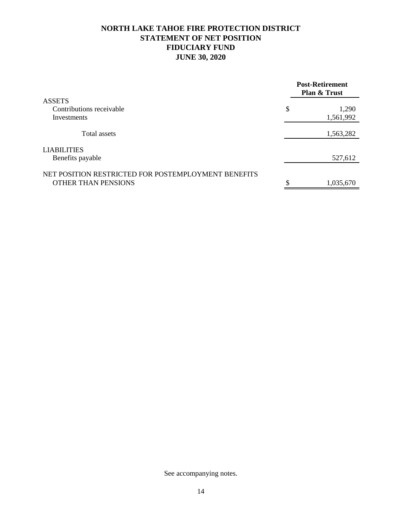# **NORTH LAKE TAHOE FIRE PROTECTION DISTRICT STATEMENT OF NET POSITION FIDUCIARY FUND JUNE 30, 2020**

|                                                     |    | <b>Post-Retirement</b><br>Plan & Trust |  |
|-----------------------------------------------------|----|----------------------------------------|--|
| <b>ASSETS</b>                                       |    |                                        |  |
| Contributions receivable                            | \$ | 1,290                                  |  |
| Investments                                         |    | 1,561,992                              |  |
| Total assets                                        |    | 1,563,282                              |  |
| <b>LIABILITIES</b>                                  |    |                                        |  |
| Benefits payable                                    |    | 527,612                                |  |
| NET POSITION RESTRICTED FOR POSTEMPLOYMENT BENEFITS |    |                                        |  |
| OTHER THAN PENSIONS                                 | \$ | 1,035,670                              |  |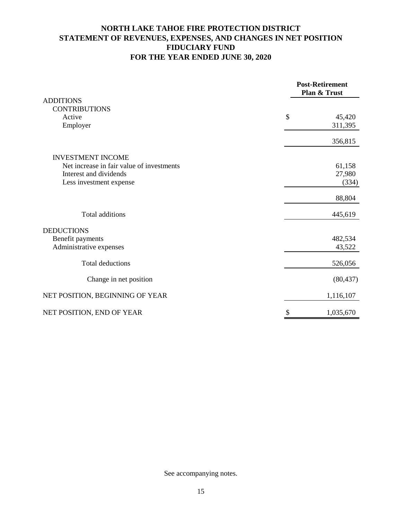# **NORTH LAKE TAHOE FIRE PROTECTION DISTRICT STATEMENT OF REVENUES, EXPENSES, AND CHANGES IN NET POSITION FIDUCIARY FUND FOR THE YEAR ENDED JUNE 30, 2020**

|                                           |               | <b>Post-Retirement</b><br>Plan & Trust |  |  |
|-------------------------------------------|---------------|----------------------------------------|--|--|
| <b>ADDITIONS</b>                          |               |                                        |  |  |
| <b>CONTRIBUTIONS</b>                      |               |                                        |  |  |
| Active                                    | $\mathcal{S}$ | 45,420                                 |  |  |
| Employer                                  |               | 311,395                                |  |  |
|                                           |               | 356,815                                |  |  |
| <b>INVESTMENT INCOME</b>                  |               |                                        |  |  |
| Net increase in fair value of investments |               | 61,158                                 |  |  |
| Interest and dividends                    |               | 27,980                                 |  |  |
| Less investment expense                   |               | (334)                                  |  |  |
|                                           |               | 88,804                                 |  |  |
| <b>Total additions</b>                    |               | 445,619                                |  |  |
| <b>DEDUCTIONS</b>                         |               |                                        |  |  |
| Benefit payments                          |               | 482,534                                |  |  |
| Administrative expenses                   |               | 43,522                                 |  |  |
| <b>Total deductions</b>                   |               | 526,056                                |  |  |
| Change in net position                    |               | (80, 437)                              |  |  |
| NET POSITION, BEGINNING OF YEAR           |               | 1,116,107                              |  |  |
| NET POSITION, END OF YEAR                 | \$            | 1,035,670                              |  |  |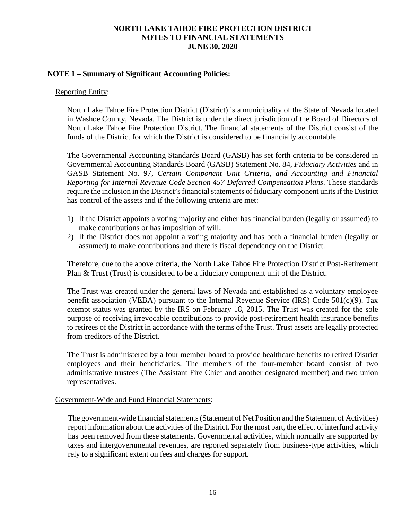#### **NOTE 1 – Summary of Significant Accounting Policies:**

Reporting Entity:

North Lake Tahoe Fire Protection District (District) is a municipality of the State of Nevada located in Washoe County, Nevada. The District is under the direct jurisdiction of the Board of Directors of North Lake Tahoe Fire Protection District. The financial statements of the District consist of the funds of the District for which the District is considered to be financially accountable.

The Governmental Accounting Standards Board (GASB) has set forth criteria to be considered in Governmental Accounting Standards Board (GASB) Statement No. 84, *Fiduciary Activities* and in GASB Statement No. 97, *Certain Component Unit Criteria, and Accounting and Financial Reporting for Internal Revenue Code Section 457 Deferred Compensation Plans*. These standards require the inclusion in the District's financial statements of fiduciary component units if the District has control of the assets and if the following criteria are met:

- 1) If the District appoints a voting majority and either has financial burden (legally or assumed) to make contributions or has imposition of will.
- 2) If the District does not appoint a voting majority and has both a financial burden (legally or assumed) to make contributions and there is fiscal dependency on the District.

Therefore, due to the above criteria, the North Lake Tahoe Fire Protection District Post-Retirement Plan & Trust (Trust) is considered to be a fiduciary component unit of the District.

The Trust was created under the general laws of Nevada and established as a voluntary employee benefit association (VEBA) pursuant to the Internal Revenue Service (IRS) Code 501(c)(9). Tax exempt status was granted by the IRS on February 18, 2015. The Trust was created for the sole purpose of receiving irrevocable contributions to provide post-retirement health insurance benefits to retirees of the District in accordance with the terms of the Trust. Trust assets are legally protected from creditors of the District.

The Trust is administered by a four member board to provide healthcare benefits to retired District employees and their beneficiaries. The members of the four-member board consist of two administrative trustees (The Assistant Fire Chief and another designated member) and two union representatives.

#### Government-Wide and Fund Financial Statements:

The government-wide financial statements (Statement of Net Position and the Statement of Activities) report information about the activities of the District. For the most part, the effect of interfund activity has been removed from these statements. Governmental activities, which normally are supported by taxes and intergovernmental revenues, are reported separately from business-type activities, which rely to a significant extent on fees and charges for support.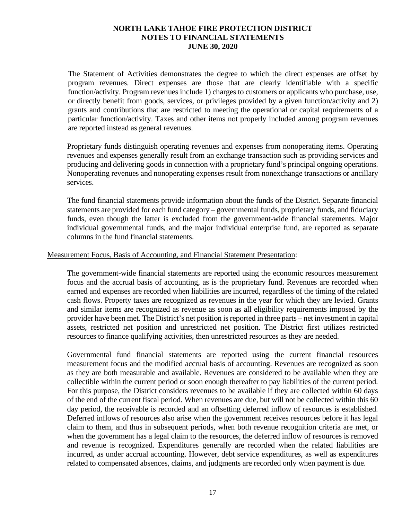The Statement of Activities demonstrates the degree to which the direct expenses are offset by program revenues. Direct expenses are those that are clearly identifiable with a specific function/activity. Program revenues include 1) charges to customers or applicants who purchase, use, or directly benefit from goods, services, or privileges provided by a given function/activity and 2) grants and contributions that are restricted to meeting the operational or capital requirements of a particular function/activity. Taxes and other items not properly included among program revenues are reported instead as general revenues.

Proprietary funds distinguish operating revenues and expenses from nonoperating items. Operating revenues and expenses generally result from an exchange transaction such as providing services and producing and delivering goods in connection with a proprietary fund's principal ongoing operations. Nonoperating revenues and nonoperating expenses result from nonexchange transactions or ancillary services.

The fund financial statements provide information about the funds of the District. Separate financial statements are provided for each fund category – governmental funds, proprietary funds, and fiduciary funds, even though the latter is excluded from the government-wide financial statements. Major individual governmental funds, and the major individual enterprise fund, are reported as separate columns in the fund financial statements.

#### Measurement Focus, Basis of Accounting, and Financial Statement Presentation:

The government-wide financial statements are reported using the economic resources measurement focus and the accrual basis of accounting, as is the proprietary fund. Revenues are recorded when earned and expenses are recorded when liabilities are incurred, regardless of the timing of the related cash flows. Property taxes are recognized as revenues in the year for which they are levied. Grants and similar items are recognized as revenue as soon as all eligibility requirements imposed by the provider have been met. The District's net position isreported in three parts – net investment in capital assets, restricted net position and unrestricted net position. The District first utilizes restricted resources to finance qualifying activities, then unrestricted resources as they are needed.

Governmental fund financial statements are reported using the current financial resources measurement focus and the modified accrual basis of accounting. Revenues are recognized as soon as they are both measurable and available. Revenues are considered to be available when they are collectible within the current period or soon enough thereafter to pay liabilities of the current period. For this purpose, the District considers revenues to be available if they are collected within 60 days of the end of the current fiscal period. When revenues are due, but will not be collected within this 60 day period, the receivable is recorded and an offsetting deferred inflow of resources is established. Deferred inflows of resources also arise when the government receives resources before it has legal claim to them, and thus in subsequent periods, when both revenue recognition criteria are met, or when the government has a legal claim to the resources, the deferred inflow of resources is removed and revenue is recognized. Expenditures generally are recorded when the related liabilities are incurred, as under accrual accounting. However, debt service expenditures, as well as expenditures related to compensated absences, claims, and judgments are recorded only when payment is due.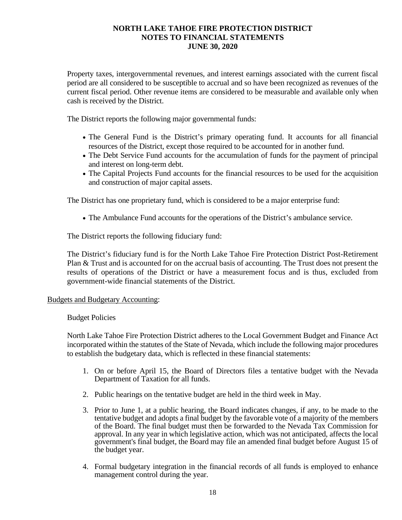Property taxes, intergovernmental revenues, and interest earnings associated with the current fiscal period are all considered to be susceptible to accrual and so have been recognized as revenues of the current fiscal period. Other revenue items are considered to be measurable and available only when cash is received by the District.

The District reports the following major governmental funds:

- The General Fund is the District's primary operating fund. It accounts for all financial resources of the District, except those required to be accounted for in another fund.
- The Debt Service Fund accounts for the accumulation of funds for the payment of principal and interest on long-term debt.
- The Capital Projects Fund accounts for the financial resources to be used for the acquisition and construction of major capital assets.

The District has one proprietary fund, which is considered to be a major enterprise fund:

• The Ambulance Fund accounts for the operations of the District's ambulance service.

The District reports the following fiduciary fund:

The District's fiduciary fund is for the North Lake Tahoe Fire Protection District Post-Retirement Plan & Trust and is accounted for on the accrual basis of accounting. The Trust does not present the results of operations of the District or have a measurement focus and is thus, excluded from government-wide financial statements of the District.

#### Budgets and Budgetary Accounting:

Budget Policies

North Lake Tahoe Fire Protection District adheres to the Local Government Budget and Finance Act incorporated within the statutes of the State of Nevada, which include the following major procedures to establish the budgetary data, which is reflected in these financial statements:

- 1. On or before April 15, the Board of Directors files a tentative budget with the Nevada Department of Taxation for all funds.
- 2. Public hearings on the tentative budget are held in the third week in May.
- 3. Prior to June 1, at a public hearing, the Board indicates changes, if any, to be made to the tentative budget and adopts a final budget by the favorable vote of a majority of the members of the Board. The final budget must then be forwarded to the Nevada Tax Commission for approval. In any year in which legislative action, which was not anticipated, affects the local government's final budget, the Board may file an amended final budget before August 15 of the budget year.
- 4. Formal budgetary integration in the financial records of all funds is employed to enhance management control during the year.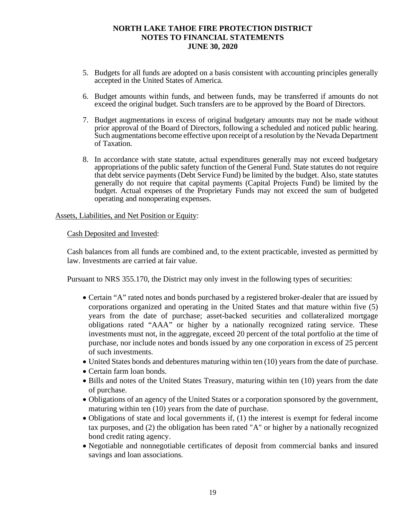- 5. Budgets for all funds are adopted on a basis consistent with accounting principles generally accepted in the United States of America.
- 6. Budget amounts within funds, and between funds, may be transferred if amounts do not exceed the original budget. Such transfers are to be approved by the Board of Directors.
- 7. Budget augmentations in excess of original budgetary amounts may not be made without prior approval of the Board of Directors, following a scheduled and noticed public hearing. Such augmentations become effective upon receipt of a resolution by the Nevada Department of Taxation.
- 8. In accordance with state statute, actual expenditures generally may not exceed budgetary appropriations of the public safety function of the General Fund. State statutes do not require that debt service payments (Debt Service Fund) be limited by the budget. Also, state statutes generally do not require that capital payments (Capital Projects Fund) be limited by the budget. Actual expenses of the Proprietary Funds may not exceed the sum of budgeted operating and nonoperating expenses.

Assets, Liabilities, and Net Position or Equity:

#### Cash Deposited and Invested:

Cash balances from all funds are combined and, to the extent practicable, invested as permitted by law. Investments are carried at fair value.

Pursuant to NRS 355.170, the District may only invest in the following types of securities:

- Certain "A" rated notes and bonds purchased by a registered broker-dealer that are issued by corporations organized and operating in the United States and that mature within five (5) years from the date of purchase; asset-backed securities and collateralized mortgage obligations rated "AAA" or higher by a nationally recognized rating service. These investments must not, in the aggregate, exceed 20 percent of the total portfolio at the time of purchase, nor include notes and bonds issued by any one corporation in excess of 25 percent of such investments.
- United States bonds and debentures maturing within ten (10) years from the date of purchase.
- Certain farm loan bonds.
- Bills and notes of the United States Treasury, maturing within ten (10) years from the date of purchase.
- Obligations of an agency of the United States or a corporation sponsored by the government, maturing within ten (10) years from the date of purchase.
- Obligations of state and local governments if, (1) the interest is exempt for federal income tax purposes, and (2) the obligation has been rated "A" or higher by a nationally recognized bond credit rating agency.
- Negotiable and nonnegotiable certificates of deposit from commercial banks and insured savings and loan associations.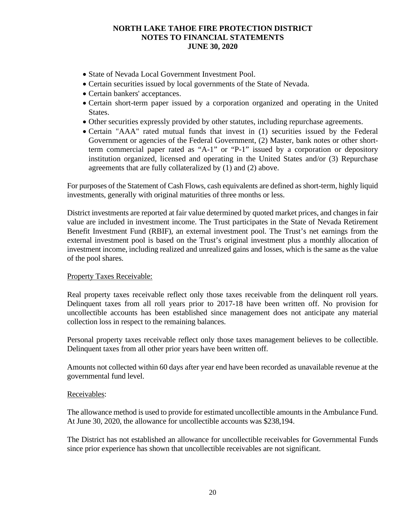- State of Nevada Local Government Investment Pool.
- Certain securities issued by local governments of the State of Nevada.
- Certain bankers' acceptances.
- Certain short-term paper issued by a corporation organized and operating in the United States.
- Other securities expressly provided by other statutes, including repurchase agreements.
- Certain "AAA" rated mutual funds that invest in (1) securities issued by the Federal Government or agencies of the Federal Government, (2) Master, bank notes or other shortterm commercial paper rated as "A-1" or "P-1" issued by a corporation or depository institution organized, licensed and operating in the United States and/or (3) Repurchase agreements that are fully collateralized by (1) and (2) above.

For purposes of the Statement of Cash Flows, cash equivalents are defined as short-term, highly liquid investments, generally with original maturities of three months or less.

District investments are reported at fair value determined by quoted market prices, and changes in fair value are included in investment income. The Trust participates in the State of Nevada Retirement Benefit Investment Fund (RBIF), an external investment pool. The Trust's net earnings from the external investment pool is based on the Trust's original investment plus a monthly allocation of investment income, including realized and unrealized gains and losses, which is the same as the value of the pool shares.

#### Property Taxes Receivable:

Real property taxes receivable reflect only those taxes receivable from the delinquent roll years. Delinquent taxes from all roll years prior to 2017-18 have been written off. No provision for uncollectible accounts has been established since management does not anticipate any material collection loss in respect to the remaining balances.

Personal property taxes receivable reflect only those taxes management believes to be collectible. Delinquent taxes from all other prior years have been written off.

Amounts not collected within 60 days after year end have been recorded as unavailable revenue at the governmental fund level.

#### Receivables:

The allowance method is used to provide for estimated uncollectible amounts in the Ambulance Fund. At June 30, 2020, the allowance for uncollectible accounts was \$238,194.

The District has not established an allowance for uncollectible receivables for Governmental Funds since prior experience has shown that uncollectible receivables are not significant.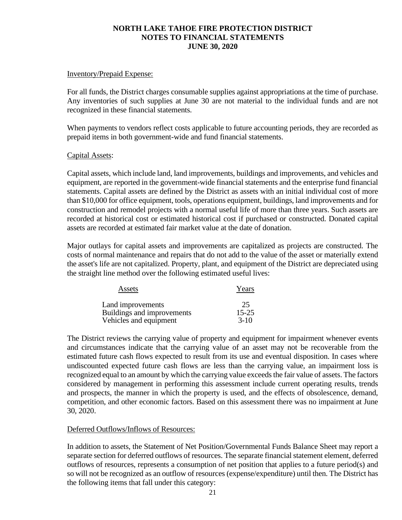#### Inventory/Prepaid Expense:

For all funds, the District charges consumable supplies against appropriations at the time of purchase. Any inventories of such supplies at June 30 are not material to the individual funds and are not recognized in these financial statements.

When payments to vendors reflect costs applicable to future accounting periods, they are recorded as prepaid items in both government-wide and fund financial statements.

#### Capital Assets:

Capital assets, which include land, land improvements, buildings and improvements, and vehicles and equipment, are reported in the government-wide financial statements and the enterprise fund financial statements. Capital assets are defined by the District as assets with an initial individual cost of more than \$10,000 for office equipment, tools, operations equipment, buildings, land improvements and for construction and remodel projects with a normal useful life of more than three years. Such assets are recorded at historical cost or estimated historical cost if purchased or constructed. Donated capital assets are recorded at estimated fair market value at the date of donation.

Major outlays for capital assets and improvements are capitalized as projects are constructed. The costs of normal maintenance and repairs that do not add to the value of the asset or materially extend the asset's life are not capitalized. Property, plant, and equipment of the District are depreciated using the straight line method over the following estimated useful lives:

| Assets                     | Years     |
|----------------------------|-----------|
| Land improvements          | 25        |
| Buildings and improvements | $15 - 25$ |
| Vehicles and equipment     | $3-10$    |

The District reviews the carrying value of property and equipment for impairment whenever events and circumstances indicate that the carrying value of an asset may not be recoverable from the estimated future cash flows expected to result from its use and eventual disposition. In cases where undiscounted expected future cash flows are less than the carrying value, an impairment loss is recognized equal to an amount by which the carrying value exceeds the fair value of assets. The factors considered by management in performing this assessment include current operating results, trends and prospects, the manner in which the property is used, and the effects of obsolescence, demand, competition, and other economic factors. Based on this assessment there was no impairment at June 30, 2020.

#### Deferred Outflows/Inflows of Resources:

In addition to assets, the Statement of Net Position/Governmental Funds Balance Sheet may report a separate section for deferred outflows of resources. The separate financial statement element, deferred outflows of resources, represents a consumption of net position that applies to a future period(s) and so will not be recognized as an outflow of resources (expense/expenditure) until then. The District has the following items that fall under this category: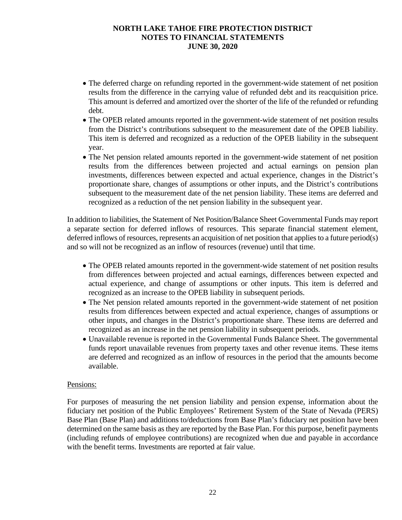- The deferred charge on refunding reported in the government-wide statement of net position results from the difference in the carrying value of refunded debt and its reacquisition price. This amount is deferred and amortized over the shorter of the life of the refunded or refunding debt.
- The OPEB related amounts reported in the government-wide statement of net position results from the District's contributions subsequent to the measurement date of the OPEB liability. This item is deferred and recognized as a reduction of the OPEB liability in the subsequent year.
- The Net pension related amounts reported in the government-wide statement of net position results from the differences between projected and actual earnings on pension plan investments, differences between expected and actual experience, changes in the District's proportionate share, changes of assumptions or other inputs, and the District's contributions subsequent to the measurement date of the net pension liability. These items are deferred and recognized as a reduction of the net pension liability in the subsequent year.

In addition to liabilities, the Statement of Net Position/Balance Sheet Governmental Funds may report a separate section for deferred inflows of resources. This separate financial statement element, deferred inflows of resources, represents an acquisition of net position that applies to a future period(s) and so will not be recognized as an inflow of resources (revenue) until that time.

- The OPEB related amounts reported in the government-wide statement of net position results from differences between projected and actual earnings, differences between expected and actual experience, and change of assumptions or other inputs. This item is deferred and recognized as an increase to the OPEB liability in subsequent periods.
- The Net pension related amounts reported in the government-wide statement of net position results from differences between expected and actual experience, changes of assumptions or other inputs, and changes in the District's proportionate share. These items are deferred and recognized as an increase in the net pension liability in subsequent periods.
- Unavailable revenue is reported in the Governmental Funds Balance Sheet. The governmental funds report unavailable revenues from property taxes and other revenue items. These items are deferred and recognized as an inflow of resources in the period that the amounts become available.

#### Pensions:

For purposes of measuring the net pension liability and pension expense, information about the fiduciary net position of the Public Employees' Retirement System of the State of Nevada (PERS) Base Plan (Base Plan) and additions to/deductions from Base Plan's fiduciary net position have been determined on the same basis as they are reported by the Base Plan. For this purpose, benefit payments (including refunds of employee contributions) are recognized when due and payable in accordance with the benefit terms. Investments are reported at fair value.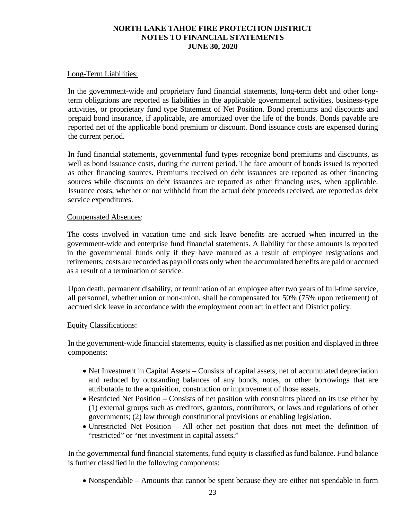## Long-Term Liabilities:

In the government-wide and proprietary fund financial statements, long-term debt and other longterm obligations are reported as liabilities in the applicable governmental activities, business-type activities, or proprietary fund type Statement of Net Position. Bond premiums and discounts and prepaid bond insurance, if applicable, are amortized over the life of the bonds. Bonds payable are reported net of the applicable bond premium or discount. Bond issuance costs are expensed during the current period.

In fund financial statements, governmental fund types recognize bond premiums and discounts, as well as bond issuance costs, during the current period. The face amount of bonds issued is reported as other financing sources. Premiums received on debt issuances are reported as other financing sources while discounts on debt issuances are reported as other financing uses, when applicable. Issuance costs, whether or not withheld from the actual debt proceeds received, are reported as debt service expenditures.

#### Compensated Absences:

The costs involved in vacation time and sick leave benefits are accrued when incurred in the government-wide and enterprise fund financial statements. A liability for these amounts is reported in the governmental funds only if they have matured as a result of employee resignations and retirements; costs are recorded as payroll costs only when the accumulated benefits are paid or accrued as a result of a termination of service.

Upon death, permanent disability, or termination of an employee after two years of full-time service, all personnel, whether union or non-union, shall be compensated for 50% (75% upon retirement) of accrued sick leave in accordance with the employment contract in effect and District policy.

#### Equity Classifications:

In the government-wide financial statements, equity is classified as net position and displayed in three components:

- Net Investment in Capital Assets Consists of capital assets, net of accumulated depreciation and reduced by outstanding balances of any bonds, notes, or other borrowings that are attributable to the acquisition, construction or improvement of those assets.
- Restricted Net Position Consists of net position with constraints placed on its use either by (1) external groups such as creditors, grantors, contributors, or laws and regulations of other governments; (2) law through constitutional provisions or enabling legislation.
- Unrestricted Net Position All other net position that does not meet the definition of "restricted" or "net investment in capital assets."

In the governmental fund financial statements, fund equity is classified as fund balance. Fund balance is further classified in the following components:

• Nonspendable – Amounts that cannot be spent because they are either not spendable in form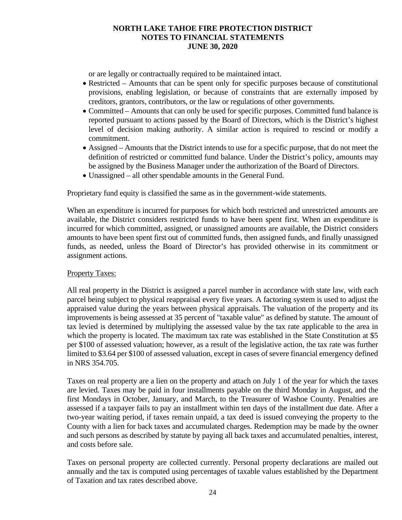or are legally or contractually required to be maintained intact.

- Restricted Amounts that can be spent only for specific purposes because of constitutional provisions, enabling legislation, or because of constraints that are externally imposed by creditors, grantors, contributors, or the law or regulations of other governments.
- Committed Amounts that can only be used for specific purposes. Committed fund balance is reported pursuant to actions passed by the Board of Directors, which is the District's highest level of decision making authority. A similar action is required to rescind or modify a commitment.
- Assigned Amounts that the District intends to use for a specific purpose, that do not meet the definition of restricted or committed fund balance. Under the District's policy, amounts may be assigned by the Business Manager under the authorization of the Board of Directors.
- Unassigned all other spendable amounts in the General Fund.

Proprietary fund equity is classified the same as in the government-wide statements.

When an expenditure is incurred for purposes for which both restricted and unrestricted amounts are available, the District considers restricted funds to have been spent first. When an expenditure is incurred for which committed, assigned, or unassigned amounts are available, the District considers amounts to have been spent first out of committed funds, then assigned funds, and finally unassigned funds, as needed, unless the Board of Director's has provided otherwise in its commitment or assignment actions.

#### Property Taxes:

All real property in the District is assigned a parcel number in accordance with state law, with each parcel being subject to physical reappraisal every five years. A factoring system is used to adjust the appraised value during the years between physical appraisals. The valuation of the property and its improvements is being assessed at 35 percent of "taxable value" as defined by statute. The amount of tax levied is determined by multiplying the assessed value by the tax rate applicable to the area in which the property is located. The maximum tax rate was established in the State Constitution at \$5 per \$100 of assessed valuation; however, as a result of the legislative action, the tax rate was further limited to \$3.64 per \$100 of assessed valuation, except in cases of severe financial emergency defined in NRS 354.705.

Taxes on real property are a lien on the property and attach on July 1 of the year for which the taxes are levied. Taxes may be paid in four installments payable on the third Monday in August, and the first Mondays in October, January, and March, to the Treasurer of Washoe County. Penalties are assessed if a taxpayer fails to pay an installment within ten days of the installment due date. After a two-year waiting period, if taxes remain unpaid, a tax deed is issued conveying the property to the County with a lien for back taxes and accumulated charges. Redemption may be made by the owner and such persons as described by statute by paying all back taxes and accumulated penalties, interest, and costs before sale.

Taxes on personal property are collected currently. Personal property declarations are mailed out annually and the tax is computed using percentages of taxable values established by the Department of Taxation and tax rates described above.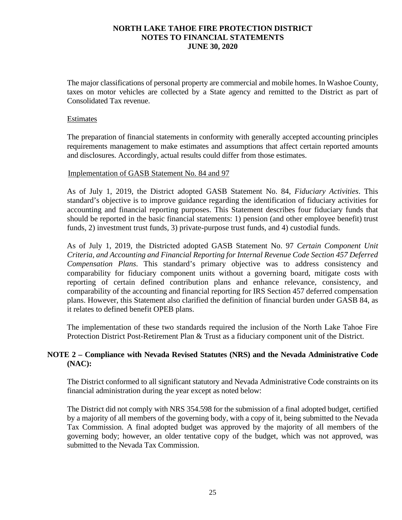The major classifications of personal property are commercial and mobile homes. In Washoe County, taxes on motor vehicles are collected by a State agency and remitted to the District as part of Consolidated Tax revenue.

#### Estimates

The preparation of financial statements in conformity with generally accepted accounting principles requirements management to make estimates and assumptions that affect certain reported amounts and disclosures. Accordingly, actual results could differ from those estimates.

#### Implementation of GASB Statement No. 84 and 97

 As of July 1, 2019, the District adopted GASB Statement No. 84, *Fiduciary Activities*. This standard's objective is to improve guidance regarding the identification of fiduciary activities for accounting and financial reporting purposes. This Statement describes four fiduciary funds that should be reported in the basic financial statements: 1) pension (and other employee benefit) trust funds, 2) investment trust funds, 3) private-purpose trust funds, and 4) custodial funds.

 As of July 1, 2019, the Districted adopted GASB Statement No. 97 *Certain Component Unit Criteria, and Accounting and Financial Reporting for Internal Revenue Code Section 457 Deferred Compensation Plans*. This standard's primary objective was to address consistency and comparability for fiduciary component units without a governing board, mitigate costs with reporting of certain defined contribution plans and enhance relevance, consistency, and comparability of the accounting and financial reporting for IRS Section 457 deferred compensation plans. However, this Statement also clarified the definition of financial burden under GASB 84, as it relates to defined benefit OPEB plans.

 The implementation of these two standards required the inclusion of the North Lake Tahoe Fire Protection District Post-Retirement Plan & Trust as a fiduciary component unit of the District.

## **NOTE 2 – Compliance with Nevada Revised Statutes (NRS) and the Nevada Administrative Code (NAC):**

The District conformed to all significant statutory and Nevada Administrative Code constraints on its financial administration during the year except as noted below:

The District did not comply with NRS 354.598 for the submission of a final adopted budget, certified by a majority of all members of the governing body, with a copy of it, being submitted to the Nevada Tax Commission. A final adopted budget was approved by the majority of all members of the governing body; however, an older tentative copy of the budget, which was not approved, was submitted to the Nevada Tax Commission.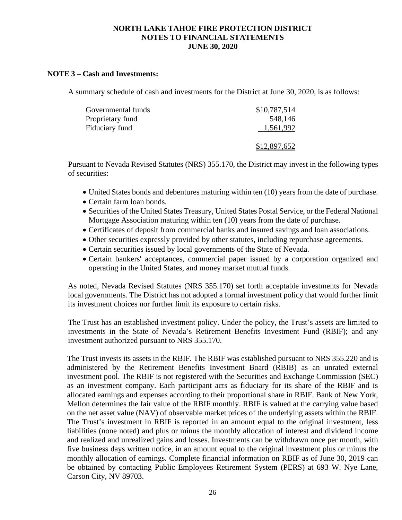#### **NOTE 3 – Cash and Investments:**

A summary schedule of cash and investments for the District at June 30, 2020, is as follows:

| Governmental funds | \$10,787,514 |
|--------------------|--------------|
| Proprietary fund   | 548,146      |
| Fiduciary fund     | 1,561,992    |
|                    | \$12,897,652 |

Pursuant to Nevada Revised Statutes (NRS) 355.170, the District may invest in the following types of securities:

- United States bonds and debentures maturing within ten (10) years from the date of purchase.
- Certain farm loan bonds.
- Securities of the United States Treasury, United States Postal Service, or the Federal National Mortgage Association maturing within ten (10) years from the date of purchase.
- Certificates of deposit from commercial banks and insured savings and loan associations.
- Other securities expressly provided by other statutes, including repurchase agreements.
- Certain securities issued by local governments of the State of Nevada.
- Certain bankers' acceptances, commercial paper issued by a corporation organized and operating in the United States, and money market mutual funds.

As noted, Nevada Revised Statutes (NRS 355.170) set forth acceptable investments for Nevada local governments. The District has not adopted a formal investment policy that would further limit its investment choices nor further limit its exposure to certain risks.

The Trust has an established investment policy. Under the policy, the Trust's assets are limited to investments in the State of Nevada's Retirement Benefits Investment Fund (RBIF); and any investment authorized pursuant to NRS 355.170.

The Trust invests its assets in the RBIF. The RBIF was established pursuant to NRS 355.220 and is administered by the Retirement Benefits Investment Board (RBIB) as an unrated external investment pool. The RBIF is not registered with the Securities and Exchange Commission (SEC) as an investment company. Each participant acts as fiduciary for its share of the RBIF and is allocated earnings and expenses according to their proportional share in RBIF. Bank of New York, Mellon determines the fair value of the RBIF monthly. RBIF is valued at the carrying value based on the net asset value (NAV) of observable market prices of the underlying assets within the RBIF. The Trust's investment in RBIF is reported in an amount equal to the original investment, less liabilities (none noted) and plus or minus the monthly allocation of interest and dividend income and realized and unrealized gains and losses. Investments can be withdrawn once per month, with five business days written notice, in an amount equal to the original investment plus or minus the monthly allocation of earnings. Complete financial information on RBIF as of June 30, 2019 can be obtained by contacting Public Employees Retirement System (PERS) at 693 W. Nye Lane, Carson City, NV 89703.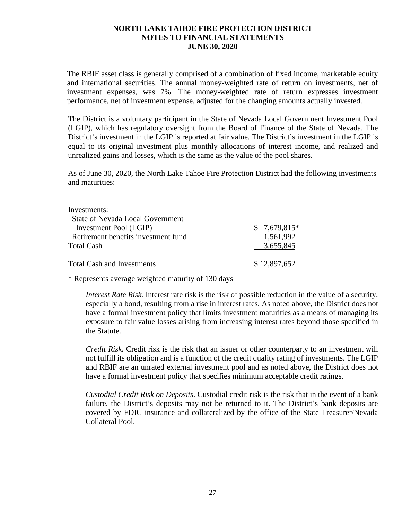The RBIF asset class is generally comprised of a combination of fixed income, marketable equity and international securities. The annual money-weighted rate of return on investments, net of investment expenses, was 7%. The money-weighted rate of return expresses investment performance, net of investment expense, adjusted for the changing amounts actually invested.

The District is a voluntary participant in the State of Nevada Local Government Investment Pool (LGIP), which has regulatory oversight from the Board of Finance of the State of Nevada. The District's investment in the LGIP is reported at fair value. The District's investment in the LGIP is equal to its original investment plus monthly allocations of interest income, and realized and unrealized gains and losses, which is the same as the value of the pool shares.

As of June 30, 2020, the North Lake Tahoe Fire Protection District had the following investments and maturities:

| Investments:                            |               |
|-----------------------------------------|---------------|
| <b>State of Nevada Local Government</b> |               |
| Investment Pool (LGIP)                  | $$7,679,815*$ |
| Retirement benefits investment fund     | 1,561,992     |
| Total Cash                              | 3,655,845     |
| Total Cash and Investments              |               |

\* Represents average weighted maturity of 130 days

*Interest Rate Risk.* Interest rate risk is the risk of possible reduction in the value of a security, especially a bond, resulting from a rise in interest rates. As noted above, the District does not have a formal investment policy that limits investment maturities as a means of managing its exposure to fair value losses arising from increasing interest rates beyond those specified in the Statute.

*Credit Risk.* Credit risk is the risk that an issuer or other counterparty to an investment will not fulfill its obligation and is a function of the credit quality rating of investments. The LGIP and RBIF are an unrated external investment pool and as noted above, the District does not have a formal investment policy that specifies minimum acceptable credit ratings.

*Custodial Credit Risk on Deposits*. Custodial credit risk is the risk that in the event of a bank failure, the District's deposits may not be returned to it. The District's bank deposits are covered by FDIC insurance and collateralized by the office of the State Treasurer/Nevada Collateral Pool.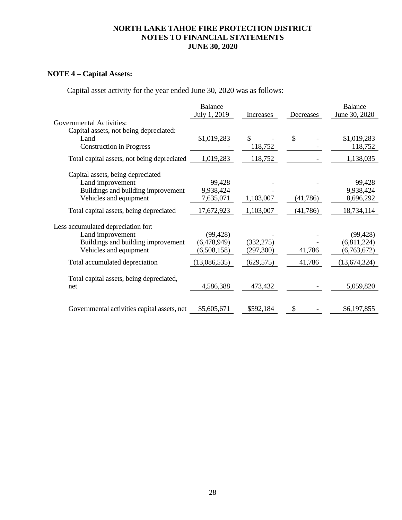# **NOTE 4 – Capital Assets:**

Capital asset activity for the year ended June 30, 2020 was as follows:

|                                             | <b>Balance</b><br>July 1, 2019 | Increases  | Decreases | <b>Balance</b><br>June 30, 2020 |
|---------------------------------------------|--------------------------------|------------|-----------|---------------------------------|
| <b>Governmental Activities:</b>             |                                |            |           |                                 |
| Capital assets, not being depreciated:      |                                |            |           |                                 |
| Land                                        | \$1,019,283                    | \$         | \$        | \$1,019,283                     |
| <b>Construction in Progress</b>             |                                | 118,752    |           | 118,752                         |
| Total capital assets, not being depreciated | 1,019,283                      | 118,752    |           | 1,138,035                       |
| Capital assets, being depreciated           |                                |            |           |                                 |
| Land improvement                            | 99,428                         |            |           | 99,428                          |
| Buildings and building improvement          | 9,938,424                      |            |           | 9,938,424                       |
| Vehicles and equipment                      | 7,635,071                      | 1,103,007  | (41, 786) | 8,696,292                       |
| Total capital assets, being depreciated     | 17,672,923                     | 1,103,007  | (41, 786) | 18,734,114                      |
| Less accumulated depreciation for:          |                                |            |           |                                 |
| Land improvement                            | (99, 428)                      |            |           | (99, 428)                       |
| Buildings and building improvement          | (6,478,949)                    | (332, 275) |           | (6,811,224)                     |
| Vehicles and equipment                      | (6,508,158)                    | (297, 300) | 41,786    | (6,763,672)                     |
| Total accumulated depreciation              | (13,086,535)                   | (629, 575) | 41,786    | (13, 674, 324)                  |
| Total capital assets, being depreciated,    |                                |            |           |                                 |
| net                                         | 4,586,388                      | 473,432    |           | 5,059,820                       |
|                                             |                                |            |           |                                 |
| Governmental activities capital assets, net | \$5,605,671                    | \$592,184  | \$        | \$6,197,855                     |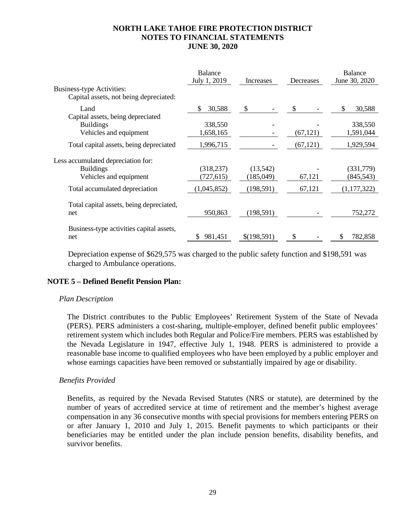|                                                                                  | <b>Balance</b><br>July 1, 2019 | Increases              | Decreases     | <b>Balance</b><br>June 30, 2020 |
|----------------------------------------------------------------------------------|--------------------------------|------------------------|---------------|---------------------------------|
| <b>Business-type Activities:</b><br>Capital assets, not being depreciated:       |                                |                        |               |                                 |
| Land                                                                             | 30,588<br>S                    | \$                     | $\mathbb{S}$  | 30,588<br>\$.                   |
| Capital assets, being depreciated<br><b>Buildings</b><br>Vehicles and equipment  | 338,550<br>1,658,165           |                        | (67, 121)     | 338,550<br>1,591,044            |
| Total capital assets, being depreciated                                          | 1,996,715                      |                        | (67, 121)     | 1,929,594                       |
| Less accumulated depreciation for:<br><b>Buildings</b><br>Vehicles and equipment | (318, 237)<br>(727, 615)       | (13,542)<br>(185, 049) | 67,121        | (331,779)<br>(845, 543)         |
| Total accumulated depreciation                                                   | (1,045,852)                    | (198, 591)             | 67,121        | (1, 177, 322)                   |
| Total capital assets, being depreciated,<br>net                                  | 950,863                        | (198, 591)             |               | 752,272                         |
| Business-type activities capital assets,<br>net                                  | 981,451                        | \$(198,591)            | <sup>\$</sup> | 782,858                         |

Depreciation expense of \$629,575 was charged to the public safety function and \$198,591 was charged to Ambulance operations.

## **NOTE 5 – Defined Benefit Pension Plan:**

#### *Plan Description*

The District contributes to the Public Employees' Retirement System of the State of Nevada (PERS). PERS administers a cost-sharing, multiple-employer, defined benefit public employees' retirement system which includes both Regular and Police/Fire members. PERS was established by the Nevada Legislature in 1947, effective July 1, 1948. PERS is administered to provide a reasonable base income to qualified employees who have been employed by a public employer and whose earnings capacities have been removed or substantially impaired by age or disability.

#### *Benefits Provided*

Benefits, as required by the Nevada Revised Statutes (NRS or statute), are determined by the number of years of accredited service at time of retirement and the member's highest average compensation in any 36 consecutive months with special provisions for members entering PERS on or after January 1, 2010 and July 1, 2015. Benefit payments to which participants or their beneficiaries may be entitled under the plan include pension benefits, disability benefits, and survivor benefits.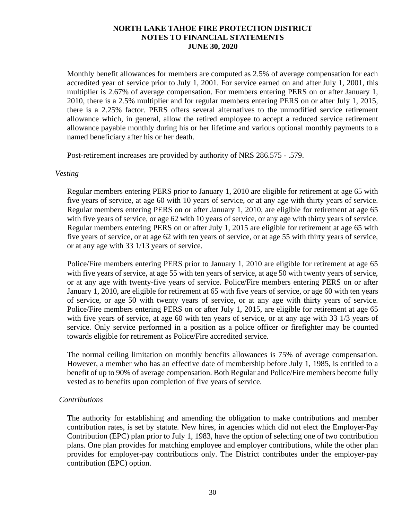Monthly benefit allowances for members are computed as 2.5% of average compensation for each accredited year of service prior to July 1, 2001. For service earned on and after July 1, 2001, this multiplier is 2.67% of average compensation. For members entering PERS on or after January 1, 2010, there is a 2.5% multiplier and for regular members entering PERS on or after July 1, 2015, there is a 2.25% factor. PERS offers several alternatives to the unmodified service retirement allowance which, in general, allow the retired employee to accept a reduced service retirement allowance payable monthly during his or her lifetime and various optional monthly payments to a named beneficiary after his or her death.

Post-retirement increases are provided by authority of NRS 286.575 - .579.

#### *Vesting*

Regular members entering PERS prior to January 1, 2010 are eligible for retirement at age 65 with five years of service, at age 60 with 10 years of service, or at any age with thirty years of service. Regular members entering PERS on or after January 1, 2010, are eligible for retirement at age 65 with five years of service, or age 62 with 10 years of service, or any age with thirty years of service. Regular members entering PERS on or after July 1, 2015 are eligible for retirement at age 65 with five years of service, or at age 62 with ten years of service, or at age 55 with thirty years of service, or at any age with 33 1/13 years of service.

Police/Fire members entering PERS prior to January 1, 2010 are eligible for retirement at age 65 with five years of service, at age 55 with ten years of service, at age 50 with twenty years of service, or at any age with twenty-five years of service. Police/Fire members entering PERS on or after January 1, 2010, are eligible for retirement at 65 with five years of service, or age 60 with ten years of service, or age 50 with twenty years of service, or at any age with thirty years of service. Police/Fire members entering PERS on or after July 1, 2015, are eligible for retirement at age 65 with five years of service, at age 60 with ten years of service, or at any age with 33 1/3 years of service. Only service performed in a position as a police officer or firefighter may be counted towards eligible for retirement as Police/Fire accredited service.

The normal ceiling limitation on monthly benefits allowances is 75% of average compensation. However, a member who has an effective date of membership before July 1, 1985, is entitled to a benefit of up to 90% of average compensation. Both Regular and Police/Fire members become fully vested as to benefits upon completion of five years of service.

#### *Contributions*

The authority for establishing and amending the obligation to make contributions and member contribution rates, is set by statute. New hires, in agencies which did not elect the Employer-Pay Contribution (EPC) plan prior to July 1, 1983, have the option of selecting one of two contribution plans. One plan provides for matching employee and employer contributions, while the other plan provides for employer-pay contributions only. The District contributes under the employer-pay contribution (EPC) option.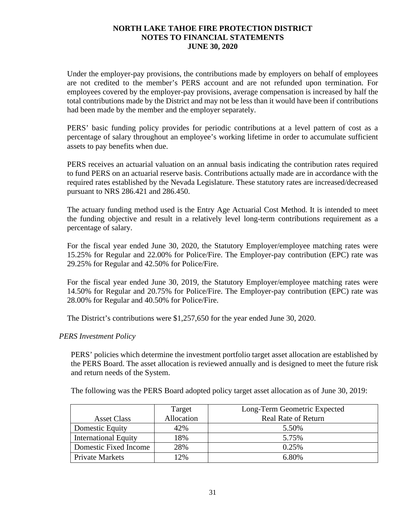Under the employer-pay provisions, the contributions made by employers on behalf of employees are not credited to the member's PERS account and are not refunded upon termination. For employees covered by the employer-pay provisions, average compensation is increased by half the total contributions made by the District and may not be less than it would have been if contributions had been made by the member and the employer separately.

PERS' basic funding policy provides for periodic contributions at a level pattern of cost as a percentage of salary throughout an employee's working lifetime in order to accumulate sufficient assets to pay benefits when due.

PERS receives an actuarial valuation on an annual basis indicating the contribution rates required to fund PERS on an actuarial reserve basis. Contributions actually made are in accordance with the required rates established by the Nevada Legislature. These statutory rates are increased/decreased pursuant to NRS 286.421 and 286.450.

The actuary funding method used is the Entry Age Actuarial Cost Method. It is intended to meet the funding objective and result in a relatively level long-term contributions requirement as a percentage of salary.

For the fiscal year ended June 30, 2020, the Statutory Employer/employee matching rates were 15.25% for Regular and 22.00% for Police/Fire. The Employer-pay contribution (EPC) rate was 29.25% for Regular and 42.50% for Police/Fire.

For the fiscal year ended June 30, 2019, the Statutory Employer/employee matching rates were 14.50% for Regular and 20.75% for Police/Fire. The Employer-pay contribution (EPC) rate was 28.00% for Regular and 40.50% for Police/Fire.

The District's contributions were \$1,257,650 for the year ended June 30, 2020.

#### *PERS Investment Policy*

PERS' policies which determine the investment portfolio target asset allocation are established by the PERS Board. The asset allocation is reviewed annually and is designed to meet the future risk and return needs of the System.

The following was the PERS Board adopted policy target asset allocation as of June 30, 2019:

|                             | Target     | Long-Term Geometric Expected |
|-----------------------------|------------|------------------------------|
| <b>Asset Class</b>          | Allocation | <b>Real Rate of Return</b>   |
| Domestic Equity             | 42%        | 5.50%                        |
| <b>International Equity</b> | 18%        | 5.75%                        |
| Domestic Fixed Income       | 28%        | 0.25%                        |
| <b>Private Markets</b>      | 2%         | 6.80%                        |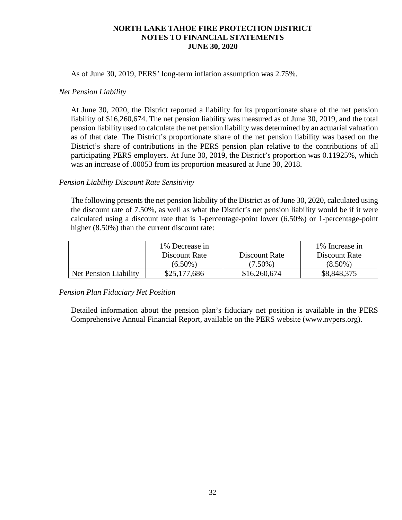As of June 30, 2019, PERS' long-term inflation assumption was 2.75%.

#### *Net Pension Liability*

At June 30, 2020, the District reported a liability for its proportionate share of the net pension liability of \$16,260,674. The net pension liability was measured as of June 30, 2019, and the total pension liability used to calculate the net pension liability was determined by an actuarial valuation as of that date. The District's proportionate share of the net pension liability was based on the District's share of contributions in the PERS pension plan relative to the contributions of all participating PERS employers. At June 30, 2019, the District's proportion was 0.11925%, which was an increase of .00053 from its proportion measured at June 30, 2018.

#### *Pension Liability Discount Rate Sensitivity*

The following presents the net pension liability of the District as of June 30, 2020, calculated using the discount rate of 7.50%, as well as what the District's net pension liability would be if it were calculated using a discount rate that is 1-percentage-point lower (6.50%) or 1-percentage-point higher (8.50%) than the current discount rate:

|                       | 1% Decrease in |               | 1% Increase in |
|-----------------------|----------------|---------------|----------------|
|                       | Discount Rate  | Discount Rate | Discount Rate  |
|                       | $(6.50\%)$     | $(7.50\%)$    | $(8.50\%)$     |
| Net Pension Liability | \$25,177,686   | \$16,260,674  | \$8,848,375    |

#### *Pension Plan Fiduciary Net Position*

Detailed information about the pension plan's fiduciary net position is available in the PERS Comprehensive Annual Financial Report, available on the PERS website (www.nvpers.org).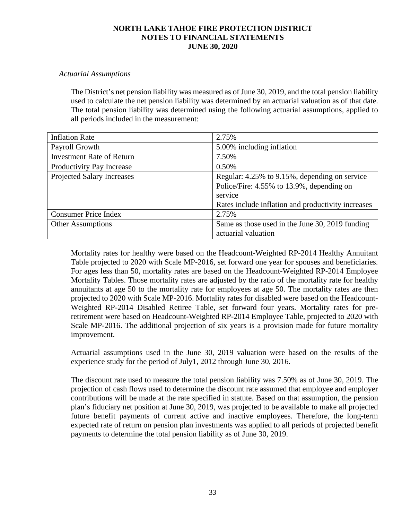#### *Actuarial Assumptions*

The District's net pension liability was measured as of June 30, 2019, and the total pension liability used to calculate the net pension liability was determined by an actuarial valuation as of that date. The total pension liability was determined using the following actuarial assumptions, applied to all periods included in the measurement:

| <b>Inflation Rate</b>             | 2.75%                                              |
|-----------------------------------|----------------------------------------------------|
| Payroll Growth                    | 5.00% including inflation                          |
| <b>Investment Rate of Return</b>  | 7.50%                                              |
| Productivity Pay Increase         | 0.50%                                              |
| <b>Projected Salary Increases</b> | Regular: 4.25% to 9.15%, depending on service      |
|                                   | Police/Fire: 4.55% to 13.9%, depending on          |
|                                   | service                                            |
|                                   | Rates include inflation and productivity increases |
| <b>Consumer Price Index</b>       | 2.75%                                              |
| <b>Other Assumptions</b>          | Same as those used in the June 30, 2019 funding    |
|                                   | actuarial valuation                                |

Mortality rates for healthy were based on the Headcount-Weighted RP-2014 Healthy Annuitant Table projected to 2020 with Scale MP-2016, set forward one year for spouses and beneficiaries. For ages less than 50, mortality rates are based on the Headcount-Weighted RP-2014 Employee Mortality Tables. Those mortality rates are adjusted by the ratio of the mortality rate for healthy annuitants at age 50 to the mortality rate for employees at age 50. The mortality rates are then projected to 2020 with Scale MP-2016. Mortality rates for disabled were based on the Headcount-Weighted RP-2014 Disabled Retiree Table, set forward four years. Mortality rates for preretirement were based on Headcount-Weighted RP-2014 Employee Table, projected to 2020 with Scale MP-2016. The additional projection of six years is a provision made for future mortality improvement.

Actuarial assumptions used in the June 30, 2019 valuation were based on the results of the experience study for the period of July1, 2012 through June 30, 2016.

The discount rate used to measure the total pension liability was 7.50% as of June 30, 2019. The projection of cash flows used to determine the discount rate assumed that employee and employer contributions will be made at the rate specified in statute. Based on that assumption, the pension plan's fiduciary net position at June 30, 2019, was projected to be available to make all projected future benefit payments of current active and inactive employees. Therefore, the long-term expected rate of return on pension plan investments was applied to all periods of projected benefit payments to determine the total pension liability as of June 30, 2019.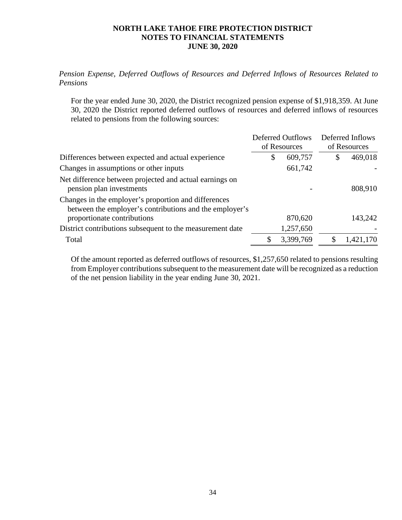## *Pension Expense, Deferred Outflows of Resources and Deferred Inflows of Resources Related to Pensions*

For the year ended June 30, 2020, the District recognized pension expense of \$1,918,359. At June 30, 2020 the District reported deferred outflows of resources and deferred inflows of resources related to pensions from the following sources:

|                                                         |           | Deferred Inflows<br>of Resources         |           |
|---------------------------------------------------------|-----------|------------------------------------------|-----------|
| \$                                                      | 609,757   | \$                                       | 469,018   |
|                                                         | 661,742   |                                          |           |
|                                                         |           |                                          | 808,910   |
| between the employer's contributions and the employer's |           |                                          |           |
|                                                         | 870,620   |                                          | 143,242   |
|                                                         | 1,257,650 |                                          |           |
|                                                         | 3,399,769 |                                          | 1,421,170 |
|                                                         |           | <b>Deferred Outflows</b><br>of Resources |           |

Of the amount reported as deferred outflows of resources, \$1,257,650 related to pensions resulting from Employer contributions subsequent to the measurement date will be recognized as a reduction of the net pension liability in the year ending June 30, 2021.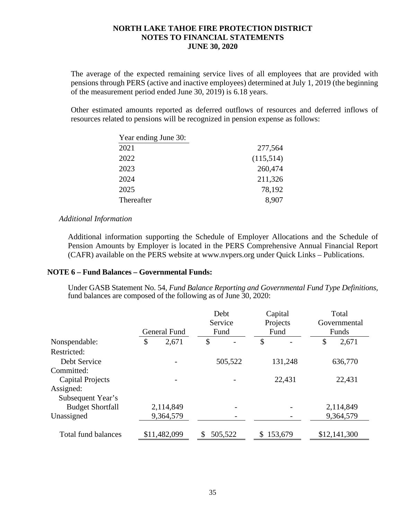The average of the expected remaining service lives of all employees that are provided with pensions through PERS (active and inactive employees) determined at July 1, 2019 (the beginning of the measurement period ended June 30, 2019) is 6.18 years.

Other estimated amounts reported as deferred outflows of resources and deferred inflows of resources related to pensions will be recognized in pension expense as follows:

| Year ending June 30: |           |
|----------------------|-----------|
| 2021                 | 277,564   |
| 2022                 | (115,514) |
| 2023                 | 260,474   |
| 2024                 | 211,326   |
| 2025                 | 78,192    |
| Thereafter           | 8,907     |

#### *Additional Information*

Additional information supporting the Schedule of Employer Allocations and the Schedule of Pension Amounts by Employer is located in the PERS Comprehensive Annual Financial Report (CAFR) available on the PERS website at www.nvpers.org under Quick Links – Publications.

#### **NOTE 6 – Fund Balances – Governmental Funds:**

Under GASB Statement No. 54, *Fund Balance Reporting and Governmental Fund Type Definitions,* fund balances are composed of the following as of June 30, 2020:

|                         |                     | Debt          |         | Capital       | Total        |
|-------------------------|---------------------|---------------|---------|---------------|--------------|
|                         |                     | Service       |         | Projects      | Governmental |
|                         | <b>General Fund</b> | Fund          |         | Fund          | Funds        |
| Nonspendable:           | \$<br>2,671         | $\mathcal{S}$ |         | \$            | \$<br>2,671  |
| Restricted:             |                     |               |         |               |              |
| Debt Service            |                     |               | 505,522 | 131,248       | 636,770      |
| Committed:              |                     |               |         |               |              |
| <b>Capital Projects</b> |                     |               |         | 22,431        | 22,431       |
| Assigned:               |                     |               |         |               |              |
| Subsequent Year's       |                     |               |         |               |              |
| <b>Budget Shortfall</b> | 2,114,849           |               | -       |               | 2,114,849    |
| Unassigned              | 9,364,579           |               |         |               | 9,364,579    |
|                         |                     |               |         |               |              |
| Total fund balances     | \$11,482,099        |               | 505,522 | \$<br>153,679 | \$12,141,300 |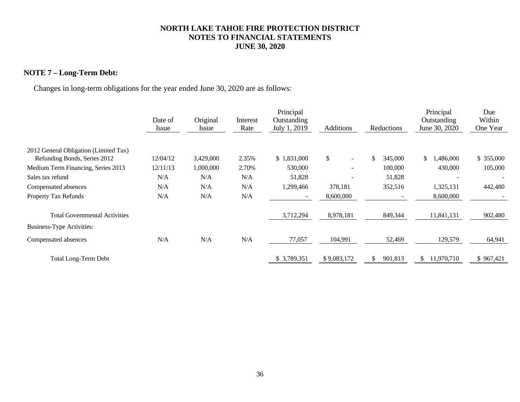## **NOTE 7 – Long-Term Debt:**

Changes in long-term obligations for the year ended June 30, 2020 are as follows:

|                                                                       | Date of<br>Issue | Original<br>Issue | Interest<br>Rate | Principal<br>Outstanding<br>July 1, 2019 | <b>Additions</b>         | Reductions     | Principal<br>Outstanding<br>June 30, 2020 | Due<br>Within<br>One Year |
|-----------------------------------------------------------------------|------------------|-------------------|------------------|------------------------------------------|--------------------------|----------------|-------------------------------------------|---------------------------|
| 2012 General Obligation (Limited Tax)<br>Refunding Bonds, Series 2012 | 12/04/12         | 3,429,000         | 2.35%            | \$1,831,000                              | \$<br>$\sim$             | \$<br>345,000  | ,486,000<br>\$                            | \$ 355,000                |
| Medium Term Financing, Series 2013                                    | 12/11/13         | 1,000,000         | 2.70%            | 530,000                                  | $\sim$                   | 100,000        | 430,000                                   | 105,000                   |
| Sales tax refund                                                      | N/A              | N/A               | N/A              | 51,828                                   | $\overline{\phantom{a}}$ | 51,828         |                                           |                           |
| Compensated absences                                                  | N/A              | N/A               | N/A              | 1,299,466                                | 378,181                  | 352,516        | 1,325,131                                 | 442,480                   |
| <b>Property Tax Refunds</b>                                           | N/A              | N/A               | N/A              | $\sim$                                   | 8,600,000                |                | 8,600,000                                 |                           |
| <b>Total Governmental Activities</b>                                  |                  |                   |                  | 3,712,294                                | 8,978,181                | 849,344        | 11,841,131                                | 902,480                   |
| Business-Type Activities:                                             |                  |                   |                  |                                          |                          |                |                                           |                           |
| Compensated absences                                                  | N/A              | N/A               | N/A              | 77,057                                   | 104,991                  | 52,469         | 129,579                                   | 64,941                    |
| <b>Total Long-Term Debt</b>                                           |                  |                   |                  | \$3,789,351                              | \$9,083,172              | 901,813<br>\$. | 11,970,710<br>$\mathcal{S}$               | \$967,421                 |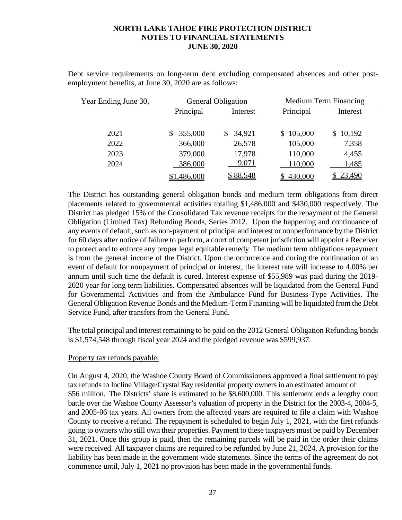Debt service requirements on long-term debt excluding compensated absences and other postemployment benefits, at June 30, 2020 are as follows:

| Year Ending June 30, | <b>General Obligation</b> |             |               | <b>Medium Term Financing</b> |
|----------------------|---------------------------|-------------|---------------|------------------------------|
|                      | Principal                 | Interest    | Principal     | Interest                     |
| 2021                 | 355,000                   | 34,921<br>S | 105,000<br>S. | \$10,192                     |
| 2022                 | 366,000                   | 26,578      | 105,000       | 7,358                        |
| 2023                 | 379,000                   | 17,978      | 110,000       | 4,455                        |
| 2024                 | 386,000                   | 9,071       | 110,000       | 1,485                        |
|                      | \$1,486,000               | \$88,548    | 430,000       | \$23,490                     |

The District has outstanding general obligation bonds and medium term obligations from direct placements related to governmental activities totaling \$1,486,000 and \$430,000 respectively. The District has pledged 15% of the Consolidated Tax revenue receipts for the repayment of the General Obligation (Limited Tax) Refunding Bonds, Series 2012. Upon the happening and continuance of any events of default, such as non-payment of principal and interest or nonperformance by the District for 60 days after notice of failure to perform, a court of competent jurisdiction will appoint a Receiver to protect and to enforce any proper legal equitable remedy. The medium term obligations repayment is from the general income of the District. Upon the occurrence and during the continuation of an event of default for nonpayment of principal or interest, the interest rate will increase to 4.00% per annum until such time the default is cured. Interest expense of \$55,989 was paid during the 2019- 2020 year for long term liabilities. Compensated absences will be liquidated from the General Fund for Governmental Activities and from the Ambulance Fund for Business-Type Activities. The General Obligation Revenue Bonds and the Medium-Term Financing will be liquidated from the Debt Service Fund, after transfers from the General Fund.

The total principal and interest remaining to be paid on the 2012 General Obligation Refunding bonds is \$1,574,548 through fiscal year 2024 and the pledged revenue was \$599,937.

#### Property tax refunds payable:

On August 4, 2020, the Washoe County Board of Commissioners approved a final settlement to pay tax refunds to Incline Village/Crystal Bay residential property owners in an estimated amount of \$56 million. The Districts' share is estimated to be \$8,600,000. This settlement ends a lengthy court battle over the Washoe County Assessor's valuation of property in the District for the 2003-4, 2004-5, and 2005-06 tax years. All owners from the affected years are required to file a claim with Washoe County to receive a refund. The repayment is scheduled to begin July 1, 2021, with the first refunds going to owners who still own their properties. Payment to these taxpayers must be paid by December 31, 2021. Once this group is paid, then the remaining parcels will be paid in the order their claims were received. All taxpayer claims are required to be refunded by June 21, 2024. A provision for the liability has been made in the government wide statements. Since the terms of the agreement do not commence until, July 1, 2021 no provision has been made in the governmental funds.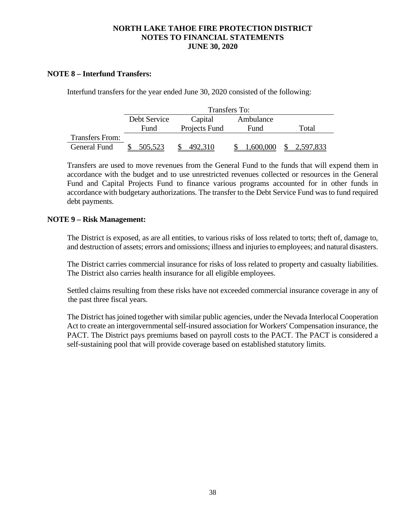#### **NOTE 8 – Interfund Transfers:**

Interfund transfers for the year ended June 30, 2020 consisted of the following:

|                        | Transfers To: |               |           |       |  |  |
|------------------------|---------------|---------------|-----------|-------|--|--|
|                        | Debt Service  | Capital       | Ambulance |       |  |  |
|                        | Fund          | Projects Fund | Fund      | Total |  |  |
| <b>Transfers From:</b> |               |               |           |       |  |  |
| General Fund           | 505,523       |               | .600.000  |       |  |  |

Transfers are used to move revenues from the General Fund to the funds that will expend them in accordance with the budget and to use unrestricted revenues collected or resources in the General Fund and Capital Projects Fund to finance various programs accounted for in other funds in accordance with budgetary authorizations. The transfer to the Debt Service Fund was to fund required debt payments.

#### **NOTE 9 – Risk Management:**

The District is exposed, as are all entities, to various risks of loss related to torts; theft of, damage to, and destruction of assets; errors and omissions; illness and injuries to employees; and natural disasters.

The District carries commercial insurance for risks of loss related to property and casualty liabilities. The District also carries health insurance for all eligible employees.

Settled claims resulting from these risks have not exceeded commercial insurance coverage in any of the past three fiscal years.

The District has joined together with similar public agencies, under the Nevada Interlocal Cooperation Act to create an intergovernmental self-insured association for Workers' Compensation insurance, the PACT. The District pays premiums based on payroll costs to the PACT. The PACT is considered a self-sustaining pool that will provide coverage based on established statutory limits.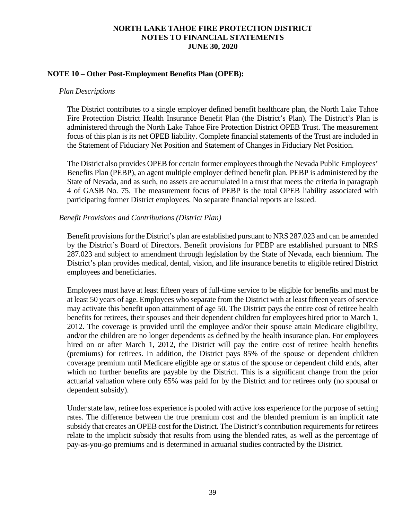#### **NOTE 10 – Other Post-Employment Benefits Plan (OPEB):**

#### *Plan Descriptions*

The District contributes to a single employer defined benefit healthcare plan, the North Lake Tahoe Fire Protection District Health Insurance Benefit Plan (the District's Plan). The District's Plan is administered through the North Lake Tahoe Fire Protection District OPEB Trust. The measurement focus of this plan is its net OPEB liability. Complete financial statements of the Trust are included in the Statement of Fiduciary Net Position and Statement of Changes in Fiduciary Net Position.

The District also provides OPEB for certain former employees through the Nevada Public Employees' Benefits Plan (PEBP), an agent multiple employer defined benefit plan. PEBP is administered by the State of Nevada, and as such, no assets are accumulated in a trust that meets the criteria in paragraph 4 of GASB No. 75. The measurement focus of PEBP is the total OPEB liability associated with participating former District employees. No separate financial reports are issued.

#### *Benefit Provisions and Contributions (District Plan)*

Benefit provisions for the District's plan are established pursuant to NRS 287.023 and can be amended by the District's Board of Directors. Benefit provisions for PEBP are established pursuant to NRS 287.023 and subject to amendment through legislation by the State of Nevada, each biennium. The District's plan provides medical, dental, vision, and life insurance benefits to eligible retired District employees and beneficiaries.

Employees must have at least fifteen years of full-time service to be eligible for benefits and must be at least 50 years of age. Employees who separate from the District with at least fifteen years of service may activate this benefit upon attainment of age 50. The District pays the entire cost of retiree health benefits for retirees, their spouses and their dependent children for employees hired prior to March 1, 2012. The coverage is provided until the employee and/or their spouse attain Medicare eligibility, and/or the children are no longer dependents as defined by the health insurance plan. For employees hired on or after March 1, 2012, the District will pay the entire cost of retiree health benefits (premiums) for retirees. In addition, the District pays 85% of the spouse or dependent children coverage premium until Medicare eligible age or status of the spouse or dependent child ends, after which no further benefits are payable by the District. This is a significant change from the prior actuarial valuation where only 65% was paid for by the District and for retirees only (no spousal or dependent subsidy).

Under state law, retiree loss experience is pooled with active loss experience for the purpose of setting rates. The difference between the true premium cost and the blended premium is an implicit rate subsidy that creates an OPEB cost for the District. The District's contribution requirements for retirees relate to the implicit subsidy that results from using the blended rates, as well as the percentage of pay-as-you-go premiums and is determined in actuarial studies contracted by the District.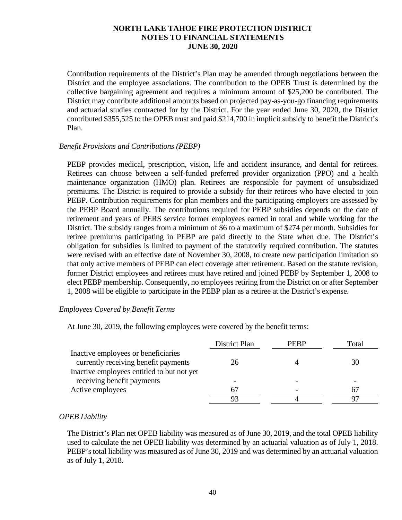Contribution requirements of the District's Plan may be amended through negotiations between the District and the employee associations. The contribution to the OPEB Trust is determined by the collective bargaining agreement and requires a minimum amount of \$25,200 be contributed. The District may contribute additional amounts based on projected pay-as-you-go financing requirements and actuarial studies contracted for by the District. For the year ended June 30, 2020, the District contributed \$355,525 to the OPEB trust and paid \$214,700 in implicit subsidy to benefit the District's Plan.

#### *Benefit Provisions and Contributions (PEBP)*

PEBP provides medical, prescription, vision, life and accident insurance, and dental for retirees. Retirees can choose between a self-funded preferred provider organization (PPO) and a health maintenance organization (HMO) plan. Retirees are responsible for payment of unsubsidized premiums. The District is required to provide a subsidy for their retirees who have elected to join PEBP. Contribution requirements for plan members and the participating employers are assessed by the PEBP Board annually. The contributions required for PEBP subsidies depends on the date of retirement and years of PERS service former employees earned in total and while working for the District. The subsidy ranges from a minimum of \$6 to a maximum of \$274 per month. Subsidies for retiree premiums participating in PEBP are paid directly to the State when due. The District's obligation for subsidies is limited to payment of the statutorily required contribution. The statutes were revised with an effective date of November 30, 2008, to create new participation limitation so that only active members of PEBP can elect coverage after retirement. Based on the statute revision, former District employees and retirees must have retired and joined PEBP by September 1, 2008 to elect PEBP membership. Consequently, no employees retiring from the District on or after September 1, 2008 will be eligible to participate in the PEBP plan as a retiree at the District's expense.

#### *Employees Covered by Benefit Terms*

At June 30, 2019, the following employees were covered by the benefit terms:

|                                                                             | District Plan | <b>PERP</b> | Total |
|-----------------------------------------------------------------------------|---------------|-------------|-------|
| Inactive employees or beneficiaries<br>currently receiving benefit payments | 26            |             |       |
| Inactive employees entitled to but not yet                                  |               |             |       |
| receiving benefit payments                                                  |               |             |       |
| Active employees                                                            |               |             |       |
|                                                                             |               |             |       |

#### *OPEB Liability*

The District's Plan net OPEB liability was measured as of June 30, 2019, and the total OPEB liability used to calculate the net OPEB liability was determined by an actuarial valuation as of July 1, 2018. PEBP's total liability was measured as of June 30, 2019 and was determined by an actuarial valuation as of July 1, 2018.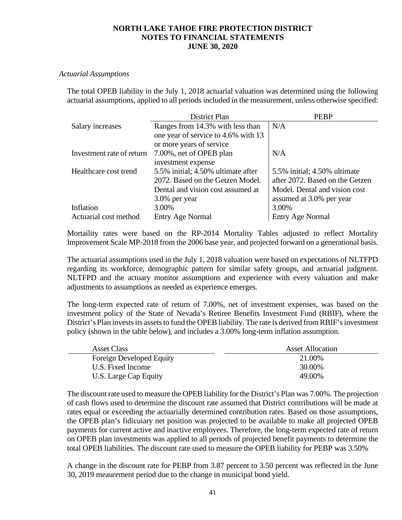#### *Actuarial Assumptions*

The total OPEB liability in the July 1, 2018 actuarial valuation was determined using the following actuarial assumptions, applied to all periods included in the measurement, unless otherwise specified:

|                           | District Plan                       | <b>PEBP</b>                     |
|---------------------------|-------------------------------------|---------------------------------|
| Salary increases          | Ranges from 14.3% with less than    | N/A                             |
|                           | one year of service to 4.6% with 13 |                                 |
|                           | or more years of service            |                                 |
| Investment rate of return | 7.00%, net of OPEB plan             | N/A                             |
|                           | investment expense                  |                                 |
| Healthcare cost trend     | 5.5% initial; 4.50% ultimate after  | 5.5% initial; 4.50% ultimate    |
|                           | 2072. Based on the Getzen Model.    | after 2072. Based on the Getzen |
|                           | Dental and vision cost assumed at   | Model. Dental and vision cost   |
|                           | 3.0% per year                       | assumed at 3.0% per year        |
| Inflation                 | 3.00%                               | 3.00%                           |
| Actuarial cost method     | Entry Age Normal                    | <b>Entry Age Normal</b>         |

Mortaility rates were based on the RP-2014 Mortality Tables adjusted to reflect Mortality Improvement Scale MP-2018 from the 2006 base year, and projected forward on a generational basis.

The actuarial assumptions used in the July 1, 2018 valuation were based on expectations of NLTFPD regarding its workforce, demographic pattern for similar safety groups, and actuarial judgment. NLTFPD and the actuary monitor assumptions and experience with every valuation and make adjustments to assumptions as needed as experience emerges.

The long-term expected rate of return of 7.00%, net of investment expenses, was based on the investment policy of the State of Nevada's Retiree Benefits Investment Fund (RBIF), where the District's Plan invests its assets to fund the OPEB liability. The rate is derived from RBIF's investment policy (shown in the table below), and includes a 3.00% long-term inflation assumption.

| Asset Class              | <b>Asset Allocation</b> |
|--------------------------|-------------------------|
| Foreign Developed Equity | 21.00%                  |
| U.S. Fixed Income        | 30.00%                  |
| U.S. Large Cap Equity    | 49.00%                  |

The discount rate used to measure the OPEB liability for the District's Plan was 7.00%. The projection of cash flows used to determine the discount rate assumed that District contributions will be made at rates equal or exceeding the actuarially determined contribution rates. Based on those assumptions, the OPEB plan's fidicuiary net position was projected to be available to make all projected OPEB payments for current active and inactive employees. Therefore, the long-term expected rate of return on OPEB plan investments was applied to all periods of projected benefit payments to determine the total OPEB liabilities. The discount rate used to measure the OPEB liability for PEBP was 3.50%

A change in the discount rate for PEBP from 3.87 percent to 3.50 percent was reflected in the June 30, 2019 meaurement period due to the change in municipal bond yield.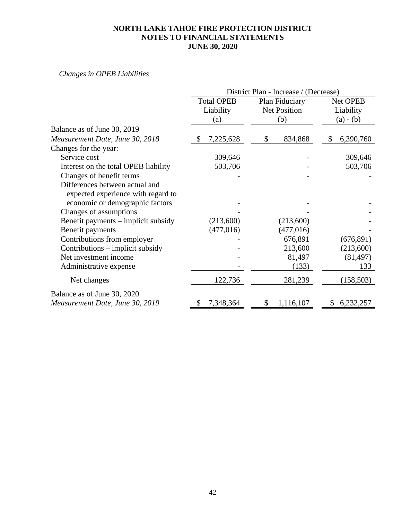# *Changes in OPEB Liabilities*

|                                                                      | District Plan - Increase / (Decrease) |                                       |                                      |  |
|----------------------------------------------------------------------|---------------------------------------|---------------------------------------|--------------------------------------|--|
|                                                                      | <b>Total OPEB</b><br>Liability<br>(a) | Plan Fiduciary<br>Net Position<br>(b) | Net OPEB<br>Liability<br>$(a) - (b)$ |  |
| Balance as of June 30, 2019                                          |                                       |                                       |                                      |  |
| Measurement Date, June 30, 2018                                      | 7,225,628<br>\$                       | 834,868<br>\$                         | \$<br>6,390,760                      |  |
| Changes for the year:                                                |                                       |                                       |                                      |  |
| Service cost                                                         | 309,646                               |                                       | 309,646                              |  |
| Interest on the total OPEB liability                                 | 503,706                               |                                       | 503,706                              |  |
| Changes of benefit terms                                             |                                       |                                       |                                      |  |
| Differences between actual and<br>expected experience with regard to |                                       |                                       |                                      |  |
| economic or demographic factors<br>Changes of assumptions            |                                       |                                       |                                      |  |
| Benefit payments – implicit subsidy                                  | (213,600)                             | (213,600)                             |                                      |  |
| Benefit payments                                                     | (477, 016)                            | (477, 016)                            |                                      |  |
| Contributions from employer                                          |                                       | 676,891                               | (676, 891)                           |  |
| Contributions – implicit subsidy                                     |                                       | 213,600                               | (213,600)                            |  |
| Net investment income                                                |                                       | 81,497                                | (81, 497)                            |  |
| Administrative expense                                               |                                       | (133)                                 | 133                                  |  |
| Net changes                                                          | 122,736                               | 281,239                               | (158, 503)                           |  |
| Balance as of June 30, 2020                                          |                                       |                                       |                                      |  |
| Measurement Date, June 30, 2019                                      | 7,348,364<br>\$                       | 1,116,107<br>\$                       | 6,232,257<br>\$                      |  |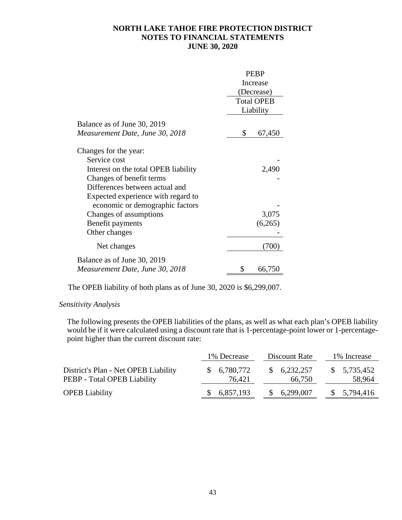|                                      | <b>PEBP</b>       |
|--------------------------------------|-------------------|
|                                      | Increase          |
|                                      | (Decrease)        |
|                                      | <b>Total OPEB</b> |
|                                      | Liability         |
| Balance as of June 30, 2019          |                   |
| Measurement Date, June 30, 2018      | \$<br>67,450      |
| Changes for the year:                |                   |
| Service cost                         |                   |
| Interest on the total OPEB liability | 2,490             |
| Changes of benefit terms             |                   |
| Differences between actual and       |                   |
| Expected experience with regard to   |                   |
| economic or demographic factors      |                   |
| Changes of assumptions               | 3,075             |
| Benefit payments                     | (6,265)           |
| Other changes                        |                   |
| Net changes                          | 700               |
| Balance as of June 30, 2019          |                   |
| Measurement Date, June 30, 2018      | \$<br>66,750      |

The OPEB liability of both plans as of June 30, 2020 is \$6,299,007.

## *Sensitivity Analysis*

The following presents the OPEB liabilities of the plans, as well as what each plan's OPEB liability would be if it were calculated using a discount rate that is 1-percentage-point lower or 1-percentagepoint higher than the current discount rate:

|                                                                     | 1% Decrease           | Discount Rate         | 1% Increase           |
|---------------------------------------------------------------------|-----------------------|-----------------------|-----------------------|
| District's Plan - Net OPEB Liability<br>PEBP - Total OPEB Liability | \$6,780,772<br>76,421 | \$6,232,257<br>66,750 | \$5,735,452<br>58,964 |
| <b>OPEB</b> Liability                                               | \$6,857,193           | 6,299,007             | \$5,794,416           |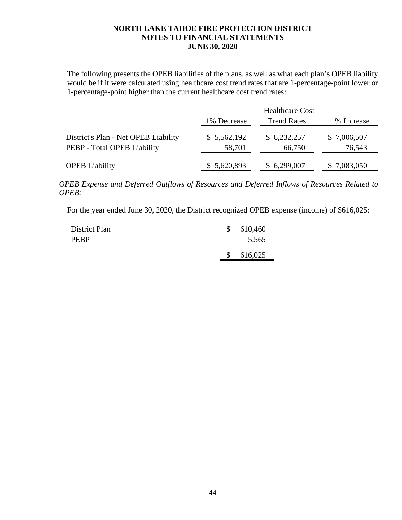The following presents the OPEB liabilities of the plans, as well as what each plan's OPEB liability would be if it were calculated using healthcare cost trend rates that are 1-percentage-point lower or 1-percentage-point higher than the current healthcare cost trend rates:

|                                                                     |                       | <b>Healthcare Cost</b> |                       |
|---------------------------------------------------------------------|-----------------------|------------------------|-----------------------|
|                                                                     | 1% Decrease           | <b>Trend Rates</b>     | 1% Increase           |
| District's Plan - Net OPEB Liability<br>PEBP - Total OPEB Liability | \$5,562,192<br>58,701 | \$6,232,257<br>66,750  | \$7,006,507<br>76,543 |
| <b>OPEB</b> Liability                                               | \$5,620,893           | \$6,299,007            | \$7,083,050           |

*OPEB Expense and Deferred Outflows of Resources and Deferred Inflows of Resources Related to OPEB:*

For the year ended June 30, 2020, the District recognized OPEB expense (income) of \$616,025:

| District Plan | \$610,460 |
|---------------|-----------|
| PEBP          | 5,565     |
|               | \$616,025 |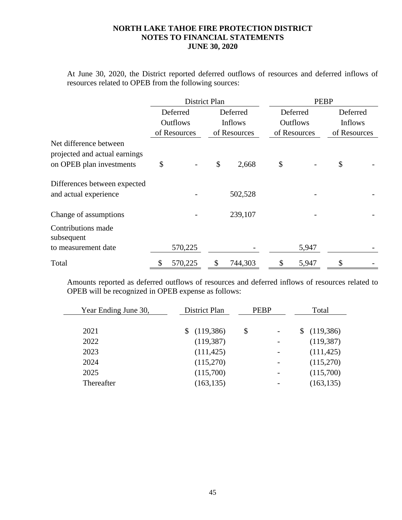At June 30, 2020, the District reported deferred outflows of resources and deferred inflows of resources related to OPEB from the following sources:

|                                                         | <b>District Plan</b> |              |    |              | <b>PEBP</b> |                 |                |  |  |  |  |
|---------------------------------------------------------|----------------------|--------------|----|--------------|-------------|-----------------|----------------|--|--|--|--|
|                                                         |                      | Deferred     |    | Deferred     |             | Deferred        | Deferred       |  |  |  |  |
|                                                         |                      | Outflows     |    | Inflows      |             | <b>Outflows</b> | <b>Inflows</b> |  |  |  |  |
|                                                         |                      | of Resources |    | of Resources |             | of Resources    | of Resources   |  |  |  |  |
| Net difference between<br>projected and actual earnings |                      |              |    |              |             |                 |                |  |  |  |  |
| on OPEB plan investments                                | \$                   |              | \$ | 2,668        | \$          |                 | \$             |  |  |  |  |
| Differences between expected                            |                      |              |    |              |             |                 |                |  |  |  |  |
| and actual experience                                   |                      |              |    | 502,528      |             |                 |                |  |  |  |  |
| Change of assumptions                                   |                      |              |    | 239,107      |             |                 |                |  |  |  |  |
| Contributions made<br>subsequent                        |                      |              |    |              |             |                 |                |  |  |  |  |
| to measurement date                                     |                      | 570,225      |    |              |             | 5,947           |                |  |  |  |  |
| Total                                                   | \$                   | 570,225      | \$ | 744,303      | \$          | 5,947           | \$             |  |  |  |  |

Amounts reported as deferred outflows of resources and deferred inflows of resources related to OPEB will be recognized in OPEB expense as follows:

| Year Ending June 30, | District Plan | <b>PEBP</b> | Total      |
|----------------------|---------------|-------------|------------|
|                      |               |             |            |
| 2021                 | (119,386)     | \$          | (119, 386) |
| 2022                 | (119, 387)    |             | (119, 387) |
| 2023                 | (111, 425)    |             | (111, 425) |
| 2024                 | (115,270)     |             | (115,270)  |
| 2025                 | (115,700)     |             | (115,700)  |
| Thereafter           | (163, 135)    |             | (163, 135) |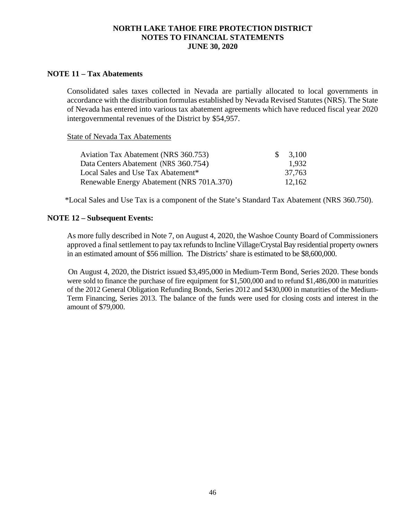#### **NOTE 11 – Tax Abatements**

Consolidated sales taxes collected in Nevada are partially allocated to local governments in accordance with the distribution formulas established by Nevada Revised Statutes (NRS). The State of Nevada has entered into various tax abatement agreements which have reduced fiscal year 2020 intergovernmental revenues of the District by \$54,957.

State of Nevada Tax Abatements

| Aviation Tax Abatement (NRS 360.753)           | <sup>S</sup> | 3,100  |
|------------------------------------------------|--------------|--------|
| Data Centers Abatement (NRS 360.754)           |              | 1.932  |
| Local Sales and Use Tax Abatement <sup>*</sup> |              | 37,763 |
| Renewable Energy Abatement (NRS 701A.370)      |              | 12,162 |

\*Local Sales and Use Tax is a component of the State's Standard Tax Abatement (NRS 360.750).

#### **NOTE 12 – Subsequent Events:**

As more fully described in Note 7, on August 4, 2020, the Washoe County Board of Commissioners approved a final settlement to pay tax refunds to Incline Village/Crystal Bay residential property owners in an estimated amount of \$56 million. The Districts' share is estimated to be \$8,600,000.

 On August 4, 2020, the District issued \$3,495,000 in Medium-Term Bond, Series 2020. These bonds were sold to finance the purchase of fire equipment for \$1,500,000 and to refund \$1,486,000 in maturities of the 2012 General Obligation Refunding Bonds, Series 2012 and \$430,000 in maturities of the Medium-Term Financing, Series 2013. The balance of the funds were used for closing costs and interest in the amount of \$79,000.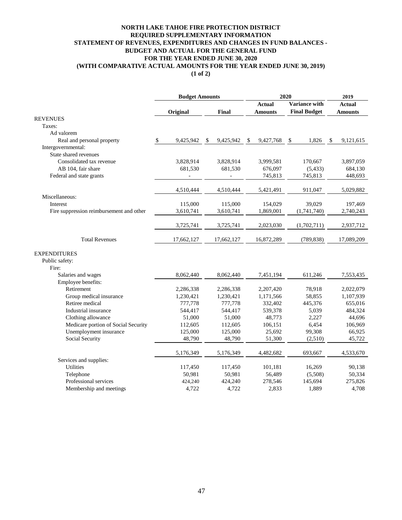#### **NORTH LAKE TAHOE FIRE PROTECTION DISTRICT STATEMENT OF REVENUES, EXPENDITURES AND CHANGES IN FUND BALANCES - BUDGET AND ACTUAL FOR THE GENERAL FUND FOR THE YEAR ENDED JUNE 30, 2020 REQUIRED SUPPLEMENTARY INFORMATION (WITH COMPARATIVE ACTUAL AMOUNTS FOR THE YEAR ENDED JUNE 30, 2019) (1 of 2)**

|                                          | <b>Budget Amounts</b> |                 |                                 | 2020                                        |                          |  |
|------------------------------------------|-----------------------|-----------------|---------------------------------|---------------------------------------------|--------------------------|--|
|                                          | Original              | Final           | <b>Actual</b><br><b>Amounts</b> | <b>Variance with</b><br><b>Final Budget</b> | <b>Actual</b><br>Amounts |  |
| <b>REVENUES</b>                          |                       |                 |                                 |                                             |                          |  |
| Taxes:                                   |                       |                 |                                 |                                             |                          |  |
| Ad valorem                               |                       |                 |                                 |                                             |                          |  |
| Real and personal property               | $\$$<br>9,425,942     | 9,425,942<br>\$ | \$<br>9,427,768                 | \$<br>1,826                                 | \$<br>9,121,615          |  |
| Intergovernmental:                       |                       |                 |                                 |                                             |                          |  |
| State shared revenues                    |                       |                 |                                 |                                             |                          |  |
| Consolidated tax revenue                 | 3,828,914             | 3,828,914       | 3,999,581                       | 170,667                                     | 3,897,059                |  |
| AB 104, fair share                       | 681,530               | 681,530         | 676,097                         | (5, 433)                                    | 684,130                  |  |
| Federal and state grants                 |                       |                 | 745,813                         | 745,813                                     | 448,693                  |  |
|                                          | 4,510,444             | 4,510,444       | 5,421,491                       | 911,047                                     | 5,029,882                |  |
| Miscellaneous:                           |                       |                 |                                 |                                             |                          |  |
| Interest                                 | 115,000               | 115,000         | 154,029                         | 39,029                                      | 197,469                  |  |
| Fire suppression reimbursement and other | 3,610,741             | 3,610,741       | 1,869,001                       | (1,741,740)                                 | 2,740,243                |  |
|                                          | 3,725,741             | 3,725,741       | 2,023,030                       | (1,702,711)                                 | 2,937,712                |  |
| <b>Total Revenues</b>                    | 17,662,127            | 17,662,127      | 16,872,289                      | (789, 838)                                  | 17,089,209               |  |
| <b>EXPENDITURES</b>                      |                       |                 |                                 |                                             |                          |  |
| Public safety:                           |                       |                 |                                 |                                             |                          |  |
| Fire:                                    |                       |                 |                                 |                                             |                          |  |
| Salaries and wages                       | 8,062,440             | 8,062,440       | 7,451,194                       | 611,246                                     | 7,553,435                |  |
| Employee benefits:                       |                       |                 |                                 |                                             |                          |  |
| Retirement                               | 2,286,338             | 2,286,338       | 2,207,420                       | 78,918                                      | 2,022,079                |  |
| Group medical insurance                  | 1,230,421             | 1,230,421       | 1,171,566                       | 58,855                                      | 1,107,939                |  |
| Retiree medical                          | 777,778               | 777,778         | 332,402                         | 445,376                                     | 655,016                  |  |
| Industrial insurance                     | 544,417               | 544,417         | 539,378                         | 5,039                                       | 484,324                  |  |
| Clothing allowance                       | 51,000                | 51,000          | 48,773                          | 2,227                                       | 44,696                   |  |
| Medicare portion of Social Security      | 112,605               | 112,605         | 106,151                         | 6,454                                       | 106,969                  |  |
| Unemployment insurance                   | 125,000               | 125,000         | 25,692                          | 99,308                                      | 66,925                   |  |
| Social Security                          | 48,790                | 48,790          | 51,300                          | (2,510)                                     | 45,722                   |  |
|                                          | 5,176,349             | 5,176,349       | 4,482,682                       | 693,667                                     | 4,533,670                |  |
| Services and supplies:                   |                       |                 |                                 |                                             |                          |  |
| <b>Utilities</b>                         | 117,450               | 117,450         | 101,181                         | 16,269                                      | 90,138                   |  |
| Telephone                                | 50,981                | 50,981          | 56,489                          | (5,508)                                     | 50,334                   |  |
| Professional services                    | 424,240               | 424,240         | 278,546                         | 145,694                                     | 275,826                  |  |
| Membership and meetings                  | 4,722                 | 4,722           | 2,833                           | 1,889                                       | 4,708                    |  |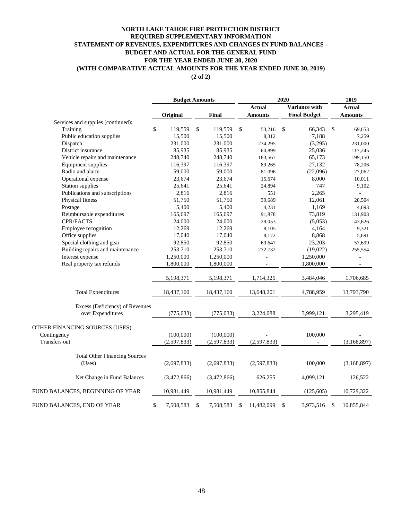#### **NORTH LAKE TAHOE FIRE PROTECTION DISTRICT STATEMENT OF REVENUES, EXPENDITURES AND CHANGES IN FUND BALANCES - BUDGET AND ACTUAL FOR THE GENERAL FUND FOR THE YEAR ENDED JUNE 30, 2020 (WITH COMPARATIVE ACTUAL AMOUNTS FOR THE YEAR ENDED JUNE 30, 2019) REQUIRED SUPPLEMENTARY INFORMATION**

**(2 of 2)**

|                                      | <b>Budget Amounts</b> |                 | 2020 |                |    |                     |               | 2019           |
|--------------------------------------|-----------------------|-----------------|------|----------------|----|---------------------|---------------|----------------|
|                                      |                       |                 |      | <b>Actual</b>  |    | Variance with       |               | <b>Actual</b>  |
|                                      | Original              | Final           |      | <b>Amounts</b> |    | <b>Final Budget</b> |               | <b>Amounts</b> |
| Services and supplies (continued):   |                       |                 |      |                |    |                     |               |                |
| Training                             | \$<br>119,559         | \$<br>119,559   | \$   | 53,216         | \$ | 66,343              | $\mathbb{S}$  | 69,653         |
| Public education supplies            | 15,500                | 15,500          |      | 8,312          |    | 7,188               |               | 7,259          |
| Dispatch                             | 231,000               | 231,000         |      | 234,295        |    | (3,295)             |               | 231,000        |
| District insurance                   | 85,935                | 85,935          |      | 60,899         |    | 25,036              |               | 117,245        |
| Vehicle repairs and maintenance      | 248,740               | 248,740         |      | 183,567        |    | 65,173              |               | 199,150        |
| Equipment supplies                   | 116,397               | 116,397         |      | 89,265         |    | 27,132              |               | 78,206         |
| Radio and alarm                      | 59,000                | 59,000          |      | 81,096         |    | (22,096)            |               | 27,062         |
| Operational expense                  | 23,674                | 23,674          |      | 15,674         |    | 8,000               |               | 10,011         |
| <b>Station supplies</b>              | 25,641                | 25,641          |      | 24,894         |    | 747                 |               | 9,102          |
| Publications and subscriptions       | 2,816                 | 2,816           |      | 551            |    | 2,265               |               |                |
| Physical fitness                     | 51,750                | 51,750          |      | 39.689         |    | 12,061              |               | 28,504         |
| Postage                              | 5,400                 | 5,400           |      | 4,231          |    | 1,169               |               | 4,693          |
| Reimbursable expenditures            | 165,697               | 165,697         |      | 91,878         |    | 73,819              |               | 131,903        |
| <b>CPR/FACTS</b>                     | 24,000                | 24,000          |      | 29,053         |    | (5,053)             |               | 43,626         |
| Employee recognition                 | 12,269                | 12,269          |      | 8,105          |    | 4,164               |               | 9,321          |
| Office supplies                      | 17,040                | 17,040          |      | 8.172          |    | 8,868               |               | 5,691          |
| Special clothing and gear            | 92,850                | 92,850          |      | 69,647         |    | 23,203              |               | 57,699         |
| Building repairs and maintenance     | 253,710               | 253,710         |      | 272,732        |    | (19,022)            |               | 255,554        |
| Interest expense                     | 1,250,000             | 1,250,000       |      | L.             |    | 1,250,000           |               |                |
| Real property tax refunds            | 1,800,000             | 1,800,000       |      |                |    | 1,800,000           |               |                |
|                                      | 5,198,371             | 5,198,371       |      | 1,714,325      |    | 3,484,046           |               | 1,706,685      |
| <b>Total Expenditures</b>            | 18,437,160            | 18,437,160      |      | 13,648,201     |    | 4,788,959           |               | 13,793,790     |
| Excess (Deficiency) of Revenues      |                       |                 |      |                |    |                     |               |                |
| over Expenditures                    | (775, 033)            | (775, 033)      |      | 3,224,088      |    | 3,999,121           |               | 3,295,419      |
| OTHER FINANCING SOURCES (USES)       |                       |                 |      |                |    |                     |               |                |
| Contingency                          | (100,000)             | (100,000)       |      |                |    | 100,000             |               |                |
| Transfers out                        | (2,597,833)           | (2,597,833)     |      | (2,597,833)    |    |                     |               | (3,168,897)    |
| <b>Total Other Financing Sources</b> |                       |                 |      |                |    |                     |               |                |
| (Uses)                               | (2,697,833)           | (2,697,833)     |      | (2,597,833)    |    | 100,000             |               | (3,168,897)    |
| Net Change in Fund Balances          | (3,472,866)           | (3,472,866)     |      | 626,255        |    | 4,099,121           |               | 126,522        |
| FUND BALANCES, BEGINNING OF YEAR     | 10,981,449            | 10,981,449      |      | 10,855,844     |    | (125,605)           |               | 10,729,322     |
| FUND BALANCES, END OF YEAR           | \$<br>7,508,583       | \$<br>7,508,583 | \$.  | 11,482,099     | \$ | 3,973,516           | <sup>\$</sup> | 10,855,844     |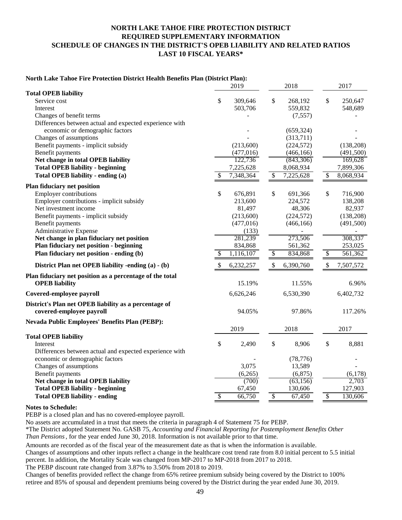#### **NORTH LAKE TAHOE FIRE PROTECTION DISTRICT REQUIRED SUPPLEMENTARY INFORMATION SCHEDULE OF CHANGES IN THE DISTRICT'S OPEB LIABILITY AND RELATED RATIOS LAST 10 FISCAL YEARS\***

#### **North Lake Tahoe Fire Protection District Health Benefits Plan (District Plan):**

|                                                          | 2019 |            |        | 2018       |                           | 2017       |
|----------------------------------------------------------|------|------------|--------|------------|---------------------------|------------|
| <b>Total OPEB liability</b>                              |      |            |        |            |                           |            |
| Service cost                                             | \$   | 309,646    | \$     | 268,192    | \$                        | 250,647    |
| Interest                                                 |      | 503,706    |        | 559,832    |                           | 548,689    |
| Changes of benefit terms                                 |      |            |        | (7,557)    |                           |            |
| Differences between actual and expected experience with  |      |            |        |            |                           |            |
| economic or demographic factors                          |      |            |        | (659, 324) |                           |            |
| Changes of assumptions                                   |      |            |        | (313,711)  |                           |            |
| Benefit payments - implicit subsidy                      |      | (213,600)  |        | (224, 572) |                           | (138,208)  |
| Benefit payments                                         |      | (477, 016) |        | (466, 166) |                           | (491, 500) |
| Net change in total OPEB liability                       |      | 122,736    |        | (843,306)  |                           | 169,628    |
| <b>Total OPEB liability - beginning</b>                  |      | 7,225,628  |        | 8,068,934  |                           | 7,899,306  |
| Total OPEB liability - ending (a)                        |      | 7,348,364  | \$     | 7,225,628  | \$                        | 8,068,934  |
| Plan fiduciary net position                              |      |            |        |            |                           |            |
| <b>Employer contributions</b>                            | \$   | 676,891    | \$     | 691,366    | \$                        | 716,900    |
| Employer contributions - implicit subsidy                |      | 213,600    |        | 224,572    |                           | 138,208    |
| Net investment income                                    |      | 81,497     |        | 48,306     |                           | 82,937     |
| Benefit payments - implicit subsidy                      |      | (213,600)  |        | (224, 572) |                           | (138, 208) |
| Benefit payments                                         |      | (477, 016) |        | (466, 166) |                           | (491,500)  |
| Administrative Expense                                   |      | (133)      |        |            |                           |            |
| Net change in plan fiduciary net position                |      | 281,239    |        | 273,506    |                           | 308,337    |
| Plan fiduciary net position - beginning                  |      | 834,868    |        | 561,362    |                           | 253,025    |
| Plan fiduciary net position - ending (b)                 | \$   | 1,116,107  | $\$\,$ | 834,868    | $\boldsymbol{\mathsf{S}}$ | 561,362    |
| District Plan net OPEB liability -ending (a) - (b)       | \$   | 6,232,257  | \$     | 6,390,760  | \$                        | 7,507,572  |
| Plan fiduciary net position as a percentage of the total |      |            |        |            |                           |            |
| <b>OPEB</b> liability                                    |      | 15.19%     |        | 11.55%     |                           | 6.96%      |
| Covered-employee payroll                                 |      | 6,626,246  |        | 6,530,390  |                           | 6,402,732  |
| District's Plan net OPEB liability as a percentage of    |      |            |        |            |                           |            |
| covered-employee payroll                                 |      | 94.05%     |        | 97.86%     |                           | 117.26%    |
| <b>Nevada Public Employees' Benefits Plan (PEBP):</b>    |      |            |        |            |                           |            |
|                                                          |      | 2019       |        | 2018       |                           | 2017       |
| <b>Total OPEB liability</b>                              |      |            |        |            |                           |            |
| Interest                                                 | \$   | 2,490      | \$     | 8,906      | \$                        | 8,881      |
| Differences between actual and expected experience with  |      |            |        |            |                           |            |
| economic or demographic factors                          |      |            |        | (78, 776)  |                           |            |
| Changes of assumptions                                   |      | 3,075      |        | 13,589     |                           |            |
| Benefit payments                                         |      | (6,265)    |        | (6,875)    |                           | (6,178)    |
| Net change in total OPEB liability                       |      | (700)      |        | (63, 156)  |                           | 2,703      |
| <b>Total OPEB liability - beginning</b>                  |      | 67,450     |        | 130,606    |                           | 127,903    |
| <b>Total OPEB liability - ending</b>                     | \$   | 66,750     | \$     | 67,450     | \$                        | 130,606    |

#### **Notes to Schedule:**

PEBP is a closed plan and has no covered-employee payroll.

No assets are accumulated in a trust that meets the criteria in paragraph 4 of Statement 75 for PEBP.

\*The District adopted Statement No. GASB 75, *Accounting and Financial Reporting for Postemployment Benefits Other Than Pensions*, for the year ended June 30, 2018. Information is not available prior to that time.

Amounts are recorded as of the fiscal year of the measurement date as that is when the information is available. Changes of assumptions and other inputs reflect a change in the healthcare cost trend rate from 8.0 initial percent to 5.5 initial percent. In addition, the Mortality Scale was changed from MP-2017 to MP-2018 from 2017 to 2018. The PEBP discount rate changed from 3.87% to 3.50% from 2018 to 2019.

Changes of benefits provided reflect the change from 65% retiree premium subsidy being covered by the District to 100% retiree and 85% of spousal and dependent premiums being covered by the District during the year ended June 30, 2019.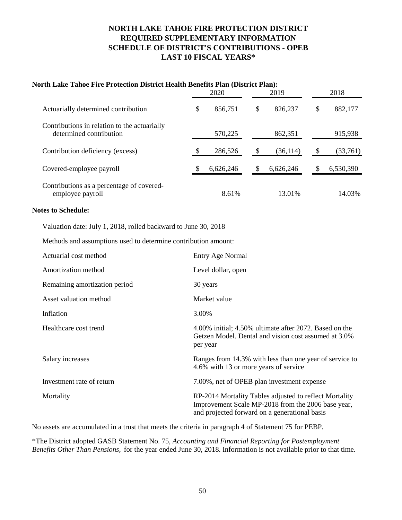# **NORTH LAKE TAHOE FIRE PROTECTION DISTRICT REQUIRED SUPPLEMENTARY INFORMATION SCHEDULE OF DISTRICT'S CONTRIBUTIONS - OPEB LAST 10 FISCAL YEARS\***

| North Lake Tahoe Fire Protection District Health Benefits Plan (District Plan): | 2020                    | 2019                                                                                                                                                          |                 |  |  |  |  |
|---------------------------------------------------------------------------------|-------------------------|---------------------------------------------------------------------------------------------------------------------------------------------------------------|-----------------|--|--|--|--|
| Actuarially determined contribution                                             | \$<br>856,751           | \$<br>826,237                                                                                                                                                 | \$<br>882,177   |  |  |  |  |
| Contributions in relation to the actuarially<br>determined contribution         | 570,225                 | 862,351                                                                                                                                                       | 915,938         |  |  |  |  |
| Contribution deficiency (excess)                                                | 286,526<br>S            | (36, 114)<br>$\boldsymbol{\mathsf{\$}}$                                                                                                                       | \$<br>(33,761)  |  |  |  |  |
| Covered-employee payroll                                                        | \$<br>6,626,246         | $\boldsymbol{\mathsf{S}}$<br>6,626,246                                                                                                                        | \$<br>6,530,390 |  |  |  |  |
| Contributions as a percentage of covered-<br>employee payroll                   | 8.61%                   | 13.01%                                                                                                                                                        | 14.03%          |  |  |  |  |
| <b>Notes to Schedule:</b>                                                       |                         |                                                                                                                                                               |                 |  |  |  |  |
| Valuation date: July 1, 2018, rolled backward to June 30, 2018                  |                         |                                                                                                                                                               |                 |  |  |  |  |
| Methods and assumptions used to determine contribution amount:                  |                         |                                                                                                                                                               |                 |  |  |  |  |
| Actuarial cost method                                                           | <b>Entry Age Normal</b> |                                                                                                                                                               |                 |  |  |  |  |
| Amortization method                                                             | Level dollar, open      |                                                                                                                                                               |                 |  |  |  |  |
| Remaining amortization period                                                   | 30 years                |                                                                                                                                                               |                 |  |  |  |  |
| Asset valuation method                                                          | Market value            |                                                                                                                                                               |                 |  |  |  |  |
| Inflation                                                                       | 3.00%                   |                                                                                                                                                               |                 |  |  |  |  |
| Healthcare cost trend                                                           | per year                | 4.00% initial; 4.50% ultimate after 2072. Based on the<br>Getzen Model. Dental and vision cost assumed at 3.0%                                                |                 |  |  |  |  |
| Salary increases                                                                |                         | Ranges from 14.3% with less than one year of service to<br>4.6% with 13 or more years of service                                                              |                 |  |  |  |  |
| Investment rate of return                                                       |                         | 7.00%, net of OPEB plan investment expense                                                                                                                    |                 |  |  |  |  |
| Mortality                                                                       |                         | RP-2014 Mortality Tables adjusted to reflect Mortality<br>Improvement Scale MP-2018 from the 2006 base year,<br>and projected forward on a generational basis |                 |  |  |  |  |

No assets are accumulated in a trust that meets the criteria in paragraph 4 of Statement 75 for PEBP.

\*The District adopted GASB Statement No. 75, *Accounting and Financial Reporting for Postemployment Benefits Other Than Pensions,* for the year ended June 30, 2018. Information is not available prior to that time.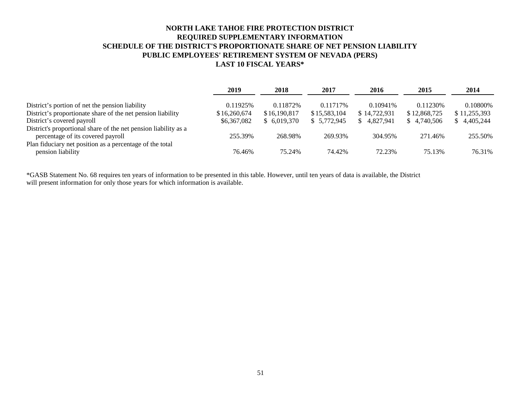## **NORTH LAKE TAHOE FIRE PROTECTION DISTRICT REQUIRED SUPPLEMENTARY INFORMATION SCHEDULE OF THE DISTRICT'S PROPORTIONATE SHARE OF NET PENSION LIABILITY PUBLIC EMPLOYEES' RETIREMENT SYSTEM OF NEVADA (PERS) LAST 10 FISCAL YEARS\***

|                                                                                                      | 2019         | 2018         | 2017         | 2016             | 2015         | 2014         |
|------------------------------------------------------------------------------------------------------|--------------|--------------|--------------|------------------|--------------|--------------|
| District's portion of net the pension liability                                                      | 0.11925\%    | 0.11872\%    | 0.11717\%    | 0.10941\%        | 0.11230\%    | 0.10800\%    |
| District's proportionate share of the net pension liability                                          | \$16,260,674 | \$16,190,817 | \$15,583,104 | \$14,722,931     | \$12,868,725 | \$11,255,393 |
| District's covered payroll                                                                           | \$6,367,082  | \$6,019,370  | \$ 5,772,945 | 4.827.941<br>SS. | \$4.740.506  | \$4,405,244  |
| District's proportional share of the net pension liability as a<br>percentage of its covered payroll | 255.39%      | 268.98%      | 269.93%      | 304.95%          | 271.46%      | 255.50%      |
| Plan fiduciary net position as a percentage of the total<br>pension liability                        | 76.46%       | 75.24%       | 74.42%       | 72.23%           | 75.13%       | 76.31%       |

\*GASB Statement No. 68 requires ten years of information to be presented in this table. However, until ten years of data is available, the District will present information for only those years for which information is available.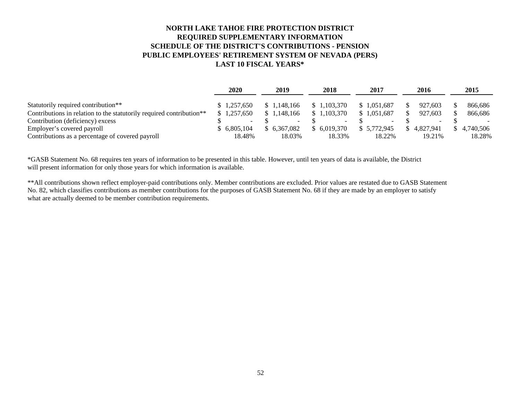#### **SCHEDULE OF THE DISTRICT'S CONTRIBUTIONS - PENSION PUBLIC EMPLOYEES' RETIREMENT SYSTEM OF NEVADA (PERS) LAST 10 FISCAL YEARS\* NORTH LAKE TAHOE FIRE PROTECTION DISTRICT REQUIRED SUPPLEMENTARY INFORMATION**

|                                                                                  | <b>2020</b> | 2019                     | 2018                     | 2017                     | 2016      | 2015      |  |
|----------------------------------------------------------------------------------|-------------|--------------------------|--------------------------|--------------------------|-----------|-----------|--|
| Statutorily required contribution <sup>**</sup>                                  | \$1,257,650 | \$1.148.166              | \$1,103,370              | \$1,051,687              | 927.603   | 866.686   |  |
| Contributions in relation to the statutorily required contribution <sup>**</sup> | \$1,257,650 | \$1.148.166              | \$1,103,370              | \$1,051,687              | 927.603   | 866,686   |  |
| Contribution (deficiency) excess                                                 |             | $\overline{\phantom{0}}$ | $\overline{\phantom{0}}$ | $\overline{\phantom{0}}$ | $\sim$    |           |  |
| Employer's covered payroll                                                       | \$6,805,104 | \$6.367.082              | \$6.019.370              | \$ 5,772,945             | 4.827.941 | 4.740.506 |  |
| Contributions as a percentage of covered payroll                                 | 18.48%      | 18.03%                   | 18.33%                   | 18.22%                   | 19.21%    | 18.28%    |  |

\*GASB Statement No. 68 requires ten years of information to be presented in this table. However, until ten years of data is available, the District will present information for only those years for which information is available.

\*\*All contributions shown reflect employer-paid contributions only. Member contributions are excluded. Prior values are restated due to GASB Statement No. 82, which classifies contributions as member contributions for the purposes of GASB Statement No. 68 if they are made by an employer to satisfy what are actually deemed to be member contribution requirements.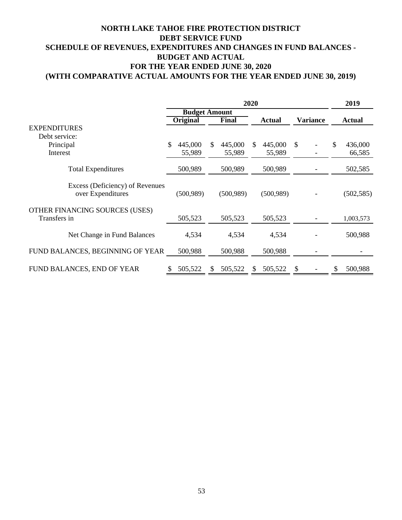## **(WITH COMPARATIVE ACTUAL AMOUNTS FOR THE YEAR ENDED JUNE 30, 2019) NORTH LAKE TAHOE FIRE PROTECTION DISTRICT DEBT SERVICE FUND SCHEDULE OF REVENUES, EXPENDITURES AND CHANGES IN FUND BALANCES - BUDGET AND ACTUAL FOR THE YEAR ENDED JUNE 30, 2020**

|                                                      | 2020                 |  |              |            |               |            |              |                 |               | 2019          |
|------------------------------------------------------|----------------------|--|--------------|------------|---------------|------------|--------------|-----------------|---------------|---------------|
|                                                      | <b>Budget Amount</b> |  |              |            |               |            |              |                 |               |               |
|                                                      | <b>Original</b>      |  | <b>Final</b> |            | <b>Actual</b> |            |              | <b>Variance</b> |               | <b>Actual</b> |
| <b>EXPENDITURES</b><br>Debt service:                 |                      |  |              |            |               |            |              |                 |               |               |
| Principal                                            | \$.<br>445,000       |  | \$.          | 445,000    | S.            | 445,000    | $\mathbb{S}$ |                 | $\mathcal{S}$ | 436,000       |
| Interest                                             | 55,989               |  |              | 55,989     |               | 55,989     |              |                 |               | 66,585        |
| <b>Total Expenditures</b>                            | 500,989              |  |              | 500,989    |               | 500,989    |              |                 |               | 502,585       |
| Excess (Deficiency) of Revenues<br>over Expenditures | (500, 989)           |  |              | (500, 989) |               | (500, 989) |              |                 |               | (502, 585)    |
| OTHER FINANCING SOURCES (USES)<br>Transfers in       | 505,523              |  |              | 505,523    |               | 505,523    |              |                 |               | 1,003,573     |
| Net Change in Fund Balances                          | 4,534                |  |              | 4,534      |               | 4,534      |              |                 |               | 500,988       |
| FUND BALANCES, BEGINNING OF YEAR                     | 500,988              |  |              | 500,988    |               | 500,988    |              |                 |               |               |
| FUND BALANCES, END OF YEAR                           | 505,522              |  |              | 505,522    | S.            | 505,522    | \$           |                 | S             | 500,988       |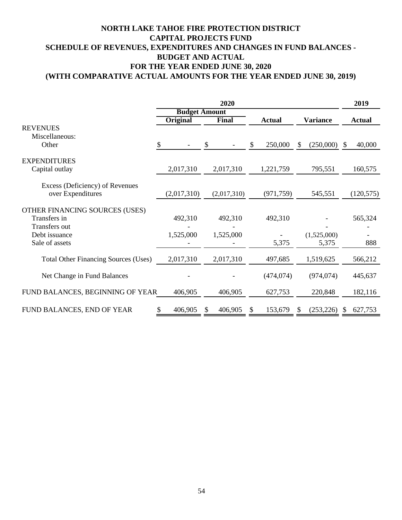## **(WITH COMPARATIVE ACTUAL AMOUNTS FOR THE YEAR ENDED JUNE 30, 2019) NORTH LAKE TAHOE FIRE PROTECTION DISTRICT CAPITAL PROJECTS FUND SCHEDULE OF REVENUES, EXPENDITURES AND CHANGES IN FUND BALANCES - BUDGET AND ACTUAL FOR THE YEAR ENDED JUNE 30, 2020**

|                                             |                      |    | 2020        |    |               |    |                 |   | 2019          |
|---------------------------------------------|----------------------|----|-------------|----|---------------|----|-----------------|---|---------------|
|                                             | <b>Budget Amount</b> |    |             |    |               |    |                 |   |               |
|                                             | Original             |    | Final       |    | <b>Actual</b> |    | <b>Variance</b> |   | <b>Actual</b> |
| <b>REVENUES</b>                             |                      |    |             |    |               |    |                 |   |               |
| Miscellaneous:                              |                      |    |             |    |               |    |                 |   |               |
| Other                                       | S                    | \$ |             | \$ | 250,000       | \$ | (250,000)       | S | 40,000        |
| <b>EXPENDITURES</b>                         |                      |    |             |    |               |    |                 |   |               |
| Capital outlay                              | 2,017,310            |    | 2,017,310   |    | 1,221,759     |    | 795,551         |   | 160,575       |
| Excess (Deficiency) of Revenues             |                      |    |             |    |               |    |                 |   |               |
| over Expenditures                           | (2,017,310)          |    | (2,017,310) |    | (971, 759)    |    | 545,551         |   | (120, 575)    |
| OTHER FINANCING SOURCES (USES)              |                      |    |             |    |               |    |                 |   |               |
| Transfers in                                | 492,310              |    | 492,310     |    | 492,310       |    |                 |   | 565,324       |
| Transfers out                               |                      |    |             |    |               |    |                 |   |               |
| Debt issuance                               | 1,525,000            |    | 1,525,000   |    |               |    | (1,525,000)     |   |               |
| Sale of assets                              |                      |    |             |    | 5,375         |    | 5,375           |   | 888           |
| <b>Total Other Financing Sources (Uses)</b> | 2,017,310            |    | 2,017,310   |    | 497,685       |    | 1,519,625       |   | 566,212       |
| Net Change in Fund Balances                 |                      |    |             |    | (474, 074)    |    | (974, 074)      |   | 445,637       |
| FUND BALANCES, BEGINNING OF YEAR            | 406,905              |    | 406,905     |    | 627,753       |    | 220,848         |   | 182,116       |
| FUND BALANCES, END OF YEAR                  | 406,905              | S  | 406,905     | S. | 153,679       | S  | (253, 226)      | S | 627,753       |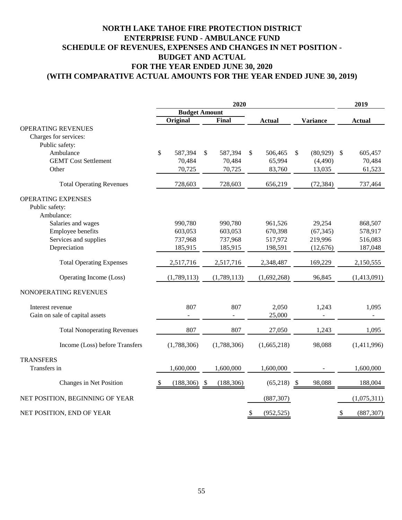## **(WITH COMPARATIVE ACTUAL AMOUNTS FOR THE YEAR ENDED JUNE 30, 2019) NORTH LAKE TAHOE FIRE PROTECTION DISTRICT ENTERPRISE FUND - AMBULANCE FUND SCHEDULE OF REVENUES, EXPENSES AND CHANGES IN NET POSITION - BUDGET AND ACTUAL FOR THE YEAR ENDED JUNE 30, 2020**

|                                                    | 2020                     |    |                          |    |                  |    | 2019               |               |                         |
|----------------------------------------------------|--------------------------|----|--------------------------|----|------------------|----|--------------------|---------------|-------------------------|
|                                                    | <b>Budget Amount</b>     |    |                          |    |                  |    |                    |               |                         |
|                                                    | Original                 |    | Final                    |    | <b>Actual</b>    |    | <b>Variance</b>    |               | <b>Actual</b>           |
| OPERATING REVENUES                                 |                          |    |                          |    |                  |    |                    |               |                         |
| Charges for services:                              |                          |    |                          |    |                  |    |                    |               |                         |
| Public safety:                                     |                          |    |                          |    |                  |    |                    |               |                         |
| Ambulance<br><b>GEMT Cost Settlement</b>           | \$<br>587,394<br>70,484  | \$ | 587,394                  | \$ | 506,465          | \$ | (80,929)           | $\mathcal{S}$ | 605,457                 |
| Other                                              | 70,725                   |    | 70,484<br>70,725         |    | 65,994<br>83,760 |    | (4, 490)<br>13,035 |               | 70,484<br>61,523        |
|                                                    |                          |    |                          |    |                  |    |                    |               |                         |
| <b>Total Operating Revenues</b>                    | 728,603                  |    | 728,603                  |    | 656,219          |    | (72, 384)          |               | 737,464                 |
| <b>OPERATING EXPENSES</b>                          |                          |    |                          |    |                  |    |                    |               |                         |
| Public safety:                                     |                          |    |                          |    |                  |    |                    |               |                         |
| Ambulance:                                         |                          |    |                          |    |                  |    |                    |               |                         |
| Salaries and wages                                 | 990,780                  |    | 990,780                  |    | 961,526          |    | 29,254             |               | 868,507                 |
| Employee benefits                                  | 603,053                  |    | 603,053                  |    | 670,398          |    | (67, 345)          |               | 578,917                 |
| Services and supplies                              | 737,968                  |    | 737,968                  |    | 517,972          |    | 219,996            |               | 516,083                 |
| Depreciation                                       | 185,915                  |    | 185,915                  |    | 198,591          |    | (12,676)           |               | 187,048                 |
| <b>Total Operating Expenses</b>                    | 2,517,716                |    | 2,517,716                |    | 2,348,487        |    | 169,229            |               | 2,150,555               |
| Operating Income (Loss)                            | (1,789,113)              |    | (1,789,113)              |    | (1,692,268)      |    | 96,845             |               | (1,413,091)             |
| NONOPERATING REVENUES                              |                          |    |                          |    |                  |    |                    |               |                         |
|                                                    |                          |    |                          |    |                  |    |                    |               |                         |
| Interest revenue<br>Gain on sale of capital assets | 807                      |    | 807                      |    | 2,050<br>25,000  |    | 1,243              |               | 1,095<br>$\overline{a}$ |
|                                                    | $\overline{\phantom{a}}$ |    | $\overline{\phantom{a}}$ |    |                  |    |                    |               |                         |
| <b>Total Nonoperating Revenues</b>                 | 807                      |    | 807                      |    | 27,050           |    | 1,243              |               | 1,095                   |
| Income (Loss) before Transfers                     | (1,788,306)              |    | (1,788,306)              |    | (1,665,218)      |    | 98,088             |               | (1,411,996)             |
| <b>TRANSFERS</b>                                   |                          |    |                          |    |                  |    |                    |               |                         |
| Transfers in                                       | 1,600,000                |    | 1,600,000                |    | 1,600,000        |    |                    |               | 1,600,000               |
|                                                    |                          |    |                          |    |                  |    |                    |               |                         |
| Changes in Net Position                            | $(188,306)$ \$<br>-S     |    | (188, 306)               |    | $(65,218)$ \$    |    | 98,088             |               | 188,004                 |
| NET POSITION, BEGINNING OF YEAR                    |                          |    |                          |    | (887, 307)       |    |                    |               | (1,075,311)             |
| NET POSITION, END OF YEAR                          |                          |    |                          | \$ | (952, 525)       |    |                    | \$            | (887, 307)              |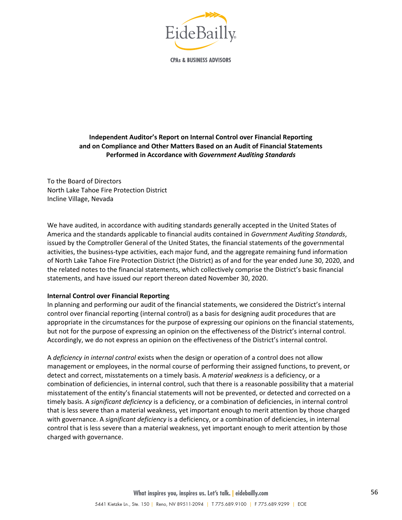

**CPAs & BUSINESS ADVISORS** 

#### **Independent Auditor's Report on Internal Control over Financial Reporting and on Compliance and Other Matters Based on an Audit of Financial Statements Performed in Accordance with** *Government Auditing Standards*

To the Board of Directors North Lake Tahoe Fire Protection District Incline Village, Nevada

We have audited, in accordance with auditing standards generally accepted in the United States of America and the standards applicable to financial audits contained in *Government Auditing Standards*, issued by the Comptroller General of the United States, the financial statements of the governmental activities, the business-type activities, each major fund, and the aggregate remaining fund information of North Lake Tahoe Fire Protection District (the District) as of and for the year ended June 30, 2020, and the related notes to the financial statements, which collectively comprise the District's basic financial statements, and have issued our report thereon dated November 30, 2020.

#### **Internal Control over Financial Reporting**

In planning and performing our audit of the financial statements, we considered the District's internal control over financial reporting (internal control) as a basis for designing audit procedures that are appropriate in the circumstances for the purpose of expressing our opinions on the financial statements, but not for the purpose of expressing an opinion on the effectiveness of the District's internal control. Accordingly, we do not express an opinion on the effectiveness of the District's internal control.

A *deficiency in internal control* exists when the design or operation of a control does not allow management or employees, in the normal course of performing their assigned functions, to prevent, or detect and correct, misstatements on a timely basis. A *material weakness* is a deficiency, or a combination of deficiencies, in internal control, such that there is a reasonable possibility that a material misstatement of the entity's financial statements will not be prevented, or detected and corrected on a timely basis. A *significant deficiency* is a deficiency, or a combination of deficiencies, in internal control that is less severe than a material weakness, yet important enough to merit attention by those charged with governance. A *significant deficiency* is a deficiency, or a combination of deficiencies, in internal control that is less severe than a material weakness, yet important enough to merit attention by those charged with governance.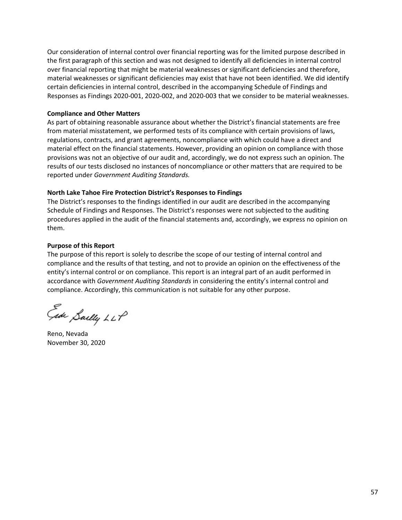Our consideration of internal control over financial reporting was for the limited purpose described in the first paragraph of this section and was not designed to identify all deficiencies in internal control over financial reporting that might be material weaknesses or significant deficiencies and therefore, material weaknesses or significant deficiencies may exist that have not been identified. We did identify certain deficiencies in internal control, described in the accompanying Schedule of Findings and Responses as Findings 2020-001, 2020-002, and 2020-003 that we consider to be material weaknesses.

#### **Compliance and Other Matters**

As part of obtaining reasonable assurance about whether the District's financial statements are free from material misstatement, we performed tests of its compliance with certain provisions of laws, regulations, contracts, and grant agreements, noncompliance with which could have a direct and material effect on the financial statements. However, providing an opinion on compliance with those provisions was not an objective of our audit and, accordingly, we do not express such an opinion. The results of our tests disclosed no instances of noncompliance or other matters that are required to be reported under *Government Auditing Standards.*

#### **North Lake Tahoe Fire Protection District's Responses to Findings**

The District's responses to the findings identified in our audit are described in the accompanying Schedule of Findings and Responses. The District's responses were not subjected to the auditing procedures applied in the audit of the financial statements and, accordingly, we express no opinion on them.

#### **Purpose of this Report**

The purpose of this report is solely to describe the scope of our testing of internal control and compliance and the results of that testing, and not to provide an opinion on the effectiveness of the entity's internal control or on compliance. This report is an integral part of an audit performed in accordance with *Government Auditing Standards* in considering the entity's internal control and compliance. Accordingly, this communication is not suitable for any other purpose.

Gide Sailly LLP

Reno, Nevada November 30, 2020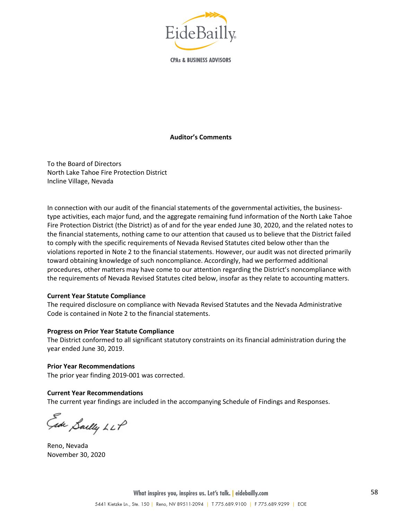

**CPAs & BUSINESS ADVISORS** 

#### **Auditor's Comments**

To the Board of Directors North Lake Tahoe Fire Protection District Incline Village, Nevada

In connection with our audit of the financial statements of the governmental activities, the businesstype activities, each major fund, and the aggregate remaining fund information of the North Lake Tahoe Fire Protection District (the District) as of and for the year ended June 30, 2020, and the related notes to the financial statements, nothing came to our attention that caused us to believe that the District failed to comply with the specific requirements of Nevada Revised Statutes cited below other than the violations reported in Note 2 to the financial statements. However, our audit was not directed primarily toward obtaining knowledge of such noncompliance. Accordingly, had we performed additional procedures, other matters may have come to our attention regarding the District's noncompliance with the requirements of Nevada Revised Statutes cited below, insofar as they relate to accounting matters.

#### **Current Year Statute Compliance**

The required disclosure on compliance with Nevada Revised Statutes and the Nevada Administrative Code is contained in Note 2 to the financial statements.

#### **Progress on Prior Year Statute Compliance**

The District conformed to all significant statutory constraints on its financial administration during the year ended June 30, 2019.

**Prior Year Recommendations** The prior year finding 2019-001 was corrected.

#### **Current Year Recommendations**

The current year findings are included in the accompanying Schedule of Findings and Responses.

Gide Sailly LLP

Reno, Nevada November 30, 2020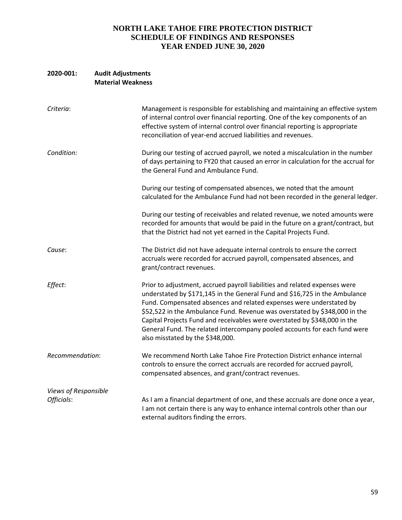#### **NORTH LAKE TAHOE FIRE PROTECTION DISTRICT SCHEDULE OF FINDINGS AND RESPONSES YEAR ENDED JUNE 30, 2020**

# **2020-001: Audit Adjustments Material Weakness** *Criteria*: Management is responsible for establishing and maintaining an effective system of internal control over financial reporting. One of the key components of an effective system of internal control over financial reporting is appropriate reconciliation of year-end accrued liabilities and revenues. *Condition:* During our testing of accrued payroll, we noted a miscalculation in the number of days pertaining to FY20 that caused an error in calculation for the accrual for the General Fund and Ambulance Fund. During our testing of compensated absences, we noted that the amount calculated for the Ambulance Fund had not been recorded in the general ledger. During our testing of receivables and related revenue, we noted amounts were recorded for amounts that would be paid in the future on a grant/contract, but that the District had not yet earned in the Capital Projects Fund. *Cause*: The District did not have adequate internal controls to ensure the correct accruals were recorded for accrued payroll, compensated absences, and grant/contract revenues. *Effect*: Prior to adjustment, accrued payroll liabilities and related expenses were understated by \$171,145 in the General Fund and \$16,725 in the Ambulance Fund. Compensated absences and related expenses were understated by \$52,522 in the Ambulance Fund. Revenue was overstated by \$348,000 in the Capital Projects Fund and receivables were overstated by \$348,000 in the General Fund. The related intercompany pooled accounts for each fund were also misstated by the \$348,000. *Recommendation*: We recommend North Lake Tahoe Fire Protection District enhance internal controls to ensure the correct accruals are recorded for accrued payroll, compensated absences, and grant/contract revenues. *Views of Responsible Officials*: As I am a financial department of one, and these accruals are done once a year, I am not certain there is any way to enhance internal controls other than our external auditors finding the errors.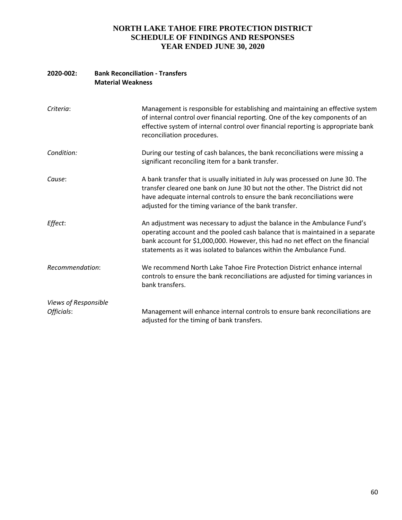## **NORTH LAKE TAHOE FIRE PROTECTION DISTRICT SCHEDULE OF FINDINGS AND RESPONSES YEAR ENDED JUNE 30, 2020**

| 2020-002:            | <b>Bank Reconciliation - Transfers</b><br><b>Material Weakness</b>                                                                                                                                                                                                                                                    |
|----------------------|-----------------------------------------------------------------------------------------------------------------------------------------------------------------------------------------------------------------------------------------------------------------------------------------------------------------------|
| Criteria:            | Management is responsible for establishing and maintaining an effective system<br>of internal control over financial reporting. One of the key components of an<br>effective system of internal control over financial reporting is appropriate bank<br>reconciliation procedures.                                    |
| Condition:           | During our testing of cash balances, the bank reconciliations were missing a<br>significant reconciling item for a bank transfer.                                                                                                                                                                                     |
| Cause:               | A bank transfer that is usually initiated in July was processed on June 30. The<br>transfer cleared one bank on June 30 but not the other. The District did not<br>have adequate internal controls to ensure the bank reconciliations were<br>adjusted for the timing variance of the bank transfer.                  |
| Effect:              | An adjustment was necessary to adjust the balance in the Ambulance Fund's<br>operating account and the pooled cash balance that is maintained in a separate<br>bank account for \$1,000,000. However, this had no net effect on the financial<br>statements as it was isolated to balances within the Ambulance Fund. |
| Recommendation:      | We recommend North Lake Tahoe Fire Protection District enhance internal<br>controls to ensure the bank reconciliations are adjusted for timing variances in<br>bank transfers.                                                                                                                                        |
| Views of Responsible |                                                                                                                                                                                                                                                                                                                       |
| Officials:           | Management will enhance internal controls to ensure bank reconciliations are<br>adjusted for the timing of bank transfers.                                                                                                                                                                                            |